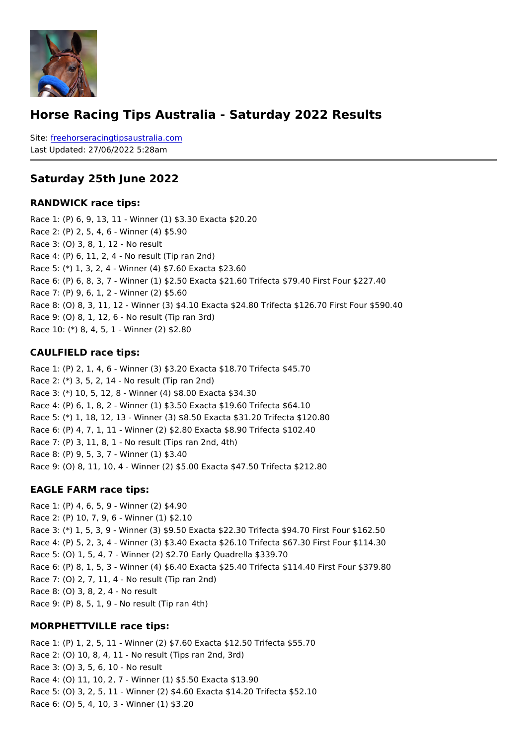#### Horse Racing Tips Australia - Saturday 2022 Results

Sitefreehorseracingtipsaustralia.com Last Updated: 27/06/2022 5:28am

Saturday 25th June 2022

RANDWICK race tips:

Race 1: (P) 6, 9, 13, 11 - Winner (1) \$3.30 Exacta \$20.20 Race 2: (P) 2, 5, 4, 6 - Winner (4) \$5.90 Race 3: (O) 3, 8, 1, 12 - No result Race 4: (P) 6, 11, 2, 4 - No result (Tip ran 2nd) Race 5: (\*) 1, 3, 2, 4 - Winner (4) \$7.60 Exacta \$23.60 Race 6: (P) 6, 8, 3, 7 - Winner (1) \$2.50 Exacta \$21.60 Trifecta \$79.40 First Four \$227.40 Race 7: (P) 9, 6, 1, 2 - Winner (2) \$5.60 Race 8: (O) 8, 3, 11, 12 - Winner (3) \$4.10 Exacta \$24.80 Trifecta \$126.70 First Four \$ Race 9: (O) 8, 1, 12, 6 - No result (Tip ran 3rd) Race 10: (\*) 8, 4, 5, 1 - Winner (2) \$2.80

CAULFIELD race tips:

Race 1: (P) 2, 1, 4, 6 - Winner (3) \$3.20 Exacta \$18.70 Trifecta \$45.70 Race 2: (\*) 3, 5, 2, 14 - No result (Tip ran 2nd) Race 3: (\*) 10, 5, 12, 8 - Winner (4) \$8.00 Exacta \$34.30 Race 4: (P) 6, 1, 8, 2 - Winner (1) \$3.50 Exacta \$19.60 Trifecta \$64.10 Race 5: (\*) 1, 18, 12, 13 - Winner (3) \$8.50 Exacta \$31.20 Trifecta \$120.80 Race 6: (P) 4, 7, 1, 11 - Winner (2) \$2.80 Exacta \$8.90 Trifecta \$102.40 Race 7: (P) 3, 11, 8, 1 - No result (Tips ran 2nd, 4th) Race 8: (P) 9, 5, 3, 7 - Winner (1) \$3.40 Race 9: (O) 8, 11, 10, 4 - Winner (2) \$5.00 Exacta \$47.50 Trifecta \$212.80

EAGLE FARM race tips:

```
Race 1: (P) 4, 6, 5, 9 - Winner (2) $4.90
Race 2: (P) 10, 7, 9, 6 - Winner (1) $2.10
Race 3: (*) 1, 5, 3, 9 - Winner (3) $9.50 Exacta $22.30 Trifecta $94.70 First Four $162
Race 4: (P) 5, 2, 3, 4 - Winner (3) $3.40 Exacta $26.10 Trifecta $67.30 First Four $114
Race 5: (O) 1, 5, 4, 7 - Winner (2) $2.70 Early Quadrella $339.70
Race 6: (P) 8, 1, 5, 3 - Winner (4) $6.40 Exacta $25.40 Trifecta $114.40 First Four $379.80
Race 7: (O) 2, 7, 11, 4 - No result (Tip ran 2nd)
Race 8: (O) 3, 8, 2, 4 - No result
Race 9: (P) 8, 5, 1, 9 - No result (Tip ran 4th)
```
MORPHETTVILLE race tips:

Race 1: (P) 1, 2, 5, 11 - Winner (2) \$7.60 Exacta \$12.50 Trifecta \$55.70 Race 2: (O) 10, 8, 4, 11 - No result (Tips ran 2nd, 3rd) Race 3: (O) 3, 5, 6, 10 - No result Race 4: (O) 11, 10, 2, 7 - Winner (1) \$5.50 Exacta \$13.90 Race 5: (O) 3, 2, 5, 11 - Winner (2) \$4.60 Exacta \$14.20 Trifecta \$52.10 Race 6: (O) 5, 4, 10, 3 - Winner (1) \$3.20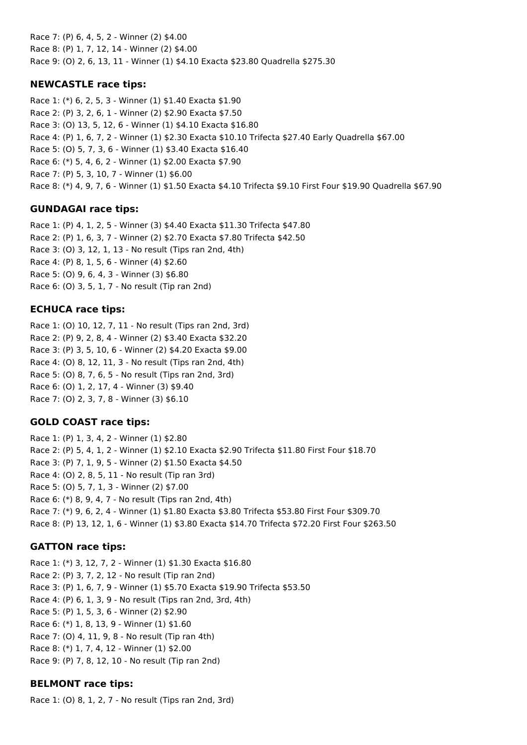Race 7: (P) 6, 4, 5, 2 - Winner (2) \$4.00 Race 8: (P) 1, 7, 12, 14 - Winner (2) \$4.00 Race 9: (O) 2, 6, 13, 11 - Winner (1) \$4.10 Exacta \$23.80 Quadrella \$275.30

## **NEWCASTLE race tips:**

Race 1: (\*) 6, 2, 5, 3 - Winner (1) \$1.40 Exacta \$1.90 Race 2: (P) 3, 2, 6, 1 - Winner (2) \$2.90 Exacta \$7.50 Race 3: (O) 13, 5, 12, 6 - Winner (1) \$4.10 Exacta \$16.80 Race 4: (P) 1, 6, 7, 2 - Winner (1) \$2.30 Exacta \$10.10 Trifecta \$27.40 Early Quadrella \$67.00 Race 5: (O) 5, 7, 3, 6 - Winner (1) \$3.40 Exacta \$16.40 Race 6: (\*) 5, 4, 6, 2 - Winner (1) \$2.00 Exacta \$7.90 Race 7: (P) 5, 3, 10, 7 - Winner (1) \$6.00 Race 8: (\*) 4, 9, 7, 6 - Winner (1) \$1.50 Exacta \$4.10 Trifecta \$9.10 First Four \$19.90 Quadrella \$67.90

## **GUNDAGAI race tips:**

Race 1: (P) 4, 1, 2, 5 - Winner (3) \$4.40 Exacta \$11.30 Trifecta \$47.80 Race 2: (P) 1, 6, 3, 7 - Winner (2) \$2.70 Exacta \$7.80 Trifecta \$42.50 Race 3: (O) 3, 12, 1, 13 - No result (Tips ran 2nd, 4th) Race 4: (P) 8, 1, 5, 6 - Winner (4) \$2.60 Race 5: (O) 9, 6, 4, 3 - Winner (3) \$6.80 Race 6: (O) 3, 5, 1, 7 - No result (Tip ran 2nd)

## **ECHUCA race tips:**

Race 1: (O) 10, 12, 7, 11 - No result (Tips ran 2nd, 3rd) Race 2: (P) 9, 2, 8, 4 - Winner (2) \$3.40 Exacta \$32.20 Race 3: (P) 3, 5, 10, 6 - Winner (2) \$4.20 Exacta \$9.00 Race 4: (O) 8, 12, 11, 3 - No result (Tips ran 2nd, 4th) Race 5: (O) 8, 7, 6, 5 - No result (Tips ran 2nd, 3rd) Race 6: (O) 1, 2, 17, 4 - Winner (3) \$9.40 Race 7: (O) 2, 3, 7, 8 - Winner (3) \$6.10

## **GOLD COAST race tips:**

Race 1: (P) 1, 3, 4, 2 - Winner (1) \$2.80 Race 2: (P) 5, 4, 1, 2 - Winner (1) \$2.10 Exacta \$2.90 Trifecta \$11.80 First Four \$18.70 Race 3: (P) 7, 1, 9, 5 - Winner (2) \$1.50 Exacta \$4.50 Race 4: (O) 2, 8, 5, 11 - No result (Tip ran 3rd) Race 5: (O) 5, 7, 1, 3 - Winner (2) \$7.00 Race 6: (\*) 8, 9, 4, 7 - No result (Tips ran 2nd, 4th) Race 7: (\*) 9, 6, 2, 4 - Winner (1) \$1.80 Exacta \$3.80 Trifecta \$53.80 First Four \$309.70 Race 8: (P) 13, 12, 1, 6 - Winner (1) \$3.80 Exacta \$14.70 Trifecta \$72.20 First Four \$263.50

## **GATTON race tips:**

Race 1: (\*) 3, 12, 7, 2 - Winner (1) \$1.30 Exacta \$16.80 Race 2: (P) 3, 7, 2, 12 - No result (Tip ran 2nd) Race 3: (P) 1, 6, 7, 9 - Winner (1) \$5.70 Exacta \$19.90 Trifecta \$53.50 Race 4: (P) 6, 1, 3, 9 - No result (Tips ran 2nd, 3rd, 4th) Race 5: (P) 1, 5, 3, 6 - Winner (2) \$2.90 Race 6: (\*) 1, 8, 13, 9 - Winner (1) \$1.60 Race 7: (O) 4, 11, 9, 8 - No result (Tip ran 4th) Race 8: (\*) 1, 7, 4, 12 - Winner (1) \$2.00 Race 9: (P) 7, 8, 12, 10 - No result (Tip ran 2nd)

## **BELMONT race tips:**

Race 1: (O) 8, 1, 2, 7 - No result (Tips ran 2nd, 3rd)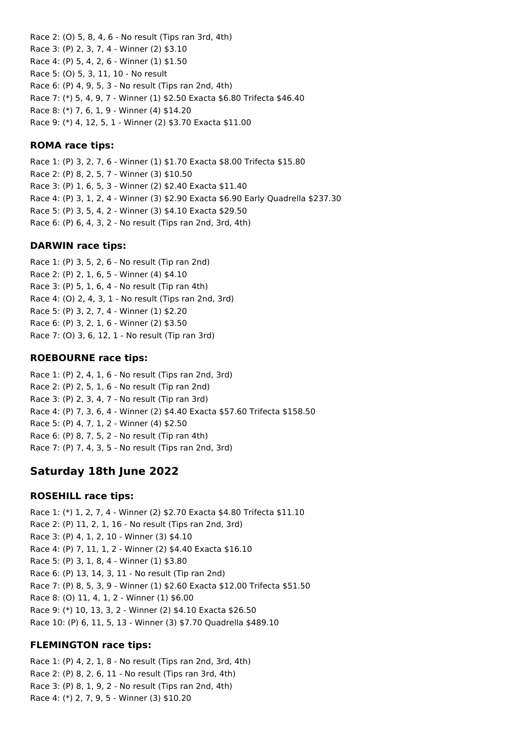Race 2: (O) 5, 8, 4, 6 - No result (Tips ran 3rd, 4th) Race 3: (P) 2, 3, 7, 4 - Winner (2) \$3.10 Race 4: (P) 5, 4, 2, 6 - Winner (1) \$1.50 Race 5: (O) 5, 3, 11, 10 - No result Race 6: (P) 4, 9, 5, 3 - No result (Tips ran 2nd, 4th) Race 7: (\*) 5, 4, 9, 7 - Winner (1) \$2.50 Exacta \$6.80 Trifecta \$46.40 Race 8: (\*) 7, 6, 1, 9 - Winner (4) \$14.20 Race 9: (\*) 4, 12, 5, 1 - Winner (2) \$3.70 Exacta \$11.00

### **ROMA race tips:**

Race 1: (P) 3, 2, 7, 6 - Winner (1) \$1.70 Exacta \$8.00 Trifecta \$15.80 Race 2: (P) 8, 2, 5, 7 - Winner (3) \$10.50 Race 3: (P) 1, 6, 5, 3 - Winner (2) \$2.40 Exacta \$11.40 Race 4: (P) 3, 1, 2, 4 - Winner (3) \$2.90 Exacta \$6.90 Early Quadrella \$237.30 Race 5: (P) 3, 5, 4, 2 - Winner (3) \$4.10 Exacta \$29.50 Race 6: (P) 6, 4, 3, 2 - No result (Tips ran 2nd, 3rd, 4th)

### **DARWIN race tips:**

Race 1: (P) 3, 5, 2, 6 - No result (Tip ran 2nd) Race 2: (P) 2, 1, 6, 5 - Winner (4) \$4.10 Race 3: (P) 5, 1, 6, 4 - No result (Tip ran 4th) Race 4: (O) 2, 4, 3, 1 - No result (Tips ran 2nd, 3rd) Race 5: (P) 3, 2, 7, 4 - Winner (1) \$2.20 Race 6: (P) 3, 2, 1, 6 - Winner (2) \$3.50 Race 7: (O) 3, 6, 12, 1 - No result (Tip ran 3rd)

### **ROEBOURNE race tips:**

Race 1: (P) 2, 4, 1, 6 - No result (Tips ran 2nd, 3rd) Race 2: (P) 2, 5, 1, 6 - No result (Tip ran 2nd) Race 3: (P) 2, 3, 4, 7 - No result (Tip ran 3rd) Race 4: (P) 7, 3, 6, 4 - Winner (2) \$4.40 Exacta \$57.60 Trifecta \$158.50 Race 5: (P) 4, 7, 1, 2 - Winner (4) \$2.50 Race 6: (P) 8, 7, 5, 2 - No result (Tip ran 4th) Race 7: (P) 7, 4, 3, 5 - No result (Tips ran 2nd, 3rd)

# **Saturday 18th June 2022**

## **ROSEHILL race tips:**

Race 1: (\*) 1, 2, 7, 4 - Winner (2) \$2.70 Exacta \$4.80 Trifecta \$11.10 Race 2: (P) 11, 2, 1, 16 - No result (Tips ran 2nd, 3rd) Race 3: (P) 4, 1, 2, 10 - Winner (3) \$4.10 Race 4: (P) 7, 11, 1, 2 - Winner (2) \$4.40 Exacta \$16.10 Race 5: (P) 3, 1, 8, 4 - Winner (1) \$3.80 Race 6: (P) 13, 14, 3, 11 - No result (Tip ran 2nd) Race 7: (P) 8, 5, 3, 9 - Winner (1) \$2.60 Exacta \$12.00 Trifecta \$51.50 Race 8: (O) 11, 4, 1, 2 - Winner (1) \$6.00 Race 9: (\*) 10, 13, 3, 2 - Winner (2) \$4.10 Exacta \$26.50 Race 10: (P) 6, 11, 5, 13 - Winner (3) \$7.70 Quadrella \$489.10

## **FLEMINGTON race tips:**

Race 1: (P) 4, 2, 1, 8 - No result (Tips ran 2nd, 3rd, 4th) Race 2: (P) 8, 2, 6, 11 - No result (Tips ran 3rd, 4th) Race 3: (P) 8, 1, 9, 2 - No result (Tips ran 2nd, 4th) Race 4: (\*) 2, 7, 9, 5 - Winner (3) \$10.20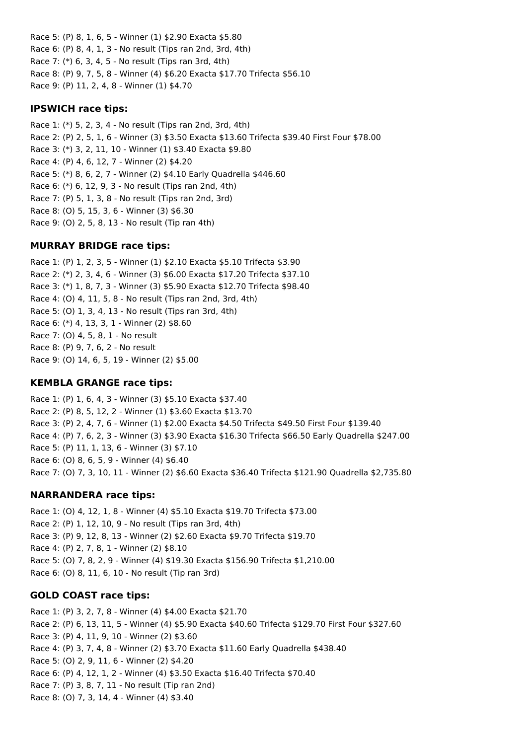Race 5: (P) 8, 1, 6, 5 - Winner (1) \$2.90 Exacta \$5.80 Race 6: (P) 8, 4, 1, 3 - No result (Tips ran 2nd, 3rd, 4th) Race 7: (\*) 6, 3, 4, 5 - No result (Tips ran 3rd, 4th) Race 8: (P) 9, 7, 5, 8 - Winner (4) \$6.20 Exacta \$17.70 Trifecta \$56.10 Race 9: (P) 11, 2, 4, 8 - Winner (1) \$4.70

### **IPSWICH race tips:**

Race 1: (\*) 5, 2, 3, 4 - No result (Tips ran 2nd, 3rd, 4th) Race 2: (P) 2, 5, 1, 6 - Winner (3) \$3.50 Exacta \$13.60 Trifecta \$39.40 First Four \$78.00 Race 3: (\*) 3, 2, 11, 10 - Winner (1) \$3.40 Exacta \$9.80 Race 4: (P) 4, 6, 12, 7 - Winner (2) \$4.20 Race 5: (\*) 8, 6, 2, 7 - Winner (2) \$4.10 Early Quadrella \$446.60 Race 6: (\*) 6, 12, 9, 3 - No result (Tips ran 2nd, 4th) Race 7: (P) 5, 1, 3, 8 - No result (Tips ran 2nd, 3rd) Race 8: (O) 5, 15, 3, 6 - Winner (3) \$6.30 Race 9: (O) 2, 5, 8, 13 - No result (Tip ran 4th)

## **MURRAY BRIDGE race tips:**

Race 1: (P) 1, 2, 3, 5 - Winner (1) \$2.10 Exacta \$5.10 Trifecta \$3.90 Race 2: (\*) 2, 3, 4, 6 - Winner (3) \$6.00 Exacta \$17.20 Trifecta \$37.10 Race 3: (\*) 1, 8, 7, 3 - Winner (3) \$5.90 Exacta \$12.70 Trifecta \$98.40 Race 4: (O) 4, 11, 5, 8 - No result (Tips ran 2nd, 3rd, 4th) Race 5: (O) 1, 3, 4, 13 - No result (Tips ran 3rd, 4th) Race 6: (\*) 4, 13, 3, 1 - Winner (2) \$8.60 Race 7: (O) 4, 5, 8, 1 - No result Race 8: (P) 9, 7, 6, 2 - No result Race 9: (O) 14, 6, 5, 19 - Winner (2) \$5.00

## **KEMBLA GRANGE race tips:**

Race 1: (P) 1, 6, 4, 3 - Winner (3) \$5.10 Exacta \$37.40 Race 2: (P) 8, 5, 12, 2 - Winner (1) \$3.60 Exacta \$13.70 Race 3: (P) 2, 4, 7, 6 - Winner (1) \$2.00 Exacta \$4.50 Trifecta \$49.50 First Four \$139.40 Race 4: (P) 7, 6, 2, 3 - Winner (3) \$3.90 Exacta \$16.30 Trifecta \$66.50 Early Quadrella \$247.00 Race 5: (P) 11, 1, 13, 6 - Winner (3) \$7.10 Race 6: (O) 8, 6, 5, 9 - Winner (4) \$6.40 Race 7: (O) 7, 3, 10, 11 - Winner (2) \$6.60 Exacta \$36.40 Trifecta \$121.90 Quadrella \$2,735.80

## **NARRANDERA race tips:**

Race 1: (O) 4, 12, 1, 8 - Winner (4) \$5.10 Exacta \$19.70 Trifecta \$73.00 Race 2: (P) 1, 12, 10, 9 - No result (Tips ran 3rd, 4th) Race 3: (P) 9, 12, 8, 13 - Winner (2) \$2.60 Exacta \$9.70 Trifecta \$19.70 Race 4: (P) 2, 7, 8, 1 - Winner (2) \$8.10 Race 5: (O) 7, 8, 2, 9 - Winner (4) \$19.30 Exacta \$156.90 Trifecta \$1,210.00 Race 6: (O) 8, 11, 6, 10 - No result (Tip ran 3rd)

## **GOLD COAST race tips:**

Race 1: (P) 3, 2, 7, 8 - Winner (4) \$4.00 Exacta \$21.70 Race 2: (P) 6, 13, 11, 5 - Winner (4) \$5.90 Exacta \$40.60 Trifecta \$129.70 First Four \$327.60 Race 3: (P) 4, 11, 9, 10 - Winner (2) \$3.60 Race 4: (P) 3, 7, 4, 8 - Winner (2) \$3.70 Exacta \$11.60 Early Quadrella \$438.40 Race 5: (O) 2, 9, 11, 6 - Winner (2) \$4.20 Race 6: (P) 4, 12, 1, 2 - Winner (4) \$3.50 Exacta \$16.40 Trifecta \$70.40 Race 7: (P) 3, 8, 7, 11 - No result (Tip ran 2nd) Race 8: (O) 7, 3, 14, 4 - Winner (4) \$3.40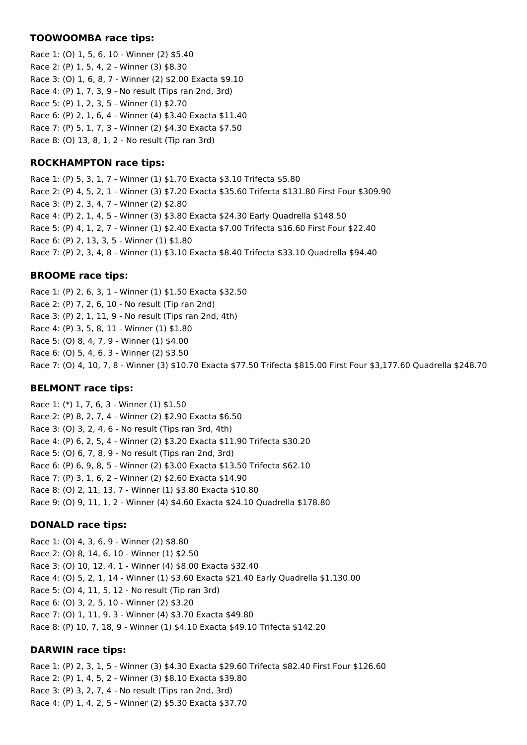#### **TOOWOOMBA race tips:**

Race 1: (O) 1, 5, 6, 10 - Winner (2) \$5.40 Race 2: (P) 1, 5, 4, 2 - Winner (3) \$8.30 Race 3: (O) 1, 6, 8, 7 - Winner (2) \$2.00 Exacta \$9.10 Race 4: (P) 1, 7, 3, 9 - No result (Tips ran 2nd, 3rd) Race 5: (P) 1, 2, 3, 5 - Winner (1) \$2.70 Race 6: (P) 2, 1, 6, 4 - Winner (4) \$3.40 Exacta \$11.40 Race 7: (P) 5, 1, 7, 3 - Winner (2) \$4.30 Exacta \$7.50 Race 8: (O) 13, 8, 1, 2 - No result (Tip ran 3rd)

## **ROCKHAMPTON race tips:**

Race 1: (P) 5, 3, 1, 7 - Winner (1) \$1.70 Exacta \$3.10 Trifecta \$5.80 Race 2: (P) 4, 5, 2, 1 - Winner (3) \$7.20 Exacta \$35.60 Trifecta \$131.80 First Four \$309.90 Race 3: (P) 2, 3, 4, 7 - Winner (2) \$2.80 Race 4: (P) 2, 1, 4, 5 - Winner (3) \$3.80 Exacta \$24.30 Early Quadrella \$148.50 Race 5: (P) 4, 1, 2, 7 - Winner (1) \$2.40 Exacta \$7.00 Trifecta \$16.60 First Four \$22.40 Race 6: (P) 2, 13, 3, 5 - Winner (1) \$1.80 Race 7: (P) 2, 3, 4, 8 - Winner (1) \$3.10 Exacta \$8.40 Trifecta \$33.10 Quadrella \$94.40

### **BROOME race tips:**

Race 1: (P) 2, 6, 3, 1 - Winner (1) \$1.50 Exacta \$32.50 Race 2: (P) 7, 2, 6, 10 - No result (Tip ran 2nd) Race 3: (P) 2, 1, 11, 9 - No result (Tips ran 2nd, 4th) Race 4: (P) 3, 5, 8, 11 - Winner (1) \$1.80 Race 5: (O) 8, 4, 7, 9 - Winner (1) \$4.00 Race 6: (O) 5, 4, 6, 3 - Winner (2) \$3.50 Race 7: (O) 4, 10, 7, 8 - Winner (3) \$10.70 Exacta \$77.50 Trifecta \$815.00 First Four \$3,177.60 Quadrella \$248.70

#### **BELMONT race tips:**

Race 1: (\*) 1, 7, 6, 3 - Winner (1) \$1.50 Race 2: (P) 8, 2, 7, 4 - Winner (2) \$2.90 Exacta \$6.50 Race 3: (O) 3, 2, 4, 6 - No result (Tips ran 3rd, 4th) Race 4: (P) 6, 2, 5, 4 - Winner (2) \$3.20 Exacta \$11.90 Trifecta \$30.20 Race 5: (O) 6, 7, 8, 9 - No result (Tips ran 2nd, 3rd) Race 6: (P) 6, 9, 8, 5 - Winner (2) \$3.00 Exacta \$13.50 Trifecta \$62.10 Race 7: (P) 3, 1, 6, 2 - Winner (2) \$2.60 Exacta \$14.90 Race 8: (O) 2, 11, 13, 7 - Winner (1) \$3.80 Exacta \$10.80 Race 9: (O) 9, 11, 1, 2 - Winner (4) \$4.60 Exacta \$24.10 Quadrella \$178.80

## **DONALD race tips:**

Race 1: (O) 4, 3, 6, 9 - Winner (2) \$8.80 Race 2: (O) 8, 14, 6, 10 - Winner (1) \$2.50 Race 3: (O) 10, 12, 4, 1 - Winner (4) \$8.00 Exacta \$32.40 Race 4: (O) 5, 2, 1, 14 - Winner (1) \$3.60 Exacta \$21.40 Early Quadrella \$1,130.00 Race 5: (O) 4, 11, 5, 12 - No result (Tip ran 3rd) Race 6: (O) 3, 2, 5, 10 - Winner (2) \$3.20 Race 7: (O) 1, 11, 9, 3 - Winner (4) \$3.70 Exacta \$49.80 Race 8: (P) 10, 7, 18, 9 - Winner (1) \$4.10 Exacta \$49.10 Trifecta \$142.20

#### **DARWIN race tips:**

Race 1: (P) 2, 3, 1, 5 - Winner (3) \$4.30 Exacta \$29.60 Trifecta \$82.40 First Four \$126.60 Race 2: (P) 1, 4, 5, 2 - Winner (3) \$8.10 Exacta \$39.80 Race 3: (P) 3, 2, 7, 4 - No result (Tips ran 2nd, 3rd) Race 4: (P) 1, 4, 2, 5 - Winner (2) \$5.30 Exacta \$37.70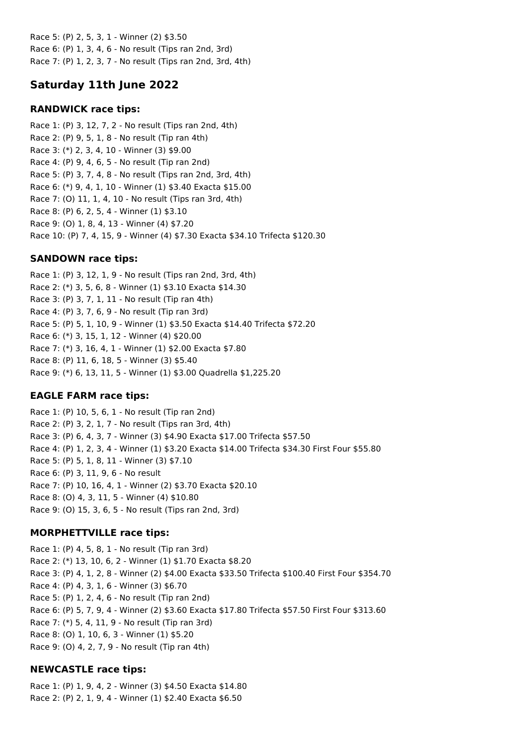Race 5: (P) 2, 5, 3, 1 - Winner (2) \$3.50 Race 6: (P) 1, 3, 4, 6 - No result (Tips ran 2nd, 3rd) Race 7: (P) 1, 2, 3, 7 - No result (Tips ran 2nd, 3rd, 4th)

# **Saturday 11th June 2022**

## **RANDWICK race tips:**

Race 1: (P) 3, 12, 7, 2 - No result (Tips ran 2nd, 4th) Race 2: (P) 9, 5, 1, 8 - No result (Tip ran 4th) Race 3: (\*) 2, 3, 4, 10 - Winner (3) \$9.00 Race 4: (P) 9, 4, 6, 5 - No result (Tip ran 2nd) Race 5: (P) 3, 7, 4, 8 - No result (Tips ran 2nd, 3rd, 4th) Race 6: (\*) 9, 4, 1, 10 - Winner (1) \$3.40 Exacta \$15.00 Race 7: (O) 11, 1, 4, 10 - No result (Tips ran 3rd, 4th) Race 8: (P) 6, 2, 5, 4 - Winner (1) \$3.10 Race 9: (O) 1, 8, 4, 13 - Winner (4) \$7.20 Race 10: (P) 7, 4, 15, 9 - Winner (4) \$7.30 Exacta \$34.10 Trifecta \$120.30

## **SANDOWN race tips:**

Race 1: (P) 3, 12, 1, 9 - No result (Tips ran 2nd, 3rd, 4th) Race 2: (\*) 3, 5, 6, 8 - Winner (1) \$3.10 Exacta \$14.30 Race 3: (P) 3, 7, 1, 11 - No result (Tip ran 4th) Race 4: (P) 3, 7, 6, 9 - No result (Tip ran 3rd) Race 5: (P) 5, 1, 10, 9 - Winner (1) \$3.50 Exacta \$14.40 Trifecta \$72.20 Race 6: (\*) 3, 15, 1, 12 - Winner (4) \$20.00 Race 7: (\*) 3, 16, 4, 1 - Winner (1) \$2.00 Exacta \$7.80 Race 8: (P) 11, 6, 18, 5 - Winner (3) \$5.40 Race 9: (\*) 6, 13, 11, 5 - Winner (1) \$3.00 Quadrella \$1,225.20

## **EAGLE FARM race tips:**

Race 1: (P) 10, 5, 6, 1 - No result (Tip ran 2nd) Race 2: (P) 3, 2, 1, 7 - No result (Tips ran 3rd, 4th) Race 3: (P) 6, 4, 3, 7 - Winner (3) \$4.90 Exacta \$17.00 Trifecta \$57.50 Race 4: (P) 1, 2, 3, 4 - Winner (1) \$3.20 Exacta \$14.00 Trifecta \$34.30 First Four \$55.80 Race 5: (P) 5, 1, 8, 11 - Winner (3) \$7.10 Race 6: (P) 3, 11, 9, 6 - No result Race 7: (P) 10, 16, 4, 1 - Winner (2) \$3.70 Exacta \$20.10 Race 8: (O) 4, 3, 11, 5 - Winner (4) \$10.80 Race 9: (O) 15, 3, 6, 5 - No result (Tips ran 2nd, 3rd)

## **MORPHETTVILLE race tips:**

Race 1: (P) 4, 5, 8, 1 - No result (Tip ran 3rd) Race 2: (\*) 13, 10, 6, 2 - Winner (1) \$1.70 Exacta \$8.20 Race 3: (P) 4, 1, 2, 8 - Winner (2) \$4.00 Exacta \$33.50 Trifecta \$100.40 First Four \$354.70 Race 4: (P) 4, 3, 1, 6 - Winner (3) \$6.70 Race 5: (P) 1, 2, 4, 6 - No result (Tip ran 2nd) Race 6: (P) 5, 7, 9, 4 - Winner (2) \$3.60 Exacta \$17.80 Trifecta \$57.50 First Four \$313.60 Race 7: (\*) 5, 4, 11, 9 - No result (Tip ran 3rd) Race 8: (O) 1, 10, 6, 3 - Winner (1) \$5.20 Race 9: (O) 4, 2, 7, 9 - No result (Tip ran 4th)

## **NEWCASTLE race tips:**

Race 1: (P) 1, 9, 4, 2 - Winner (3) \$4.50 Exacta \$14.80 Race 2: (P) 2, 1, 9, 4 - Winner (1) \$2.40 Exacta \$6.50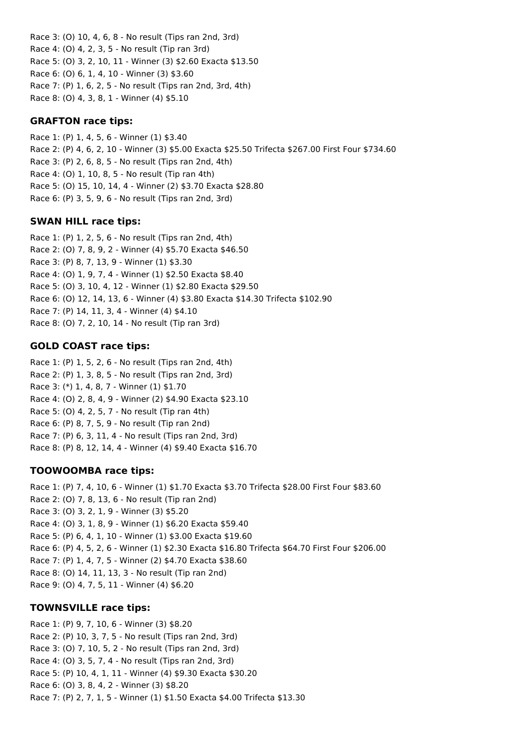Race 3: (O) 10, 4, 6, 8 - No result (Tips ran 2nd, 3rd) Race 4: (O) 4, 2, 3, 5 - No result (Tip ran 3rd) Race 5: (O) 3, 2, 10, 11 - Winner (3) \$2.60 Exacta \$13.50 Race 6: (O) 6, 1, 4, 10 - Winner (3) \$3.60 Race 7: (P) 1, 6, 2, 5 - No result (Tips ran 2nd, 3rd, 4th) Race 8: (O) 4, 3, 8, 1 - Winner (4) \$5.10

## **GRAFTON race tips:**

Race 1: (P) 1, 4, 5, 6 - Winner (1) \$3.40 Race 2: (P) 4, 6, 2, 10 - Winner (3) \$5.00 Exacta \$25.50 Trifecta \$267.00 First Four \$734.60 Race 3: (P) 2, 6, 8, 5 - No result (Tips ran 2nd, 4th) Race 4: (O) 1, 10, 8, 5 - No result (Tip ran 4th) Race 5: (O) 15, 10, 14, 4 - Winner (2) \$3.70 Exacta \$28.80 Race 6: (P) 3, 5, 9, 6 - No result (Tips ran 2nd, 3rd)

## **SWAN HILL race tips:**

Race 1: (P) 1, 2, 5, 6 - No result (Tips ran 2nd, 4th) Race 2: (O) 7, 8, 9, 2 - Winner (4) \$5.70 Exacta \$46.50 Race 3: (P) 8, 7, 13, 9 - Winner (1) \$3.30 Race 4: (O) 1, 9, 7, 4 - Winner (1) \$2.50 Exacta \$8.40 Race 5: (O) 3, 10, 4, 12 - Winner (1) \$2.80 Exacta \$29.50 Race 6: (O) 12, 14, 13, 6 - Winner (4) \$3.80 Exacta \$14.30 Trifecta \$102.90 Race 7: (P) 14, 11, 3, 4 - Winner (4) \$4.10 Race 8: (O) 7, 2, 10, 14 - No result (Tip ran 3rd)

## **GOLD COAST race tips:**

Race 1: (P) 1, 5, 2, 6 - No result (Tips ran 2nd, 4th) Race 2: (P) 1, 3, 8, 5 - No result (Tips ran 2nd, 3rd) Race 3: (\*) 1, 4, 8, 7 - Winner (1) \$1.70 Race 4: (O) 2, 8, 4, 9 - Winner (2) \$4.90 Exacta \$23.10 Race 5: (O) 4, 2, 5, 7 - No result (Tip ran 4th) Race 6: (P) 8, 7, 5, 9 - No result (Tip ran 2nd) Race 7: (P) 6, 3, 11, 4 - No result (Tips ran 2nd, 3rd) Race 8: (P) 8, 12, 14, 4 - Winner (4) \$9.40 Exacta \$16.70

## **TOOWOOMBA race tips:**

Race 1: (P) 7, 4, 10, 6 - Winner (1) \$1.70 Exacta \$3.70 Trifecta \$28.00 First Four \$83.60 Race 2: (O) 7, 8, 13, 6 - No result (Tip ran 2nd) Race 3: (O) 3, 2, 1, 9 - Winner (3) \$5.20 Race 4: (O) 3, 1, 8, 9 - Winner (1) \$6.20 Exacta \$59.40 Race 5: (P) 6, 4, 1, 10 - Winner (1) \$3.00 Exacta \$19.60 Race 6: (P) 4, 5, 2, 6 - Winner (1) \$2.30 Exacta \$16.80 Trifecta \$64.70 First Four \$206.00 Race 7: (P) 1, 4, 7, 5 - Winner (2) \$4.70 Exacta \$38.60 Race 8: (O) 14, 11, 13, 3 - No result (Tip ran 2nd) Race 9: (O) 4, 7, 5, 11 - Winner (4) \$6.20

## **TOWNSVILLE race tips:**

Race 1: (P) 9, 7, 10, 6 - Winner (3) \$8.20 Race 2: (P) 10, 3, 7, 5 - No result (Tips ran 2nd, 3rd) Race 3: (O) 7, 10, 5, 2 - No result (Tips ran 2nd, 3rd) Race 4: (O) 3, 5, 7, 4 - No result (Tips ran 2nd, 3rd) Race 5: (P) 10, 4, 1, 11 - Winner (4) \$9.30 Exacta \$30.20 Race 6: (O) 3, 8, 4, 2 - Winner (3) \$8.20 Race 7: (P) 2, 7, 1, 5 - Winner (1) \$1.50 Exacta \$4.00 Trifecta \$13.30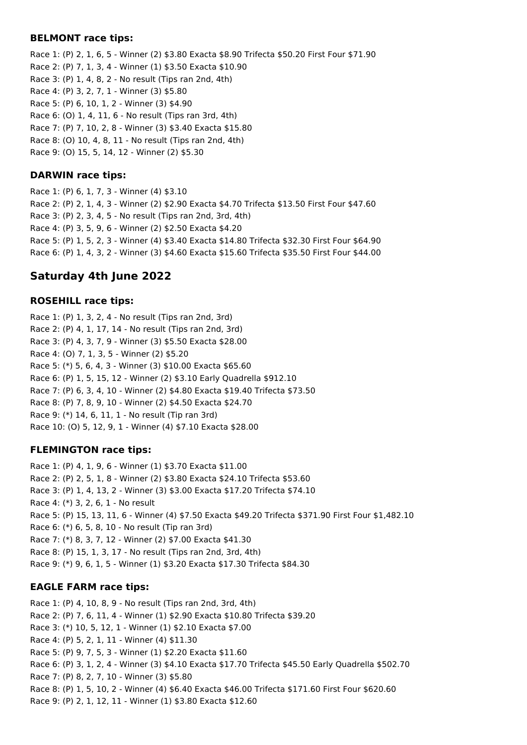### **BELMONT race tips:**

Race 1: (P) 2, 1, 6, 5 - Winner (2) \$3.80 Exacta \$8.90 Trifecta \$50.20 First Four \$71.90 Race 2: (P) 7, 1, 3, 4 - Winner (1) \$3.50 Exacta \$10.90 Race 3: (P) 1, 4, 8, 2 - No result (Tips ran 2nd, 4th) Race 4: (P) 3, 2, 7, 1 - Winner (3) \$5.80 Race 5: (P) 6, 10, 1, 2 - Winner (3) \$4.90 Race 6: (O) 1, 4, 11, 6 - No result (Tips ran 3rd, 4th) Race 7: (P) 7, 10, 2, 8 - Winner (3) \$3.40 Exacta \$15.80 Race 8: (O) 10, 4, 8, 11 - No result (Tips ran 2nd, 4th) Race 9: (O) 15, 5, 14, 12 - Winner (2) \$5.30

## **DARWIN race tips:**

Race 1: (P) 6, 1, 7, 3 - Winner (4) \$3.10 Race 2: (P) 2, 1, 4, 3 - Winner (2) \$2.90 Exacta \$4.70 Trifecta \$13.50 First Four \$47.60 Race 3: (P) 2, 3, 4, 5 - No result (Tips ran 2nd, 3rd, 4th) Race 4: (P) 3, 5, 9, 6 - Winner (2) \$2.50 Exacta \$4.20 Race 5: (P) 1, 5, 2, 3 - Winner (4) \$3.40 Exacta \$14.80 Trifecta \$32.30 First Four \$64.90 Race 6: (P) 1, 4, 3, 2 - Winner (3) \$4.60 Exacta \$15.60 Trifecta \$35.50 First Four \$44.00

# **Saturday 4th June 2022**

## **ROSEHILL race tips:**

Race 1: (P) 1, 3, 2, 4 - No result (Tips ran 2nd, 3rd) Race 2: (P) 4, 1, 17, 14 - No result (Tips ran 2nd, 3rd) Race 3: (P) 4, 3, 7, 9 - Winner (3) \$5.50 Exacta \$28.00 Race 4: (O) 7, 1, 3, 5 - Winner (2) \$5.20 Race 5: (\*) 5, 6, 4, 3 - Winner (3) \$10.00 Exacta \$65.60 Race 6: (P) 1, 5, 15, 12 - Winner (2) \$3.10 Early Quadrella \$912.10 Race 7: (P) 6, 3, 4, 10 - Winner (2) \$4.80 Exacta \$19.40 Trifecta \$73.50 Race 8: (P) 7, 8, 9, 10 - Winner (2) \$4.50 Exacta \$24.70 Race 9: (\*) 14, 6, 11, 1 - No result (Tip ran 3rd) Race 10: (O) 5, 12, 9, 1 - Winner (4) \$7.10 Exacta \$28.00

## **FLEMINGTON race tips:**

Race 1: (P) 4, 1, 9, 6 - Winner (1) \$3.70 Exacta \$11.00 Race 2: (P) 2, 5, 1, 8 - Winner (2) \$3.80 Exacta \$24.10 Trifecta \$53.60 Race 3: (P) 1, 4, 13, 2 - Winner (3) \$3.00 Exacta \$17.20 Trifecta \$74.10 Race 4: (\*) 3, 2, 6, 1 - No result Race 5: (P) 15, 13, 11, 6 - Winner (4) \$7.50 Exacta \$49.20 Trifecta \$371.90 First Four \$1,482.10 Race 6: (\*) 6, 5, 8, 10 - No result (Tip ran 3rd) Race 7: (\*) 8, 3, 7, 12 - Winner (2) \$7.00 Exacta \$41.30 Race 8: (P) 15, 1, 3, 17 - No result (Tips ran 2nd, 3rd, 4th) Race 9: (\*) 9, 6, 1, 5 - Winner (1) \$3.20 Exacta \$17.30 Trifecta \$84.30

## **EAGLE FARM race tips:**

Race 1: (P) 4, 10, 8, 9 - No result (Tips ran 2nd, 3rd, 4th) Race 2: (P) 7, 6, 11, 4 - Winner (1) \$2.90 Exacta \$10.80 Trifecta \$39.20 Race 3: (\*) 10, 5, 12, 1 - Winner (1) \$2.10 Exacta \$7.00 Race 4: (P) 5, 2, 1, 11 - Winner (4) \$11.30 Race 5: (P) 9, 7, 5, 3 - Winner (1) \$2.20 Exacta \$11.60 Race 6: (P) 3, 1, 2, 4 - Winner (3) \$4.10 Exacta \$17.70 Trifecta \$45.50 Early Quadrella \$502.70 Race 7: (P) 8, 2, 7, 10 - Winner (3) \$5.80 Race 8: (P) 1, 5, 10, 2 - Winner (4) \$6.40 Exacta \$46.00 Trifecta \$171.60 First Four \$620.60 Race 9: (P) 2, 1, 12, 11 - Winner (1) \$3.80 Exacta \$12.60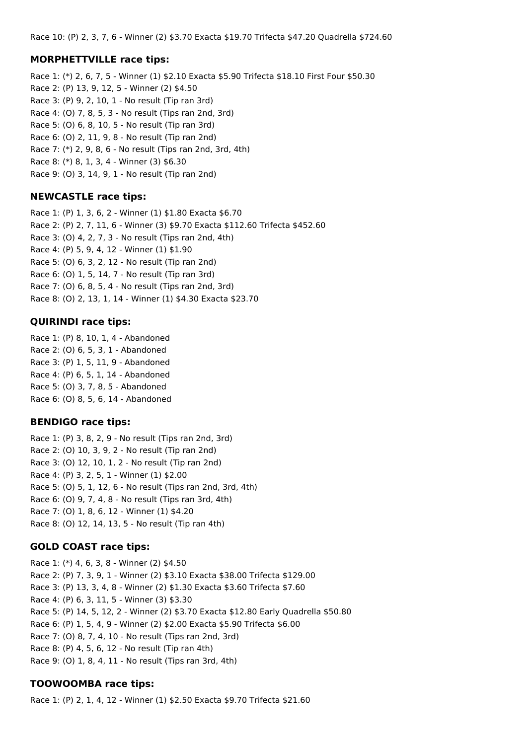Race 10: (P) 2, 3, 7, 6 - Winner (2) \$3.70 Exacta \$19.70 Trifecta \$47.20 Quadrella \$724.60

### **MORPHETTVILLE race tips:**

Race 1: (\*) 2, 6, 7, 5 - Winner (1) \$2.10 Exacta \$5.90 Trifecta \$18.10 First Four \$50.30 Race 2: (P) 13, 9, 12, 5 - Winner (2) \$4.50 Race 3: (P) 9, 2, 10, 1 - No result (Tip ran 3rd) Race 4: (O) 7, 8, 5, 3 - No result (Tips ran 2nd, 3rd) Race 5: (O) 6, 8, 10, 5 - No result (Tip ran 3rd) Race 6: (O) 2, 11, 9, 8 - No result (Tip ran 2nd) Race 7: (\*) 2, 9, 8, 6 - No result (Tips ran 2nd, 3rd, 4th) Race 8: (\*) 8, 1, 3, 4 - Winner (3) \$6.30 Race 9: (O) 3, 14, 9, 1 - No result (Tip ran 2nd)

## **NEWCASTLE race tips:**

Race 1: (P) 1, 3, 6, 2 - Winner (1) \$1.80 Exacta \$6.70 Race 2: (P) 2, 7, 11, 6 - Winner (3) \$9.70 Exacta \$112.60 Trifecta \$452.60 Race 3: (O) 4, 2, 7, 3 - No result (Tips ran 2nd, 4th) Race 4: (P) 5, 9, 4, 12 - Winner (1) \$1.90 Race 5: (O) 6, 3, 2, 12 - No result (Tip ran 2nd) Race 6: (O) 1, 5, 14, 7 - No result (Tip ran 3rd) Race 7: (O) 6, 8, 5, 4 - No result (Tips ran 2nd, 3rd) Race 8: (O) 2, 13, 1, 14 - Winner (1) \$4.30 Exacta \$23.70

## **QUIRINDI race tips:**

Race 1: (P) 8, 10, 1, 4 - Abandoned Race 2: (O) 6, 5, 3, 1 - Abandoned Race 3: (P) 1, 5, 11, 9 - Abandoned Race 4: (P) 6, 5, 1, 14 - Abandoned Race 5: (O) 3, 7, 8, 5 - Abandoned Race 6: (O) 8, 5, 6, 14 - Abandoned

## **BENDIGO race tips:**

Race 1: (P) 3, 8, 2, 9 - No result (Tips ran 2nd, 3rd) Race 2: (O) 10, 3, 9, 2 - No result (Tip ran 2nd) Race 3: (O) 12, 10, 1, 2 - No result (Tip ran 2nd) Race 4: (P) 3, 2, 5, 1 - Winner (1) \$2.00 Race 5: (O) 5, 1, 12, 6 - No result (Tips ran 2nd, 3rd, 4th) Race 6: (O) 9, 7, 4, 8 - No result (Tips ran 3rd, 4th) Race 7: (O) 1, 8, 6, 12 - Winner (1) \$4.20 Race 8: (O) 12, 14, 13, 5 - No result (Tip ran 4th)

## **GOLD COAST race tips:**

Race 1: (\*) 4, 6, 3, 8 - Winner (2) \$4.50 Race 2: (P) 7, 3, 9, 1 - Winner (2) \$3.10 Exacta \$38.00 Trifecta \$129.00 Race 3: (P) 13, 3, 4, 8 - Winner (2) \$1.30 Exacta \$3.60 Trifecta \$7.60 Race 4: (P) 6, 3, 11, 5 - Winner (3) \$3.30 Race 5: (P) 14, 5, 12, 2 - Winner (2) \$3.70 Exacta \$12.80 Early Quadrella \$50.80 Race 6: (P) 1, 5, 4, 9 - Winner (2) \$2.00 Exacta \$5.90 Trifecta \$6.00 Race 7: (O) 8, 7, 4, 10 - No result (Tips ran 2nd, 3rd) Race 8: (P) 4, 5, 6, 12 - No result (Tip ran 4th) Race 9: (O) 1, 8, 4, 11 - No result (Tips ran 3rd, 4th)

## **TOOWOOMBA race tips:**

Race 1: (P) 2, 1, 4, 12 - Winner (1) \$2.50 Exacta \$9.70 Trifecta \$21.60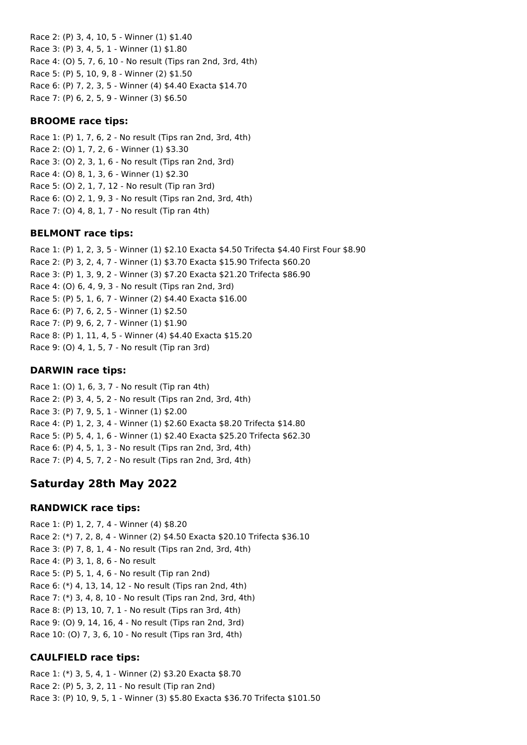Race 2: (P) 3, 4, 10, 5 - Winner (1) \$1.40 Race 3: (P) 3, 4, 5, 1 - Winner (1) \$1.80 Race 4: (O) 5, 7, 6, 10 - No result (Tips ran 2nd, 3rd, 4th) Race 5: (P) 5, 10, 9, 8 - Winner (2) \$1.50 Race 6: (P) 7, 2, 3, 5 - Winner (4) \$4.40 Exacta \$14.70 Race 7: (P) 6, 2, 5, 9 - Winner (3) \$6.50

### **BROOME race tips:**

Race 1: (P) 1, 7, 6, 2 - No result (Tips ran 2nd, 3rd, 4th) Race 2: (O) 1, 7, 2, 6 - Winner (1) \$3.30 Race 3: (O) 2, 3, 1, 6 - No result (Tips ran 2nd, 3rd) Race 4: (O) 8, 1, 3, 6 - Winner (1) \$2.30 Race 5: (O) 2, 1, 7, 12 - No result (Tip ran 3rd) Race 6: (O) 2, 1, 9, 3 - No result (Tips ran 2nd, 3rd, 4th) Race 7: (O) 4, 8, 1, 7 - No result (Tip ran 4th)

## **BELMONT race tips:**

Race 1: (P) 1, 2, 3, 5 - Winner (1) \$2.10 Exacta \$4.50 Trifecta \$4.40 First Four \$8.90 Race 2: (P) 3, 2, 4, 7 - Winner (1) \$3.70 Exacta \$15.90 Trifecta \$60.20 Race 3: (P) 1, 3, 9, 2 - Winner (3) \$7.20 Exacta \$21.20 Trifecta \$86.90 Race 4: (O) 6, 4, 9, 3 - No result (Tips ran 2nd, 3rd) Race 5: (P) 5, 1, 6, 7 - Winner (2) \$4.40 Exacta \$16.00 Race 6: (P) 7, 6, 2, 5 - Winner (1) \$2.50 Race 7: (P) 9, 6, 2, 7 - Winner (1) \$1.90 Race 8: (P) 1, 11, 4, 5 - Winner (4) \$4.40 Exacta \$15.20 Race 9: (O) 4, 1, 5, 7 - No result (Tip ran 3rd)

### **DARWIN race tips:**

Race 1: (O) 1, 6, 3, 7 - No result (Tip ran 4th) Race 2: (P) 3, 4, 5, 2 - No result (Tips ran 2nd, 3rd, 4th) Race 3: (P) 7, 9, 5, 1 - Winner (1) \$2.00 Race 4: (P) 1, 2, 3, 4 - Winner (1) \$2.60 Exacta \$8.20 Trifecta \$14.80 Race 5: (P) 5, 4, 1, 6 - Winner (1) \$2.40 Exacta \$25.20 Trifecta \$62.30 Race 6: (P) 4, 5, 1, 3 - No result (Tips ran 2nd, 3rd, 4th) Race 7: (P) 4, 5, 7, 2 - No result (Tips ran 2nd, 3rd, 4th)

# **Saturday 28th May 2022**

## **RANDWICK race tips:**

Race 1: (P) 1, 2, 7, 4 - Winner (4) \$8.20 Race 2: (\*) 7, 2, 8, 4 - Winner (2) \$4.50 Exacta \$20.10 Trifecta \$36.10 Race 3: (P) 7, 8, 1, 4 - No result (Tips ran 2nd, 3rd, 4th) Race 4: (P) 3, 1, 8, 6 - No result Race 5: (P) 5, 1, 4, 6 - No result (Tip ran 2nd) Race 6: (\*) 4, 13, 14, 12 - No result (Tips ran 2nd, 4th) Race 7: (\*) 3, 4, 8, 10 - No result (Tips ran 2nd, 3rd, 4th) Race 8: (P) 13, 10, 7, 1 - No result (Tips ran 3rd, 4th) Race 9: (O) 9, 14, 16, 4 - No result (Tips ran 2nd, 3rd) Race 10: (O) 7, 3, 6, 10 - No result (Tips ran 3rd, 4th)

## **CAULFIELD race tips:**

Race 1: (\*) 3, 5, 4, 1 - Winner (2) \$3.20 Exacta \$8.70 Race 2: (P) 5, 3, 2, 11 - No result (Tip ran 2nd) Race 3: (P) 10, 9, 5, 1 - Winner (3) \$5.80 Exacta \$36.70 Trifecta \$101.50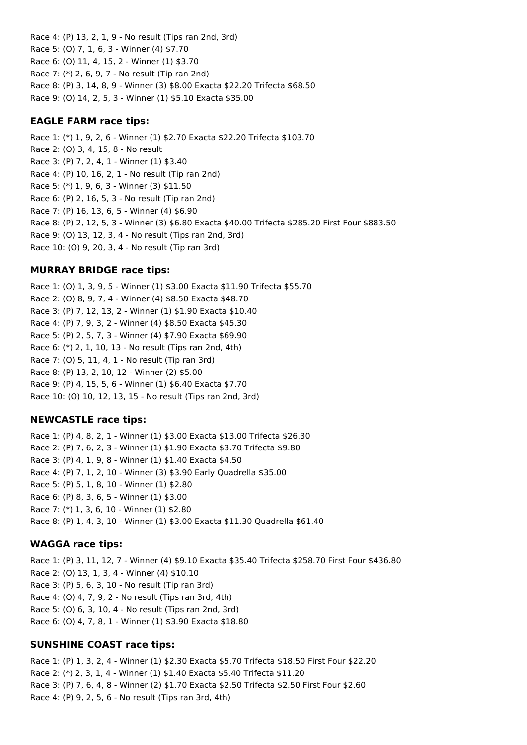Race 4: (P) 13, 2, 1, 9 - No result (Tips ran 2nd, 3rd) Race 5: (O) 7, 1, 6, 3 - Winner (4) \$7.70 Race 6: (O) 11, 4, 15, 2 - Winner (1) \$3.70 Race 7: (\*) 2, 6, 9, 7 - No result (Tip ran 2nd) Race 8: (P) 3, 14, 8, 9 - Winner (3) \$8.00 Exacta \$22.20 Trifecta \$68.50 Race 9: (O) 14, 2, 5, 3 - Winner (1) \$5.10 Exacta \$35.00

### **EAGLE FARM race tips:**

Race 1: (\*) 1, 9, 2, 6 - Winner (1) \$2.70 Exacta \$22.20 Trifecta \$103.70 Race 2: (O) 3, 4, 15, 8 - No result Race 3: (P) 7, 2, 4, 1 - Winner (1) \$3.40 Race 4: (P) 10, 16, 2, 1 - No result (Tip ran 2nd) Race 5: (\*) 1, 9, 6, 3 - Winner (3) \$11.50 Race 6: (P) 2, 16, 5, 3 - No result (Tip ran 2nd) Race 7: (P) 16, 13, 6, 5 - Winner (4) \$6.90 Race 8: (P) 2, 12, 5, 3 - Winner (3) \$6.80 Exacta \$40.00 Trifecta \$285.20 First Four \$883.50 Race 9: (O) 13, 12, 3, 4 - No result (Tips ran 2nd, 3rd) Race 10: (O) 9, 20, 3, 4 - No result (Tip ran 3rd)

### **MURRAY BRIDGE race tips:**

Race 1: (O) 1, 3, 9, 5 - Winner (1) \$3.00 Exacta \$11.90 Trifecta \$55.70 Race 2: (O) 8, 9, 7, 4 - Winner (4) \$8.50 Exacta \$48.70 Race 3: (P) 7, 12, 13, 2 - Winner (1) \$1.90 Exacta \$10.40 Race 4: (P) 7, 9, 3, 2 - Winner (4) \$8.50 Exacta \$45.30 Race 5: (P) 2, 5, 7, 3 - Winner (4) \$7.90 Exacta \$69.90 Race 6: (\*) 2, 1, 10, 13 - No result (Tips ran 2nd, 4th) Race 7: (O) 5, 11, 4, 1 - No result (Tip ran 3rd) Race 8: (P) 13, 2, 10, 12 - Winner (2) \$5.00 Race 9: (P) 4, 15, 5, 6 - Winner (1) \$6.40 Exacta \$7.70 Race 10: (O) 10, 12, 13, 15 - No result (Tips ran 2nd, 3rd)

#### **NEWCASTLE race tips:**

Race 1: (P) 4, 8, 2, 1 - Winner (1) \$3.00 Exacta \$13.00 Trifecta \$26.30 Race 2: (P) 7, 6, 2, 3 - Winner (1) \$1.90 Exacta \$3.70 Trifecta \$9.80 Race 3: (P) 4, 1, 9, 8 - Winner (1) \$1.40 Exacta \$4.50 Race 4: (P) 7, 1, 2, 10 - Winner (3) \$3.90 Early Quadrella \$35.00 Race 5: (P) 5, 1, 8, 10 - Winner (1) \$2.80 Race 6: (P) 8, 3, 6, 5 - Winner (1) \$3.00 Race 7: (\*) 1, 3, 6, 10 - Winner (1) \$2.80 Race 8: (P) 1, 4, 3, 10 - Winner (1) \$3.00 Exacta \$11.30 Quadrella \$61.40

#### **WAGGA race tips:**

Race 1: (P) 3, 11, 12, 7 - Winner (4) \$9.10 Exacta \$35.40 Trifecta \$258.70 First Four \$436.80 Race 2: (O) 13, 1, 3, 4 - Winner (4) \$10.10 Race 3: (P) 5, 6, 3, 10 - No result (Tip ran 3rd) Race 4: (O) 4, 7, 9, 2 - No result (Tips ran 3rd, 4th) Race 5: (O) 6, 3, 10, 4 - No result (Tips ran 2nd, 3rd) Race 6: (O) 4, 7, 8, 1 - Winner (1) \$3.90 Exacta \$18.80

#### **SUNSHINE COAST race tips:**

Race 1: (P) 1, 3, 2, 4 - Winner (1) \$2.30 Exacta \$5.70 Trifecta \$18.50 First Four \$22.20 Race 2: (\*) 2, 3, 1, 4 - Winner (1) \$1.40 Exacta \$5.40 Trifecta \$11.20 Race 3: (P) 7, 6, 4, 8 - Winner (2) \$1.70 Exacta \$2.50 Trifecta \$2.50 First Four \$2.60 Race 4: (P) 9, 2, 5, 6 - No result (Tips ran 3rd, 4th)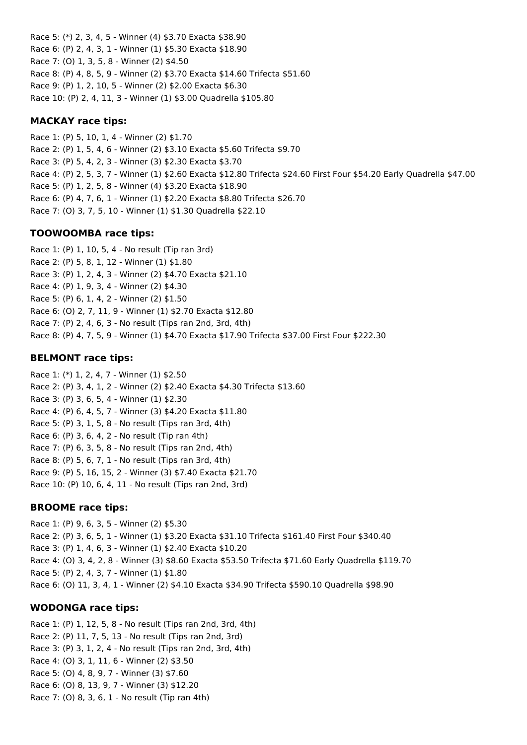Race 5: (\*) 2, 3, 4, 5 - Winner (4) \$3.70 Exacta \$38.90 Race 6: (P) 2, 4, 3, 1 - Winner (1) \$5.30 Exacta \$18.90 Race 7: (O) 1, 3, 5, 8 - Winner (2) \$4.50 Race 8: (P) 4, 8, 5, 9 - Winner (2) \$3.70 Exacta \$14.60 Trifecta \$51.60 Race 9: (P) 1, 2, 10, 5 - Winner (2) \$2.00 Exacta \$6.30 Race 10: (P) 2, 4, 11, 3 - Winner (1) \$3.00 Quadrella \$105.80

## **MACKAY race tips:**

Race 1: (P) 5, 10, 1, 4 - Winner (2) \$1.70 Race 2: (P) 1, 5, 4, 6 - Winner (2) \$3.10 Exacta \$5.60 Trifecta \$9.70 Race 3: (P) 5, 4, 2, 3 - Winner (3) \$2.30 Exacta \$3.70 Race 4: (P) 2, 5, 3, 7 - Winner (1) \$2.60 Exacta \$12.80 Trifecta \$24.60 First Four \$54.20 Early Quadrella \$47.00 Race 5: (P) 1, 2, 5, 8 - Winner (4) \$3.20 Exacta \$18.90 Race 6: (P) 4, 7, 6, 1 - Winner (1) \$2.20 Exacta \$8.80 Trifecta \$26.70 Race 7: (O) 3, 7, 5, 10 - Winner (1) \$1.30 Quadrella \$22.10

## **TOOWOOMBA race tips:**

Race 1: (P) 1, 10, 5, 4 - No result (Tip ran 3rd) Race 2: (P) 5, 8, 1, 12 - Winner (1) \$1.80 Race 3: (P) 1, 2, 4, 3 - Winner (2) \$4.70 Exacta \$21.10 Race 4: (P) 1, 9, 3, 4 - Winner (2) \$4.30 Race 5: (P) 6, 1, 4, 2 - Winner (2) \$1.50 Race 6: (O) 2, 7, 11, 9 - Winner (1) \$2.70 Exacta \$12.80 Race 7: (P) 2, 4, 6, 3 - No result (Tips ran 2nd, 3rd, 4th) Race 8: (P) 4, 7, 5, 9 - Winner (1) \$4.70 Exacta \$17.90 Trifecta \$37.00 First Four \$222.30

## **BELMONT race tips:**

Race 1: (\*) 1, 2, 4, 7 - Winner (1) \$2.50 Race 2: (P) 3, 4, 1, 2 - Winner (2) \$2.40 Exacta \$4.30 Trifecta \$13.60 Race 3: (P) 3, 6, 5, 4 - Winner (1) \$2.30 Race 4: (P) 6, 4, 5, 7 - Winner (3) \$4.20 Exacta \$11.80 Race 5: (P) 3, 1, 5, 8 - No result (Tips ran 3rd, 4th) Race 6: (P) 3, 6, 4, 2 - No result (Tip ran 4th) Race 7: (P) 6, 3, 5, 8 - No result (Tips ran 2nd, 4th) Race 8: (P) 5, 6, 7, 1 - No result (Tips ran 3rd, 4th) Race 9: (P) 5, 16, 15, 2 - Winner (3) \$7.40 Exacta \$21.70 Race 10: (P) 10, 6, 4, 11 - No result (Tips ran 2nd, 3rd)

## **BROOME race tips:**

Race 1: (P) 9, 6, 3, 5 - Winner (2) \$5.30 Race 2: (P) 3, 6, 5, 1 - Winner (1) \$3.20 Exacta \$31.10 Trifecta \$161.40 First Four \$340.40 Race 3: (P) 1, 4, 6, 3 - Winner (1) \$2.40 Exacta \$10.20 Race 4: (O) 3, 4, 2, 8 - Winner (3) \$8.60 Exacta \$53.50 Trifecta \$71.60 Early Quadrella \$119.70 Race 5: (P) 2, 4, 3, 7 - Winner (1) \$1.80 Race 6: (O) 11, 3, 4, 1 - Winner (2) \$4.10 Exacta \$34.90 Trifecta \$590.10 Quadrella \$98.90

## **WODONGA race tips:**

Race 1: (P) 1, 12, 5, 8 - No result (Tips ran 2nd, 3rd, 4th) Race 2: (P) 11, 7, 5, 13 - No result (Tips ran 2nd, 3rd) Race 3: (P) 3, 1, 2, 4 - No result (Tips ran 2nd, 3rd, 4th) Race 4: (O) 3, 1, 11, 6 - Winner (2) \$3.50 Race 5: (O) 4, 8, 9, 7 - Winner (3) \$7.60 Race 6: (O) 8, 13, 9, 7 - Winner (3) \$12.20 Race 7: (O) 8, 3, 6, 1 - No result (Tip ran 4th)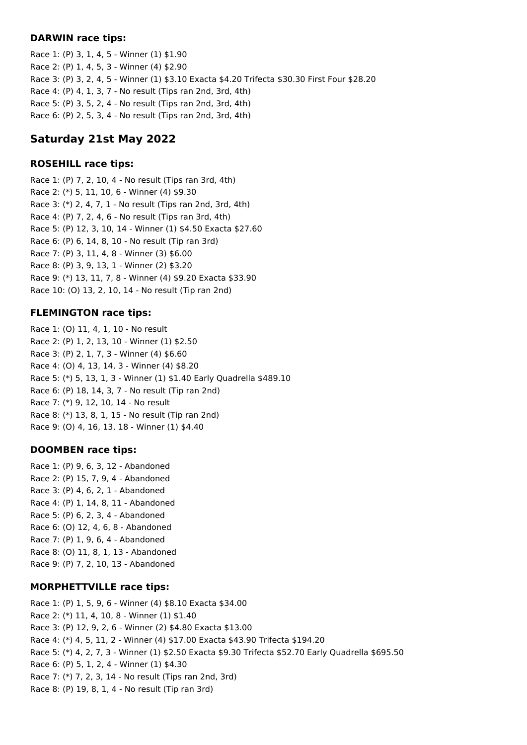### **DARWIN race tips:**

Race 1: (P) 3, 1, 4, 5 - Winner (1) \$1.90 Race 2: (P) 1, 4, 5, 3 - Winner (4) \$2.90 Race 3: (P) 3, 2, 4, 5 - Winner (1) \$3.10 Exacta \$4.20 Trifecta \$30.30 First Four \$28.20 Race 4: (P) 4, 1, 3, 7 - No result (Tips ran 2nd, 3rd, 4th) Race 5: (P) 3, 5, 2, 4 - No result (Tips ran 2nd, 3rd, 4th) Race 6: (P) 2, 5, 3, 4 - No result (Tips ran 2nd, 3rd, 4th)

# **Saturday 21st May 2022**

## **ROSEHILL race tips:**

Race 1: (P) 7, 2, 10, 4 - No result (Tips ran 3rd, 4th) Race 2: (\*) 5, 11, 10, 6 - Winner (4) \$9.30 Race 3: (\*) 2, 4, 7, 1 - No result (Tips ran 2nd, 3rd, 4th) Race 4: (P) 7, 2, 4, 6 - No result (Tips ran 3rd, 4th) Race 5: (P) 12, 3, 10, 14 - Winner (1) \$4.50 Exacta \$27.60 Race 6: (P) 6, 14, 8, 10 - No result (Tip ran 3rd) Race 7: (P) 3, 11, 4, 8 - Winner (3) \$6.00 Race 8: (P) 3, 9, 13, 1 - Winner (2) \$3.20 Race 9: (\*) 13, 11, 7, 8 - Winner (4) \$9.20 Exacta \$33.90 Race 10: (O) 13, 2, 10, 14 - No result (Tip ran 2nd)

## **FLEMINGTON race tips:**

Race 1: (O) 11, 4, 1, 10 - No result Race 2: (P) 1, 2, 13, 10 - Winner (1) \$2.50 Race 3: (P) 2, 1, 7, 3 - Winner (4) \$6.60 Race 4: (O) 4, 13, 14, 3 - Winner (4) \$8.20 Race 5: (\*) 5, 13, 1, 3 - Winner (1) \$1.40 Early Quadrella \$489.10 Race 6: (P) 18, 14, 3, 7 - No result (Tip ran 2nd) Race 7: (\*) 9, 12, 10, 14 - No result Race 8: (\*) 13, 8, 1, 15 - No result (Tip ran 2nd) Race 9: (O) 4, 16, 13, 18 - Winner (1) \$4.40

## **DOOMBEN race tips:**

Race 1: (P) 9, 6, 3, 12 - Abandoned Race 2: (P) 15, 7, 9, 4 - Abandoned Race 3: (P) 4, 6, 2, 1 - Abandoned Race 4: (P) 1, 14, 8, 11 - Abandoned Race 5: (P) 6, 2, 3, 4 - Abandoned Race 6: (O) 12, 4, 6, 8 - Abandoned Race 7: (P) 1, 9, 6, 4 - Abandoned Race 8: (O) 11, 8, 1, 13 - Abandoned Race 9: (P) 7, 2, 10, 13 - Abandoned

## **MORPHETTVILLE race tips:**

Race 1: (P) 1, 5, 9, 6 - Winner (4) \$8.10 Exacta \$34.00 Race 2: (\*) 11, 4, 10, 8 - Winner (1) \$1.40 Race 3: (P) 12, 9, 2, 6 - Winner (2) \$4.80 Exacta \$13.00 Race 4: (\*) 4, 5, 11, 2 - Winner (4) \$17.00 Exacta \$43.90 Trifecta \$194.20 Race 5: (\*) 4, 2, 7, 3 - Winner (1) \$2.50 Exacta \$9.30 Trifecta \$52.70 Early Quadrella \$695.50 Race 6: (P) 5, 1, 2, 4 - Winner (1) \$4.30 Race 7: (\*) 7, 2, 3, 14 - No result (Tips ran 2nd, 3rd) Race 8: (P) 19, 8, 1, 4 - No result (Tip ran 3rd)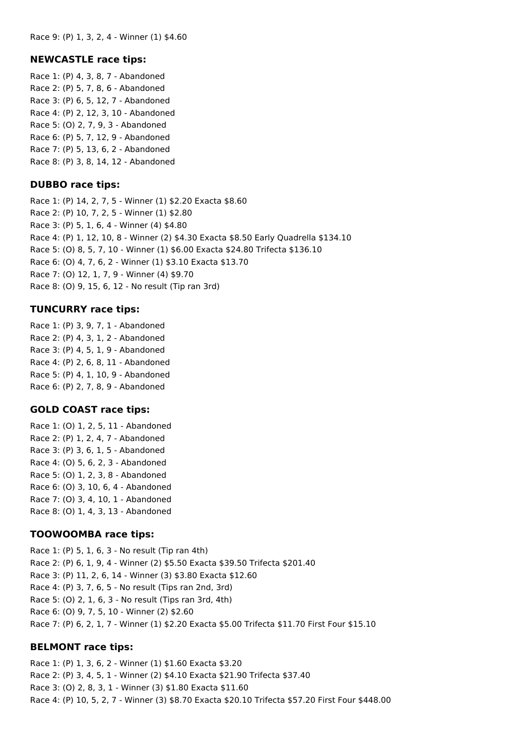## **NEWCASTLE race tips:**

Race 1: (P) 4, 3, 8, 7 - Abandoned Race 2: (P) 5, 7, 8, 6 - Abandoned Race 3: (P) 6, 5, 12, 7 - Abandoned Race 4: (P) 2, 12, 3, 10 - Abandoned Race 5: (O) 2, 7, 9, 3 - Abandoned Race 6: (P) 5, 7, 12, 9 - Abandoned Race 7: (P) 5, 13, 6, 2 - Abandoned Race 8: (P) 3, 8, 14, 12 - Abandoned

## **DUBBO race tips:**

Race 1: (P) 14, 2, 7, 5 - Winner (1) \$2.20 Exacta \$8.60 Race 2: (P) 10, 7, 2, 5 - Winner (1) \$2.80 Race 3: (P) 5, 1, 6, 4 - Winner (4) \$4.80 Race 4: (P) 1, 12, 10, 8 - Winner (2) \$4.30 Exacta \$8.50 Early Quadrella \$134.10 Race 5: (O) 8, 5, 7, 10 - Winner (1) \$6.00 Exacta \$24.80 Trifecta \$136.10 Race 6: (O) 4, 7, 6, 2 - Winner (1) \$3.10 Exacta \$13.70 Race 7: (O) 12, 1, 7, 9 - Winner (4) \$9.70 Race 8: (O) 9, 15, 6, 12 - No result (Tip ran 3rd)

## **TUNCURRY race tips:**

Race 1: (P) 3, 9, 7, 1 - Abandoned Race 2: (P) 4, 3, 1, 2 - Abandoned Race 3: (P) 4, 5, 1, 9 - Abandoned Race 4: (P) 2, 6, 8, 11 - Abandoned Race 5: (P) 4, 1, 10, 9 - Abandoned Race 6: (P) 2, 7, 8, 9 - Abandoned

## **GOLD COAST race tips:**

Race 1: (O) 1, 2, 5, 11 - Abandoned Race 2: (P) 1, 2, 4, 7 - Abandoned Race 3: (P) 3, 6, 1, 5 - Abandoned Race 4: (O) 5, 6, 2, 3 - Abandoned Race 5: (O) 1, 2, 3, 8 - Abandoned Race 6: (O) 3, 10, 6, 4 - Abandoned Race 7: (O) 3, 4, 10, 1 - Abandoned Race 8: (O) 1, 4, 3, 13 - Abandoned

## **TOOWOOMBA race tips:**

Race 1: (P) 5, 1, 6, 3 - No result (Tip ran 4th) Race 2: (P) 6, 1, 9, 4 - Winner (2) \$5.50 Exacta \$39.50 Trifecta \$201.40 Race 3: (P) 11, 2, 6, 14 - Winner (3) \$3.80 Exacta \$12.60 Race 4: (P) 3, 7, 6, 5 - No result (Tips ran 2nd, 3rd) Race 5: (O) 2, 1, 6, 3 - No result (Tips ran 3rd, 4th) Race 6: (O) 9, 7, 5, 10 - Winner (2) \$2.60 Race 7: (P) 6, 2, 1, 7 - Winner (1) \$2.20 Exacta \$5.00 Trifecta \$11.70 First Four \$15.10

# **BELMONT race tips:**

Race 1: (P) 1, 3, 6, 2 - Winner (1) \$1.60 Exacta \$3.20 Race 2: (P) 3, 4, 5, 1 - Winner (2) \$4.10 Exacta \$21.90 Trifecta \$37.40 Race 3: (O) 2, 8, 3, 1 - Winner (3) \$1.80 Exacta \$11.60 Race 4: (P) 10, 5, 2, 7 - Winner (3) \$8.70 Exacta \$20.10 Trifecta \$57.20 First Four \$448.00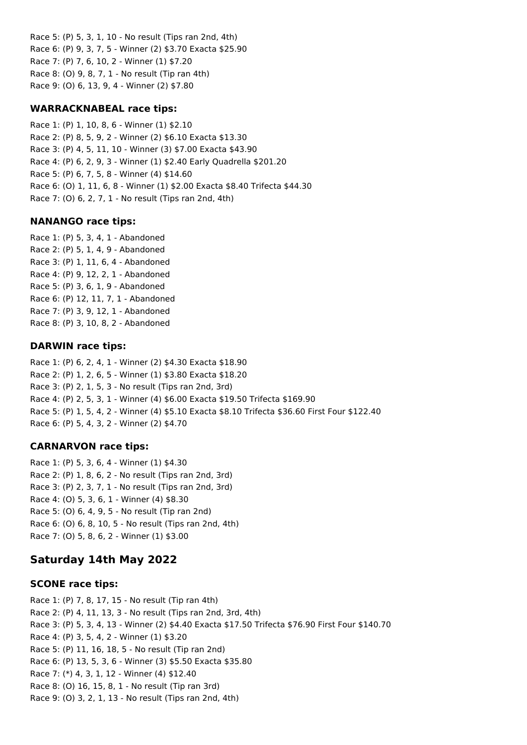Race 5: (P) 5, 3, 1, 10 - No result (Tips ran 2nd, 4th) Race 6: (P) 9, 3, 7, 5 - Winner (2) \$3.70 Exacta \$25.90 Race 7: (P) 7, 6, 10, 2 - Winner (1) \$7.20 Race 8: (O) 9, 8, 7, 1 - No result (Tip ran 4th) Race 9: (O) 6, 13, 9, 4 - Winner (2) \$7.80

#### **WARRACKNABEAL race tips:**

Race 1: (P) 1, 10, 8, 6 - Winner (1) \$2.10 Race 2: (P) 8, 5, 9, 2 - Winner (2) \$6.10 Exacta \$13.30 Race 3: (P) 4, 5, 11, 10 - Winner (3) \$7.00 Exacta \$43.90 Race 4: (P) 6, 2, 9, 3 - Winner (1) \$2.40 Early Quadrella \$201.20 Race 5: (P) 6, 7, 5, 8 - Winner (4) \$14.60 Race 6: (O) 1, 11, 6, 8 - Winner (1) \$2.00 Exacta \$8.40 Trifecta \$44.30 Race 7: (O) 6, 2, 7, 1 - No result (Tips ran 2nd, 4th)

### **NANANGO race tips:**

Race 1: (P) 5, 3, 4, 1 - Abandoned Race 2: (P) 5, 1, 4, 9 - Abandoned Race 3: (P) 1, 11, 6, 4 - Abandoned Race 4: (P) 9, 12, 2, 1 - Abandoned Race 5: (P) 3, 6, 1, 9 - Abandoned Race 6: (P) 12, 11, 7, 1 - Abandoned Race 7: (P) 3, 9, 12, 1 - Abandoned Race 8: (P) 3, 10, 8, 2 - Abandoned

### **DARWIN race tips:**

Race 1: (P) 6, 2, 4, 1 - Winner (2) \$4.30 Exacta \$18.90 Race 2: (P) 1, 2, 6, 5 - Winner (1) \$3.80 Exacta \$18.20 Race 3: (P) 2, 1, 5, 3 - No result (Tips ran 2nd, 3rd) Race 4: (P) 2, 5, 3, 1 - Winner (4) \$6.00 Exacta \$19.50 Trifecta \$169.90 Race 5: (P) 1, 5, 4, 2 - Winner (4) \$5.10 Exacta \$8.10 Trifecta \$36.60 First Four \$122.40 Race 6: (P) 5, 4, 3, 2 - Winner (2) \$4.70

## **CARNARVON race tips:**

Race 1: (P) 5, 3, 6, 4 - Winner (1) \$4.30 Race 2: (P) 1, 8, 6, 2 - No result (Tips ran 2nd, 3rd) Race 3: (P) 2, 3, 7, 1 - No result (Tips ran 2nd, 3rd) Race 4: (O) 5, 3, 6, 1 - Winner (4) \$8.30 Race 5: (O) 6, 4, 9, 5 - No result (Tip ran 2nd) Race 6: (O) 6, 8, 10, 5 - No result (Tips ran 2nd, 4th) Race 7: (O) 5, 8, 6, 2 - Winner (1) \$3.00

## **Saturday 14th May 2022**

#### **SCONE race tips:**

Race 1: (P) 7, 8, 17, 15 - No result (Tip ran 4th) Race 2: (P) 4, 11, 13, 3 - No result (Tips ran 2nd, 3rd, 4th) Race 3: (P) 5, 3, 4, 13 - Winner (2) \$4.40 Exacta \$17.50 Trifecta \$76.90 First Four \$140.70 Race 4: (P) 3, 5, 4, 2 - Winner (1) \$3.20 Race 5: (P) 11, 16, 18, 5 - No result (Tip ran 2nd) Race 6: (P) 13, 5, 3, 6 - Winner (3) \$5.50 Exacta \$35.80 Race 7: (\*) 4, 3, 1, 12 - Winner (4) \$12.40 Race 8: (O) 16, 15, 8, 1 - No result (Tip ran 3rd) Race 9: (O) 3, 2, 1, 13 - No result (Tips ran 2nd, 4th)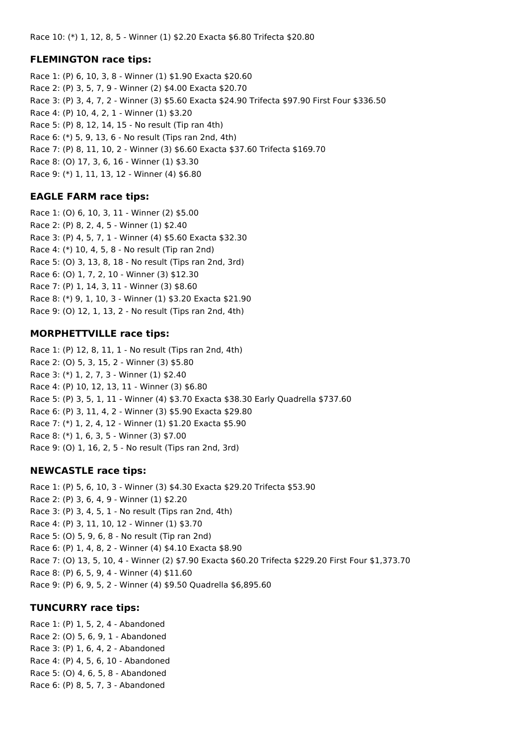#### **FLEMINGTON race tips:**

Race 1: (P) 6, 10, 3, 8 - Winner (1) \$1.90 Exacta \$20.60 Race 2: (P) 3, 5, 7, 9 - Winner (2) \$4.00 Exacta \$20.70 Race 3: (P) 3, 4, 7, 2 - Winner (3) \$5.60 Exacta \$24.90 Trifecta \$97.90 First Four \$336.50 Race 4: (P) 10, 4, 2, 1 - Winner (1) \$3.20 Race 5: (P) 8, 12, 14, 15 - No result (Tip ran 4th) Race 6: (\*) 5, 9, 13, 6 - No result (Tips ran 2nd, 4th) Race 7: (P) 8, 11, 10, 2 - Winner (3) \$6.60 Exacta \$37.60 Trifecta \$169.70 Race 8: (O) 17, 3, 6, 16 - Winner (1) \$3.30 Race 9: (\*) 1, 11, 13, 12 - Winner (4) \$6.80

#### **EAGLE FARM race tips:**

Race 1: (O) 6, 10, 3, 11 - Winner (2) \$5.00 Race 2: (P) 8, 2, 4, 5 - Winner (1) \$2.40 Race 3: (P) 4, 5, 7, 1 - Winner (4) \$5.60 Exacta \$32.30 Race 4: (\*) 10, 4, 5, 8 - No result (Tip ran 2nd) Race 5: (O) 3, 13, 8, 18 - No result (Tips ran 2nd, 3rd) Race 6: (O) 1, 7, 2, 10 - Winner (3) \$12.30 Race 7: (P) 1, 14, 3, 11 - Winner (3) \$8.60 Race 8: (\*) 9, 1, 10, 3 - Winner (1) \$3.20 Exacta \$21.90 Race 9: (O) 12, 1, 13, 2 - No result (Tips ran 2nd, 4th)

#### **MORPHETTVILLE race tips:**

Race 1: (P) 12, 8, 11, 1 - No result (Tips ran 2nd, 4th) Race 2: (O) 5, 3, 15, 2 - Winner (3) \$5.80 Race 3: (\*) 1, 2, 7, 3 - Winner (1) \$2.40 Race 4: (P) 10, 12, 13, 11 - Winner (3) \$6.80 Race 5: (P) 3, 5, 1, 11 - Winner (4) \$3.70 Exacta \$38.30 Early Quadrella \$737.60 Race 6: (P) 3, 11, 4, 2 - Winner (3) \$5.90 Exacta \$29.80 Race 7: (\*) 1, 2, 4, 12 - Winner (1) \$1.20 Exacta \$5.90 Race 8: (\*) 1, 6, 3, 5 - Winner (3) \$7.00 Race 9: (O) 1, 16, 2, 5 - No result (Tips ran 2nd, 3rd)

#### **NEWCASTLE race tips:**

Race 1: (P) 5, 6, 10, 3 - Winner (3) \$4.30 Exacta \$29.20 Trifecta \$53.90 Race 2: (P) 3, 6, 4, 9 - Winner (1) \$2.20 Race 3: (P) 3, 4, 5, 1 - No result (Tips ran 2nd, 4th) Race 4: (P) 3, 11, 10, 12 - Winner (1) \$3.70 Race 5: (O) 5, 9, 6, 8 - No result (Tip ran 2nd) Race 6: (P) 1, 4, 8, 2 - Winner (4) \$4.10 Exacta \$8.90 Race 7: (O) 13, 5, 10, 4 - Winner (2) \$7.90 Exacta \$60.20 Trifecta \$229.20 First Four \$1,373.70 Race 8: (P) 6, 5, 9, 4 - Winner (4) \$11.60 Race 9: (P) 6, 9, 5, 2 - Winner (4) \$9.50 Quadrella \$6,895.60

#### **TUNCURRY race tips:**

Race 1: (P) 1, 5, 2, 4 - Abandoned Race 2: (O) 5, 6, 9, 1 - Abandoned Race 3: (P) 1, 6, 4, 2 - Abandoned Race 4: (P) 4, 5, 6, 10 - Abandoned Race 5: (O) 4, 6, 5, 8 - Abandoned Race 6: (P) 8, 5, 7, 3 - Abandoned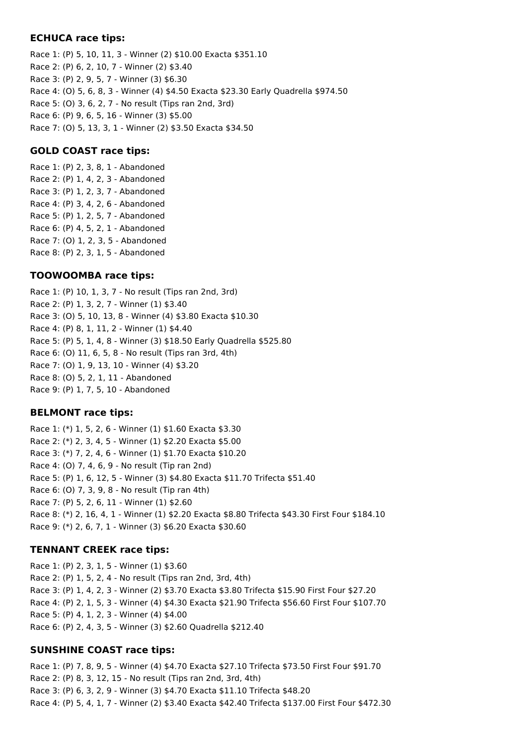#### **ECHUCA race tips:**

Race 1: (P) 5, 10, 11, 3 - Winner (2) \$10.00 Exacta \$351.10 Race 2: (P) 6, 2, 10, 7 - Winner (2) \$3.40 Race 3: (P) 2, 9, 5, 7 - Winner (3) \$6.30 Race 4: (O) 5, 6, 8, 3 - Winner (4) \$4.50 Exacta \$23.30 Early Quadrella \$974.50 Race 5: (O) 3, 6, 2, 7 - No result (Tips ran 2nd, 3rd) Race 6: (P) 9, 6, 5, 16 - Winner (3) \$5.00 Race 7: (O) 5, 13, 3, 1 - Winner (2) \$3.50 Exacta \$34.50

#### **GOLD COAST race tips:**

Race 1: (P) 2, 3, 8, 1 - Abandoned Race 2: (P) 1, 4, 2, 3 - Abandoned Race 3: (P) 1, 2, 3, 7 - Abandoned Race 4: (P) 3, 4, 2, 6 - Abandoned Race 5: (P) 1, 2, 5, 7 - Abandoned Race 6: (P) 4, 5, 2, 1 - Abandoned Race 7: (O) 1, 2, 3, 5 - Abandoned Race 8: (P) 2, 3, 1, 5 - Abandoned

#### **TOOWOOMBA race tips:**

Race 1: (P) 10, 1, 3, 7 - No result (Tips ran 2nd, 3rd) Race 2: (P) 1, 3, 2, 7 - Winner (1) \$3.40 Race 3: (O) 5, 10, 13, 8 - Winner (4) \$3.80 Exacta \$10.30 Race 4: (P) 8, 1, 11, 2 - Winner (1) \$4.40 Race 5: (P) 5, 1, 4, 8 - Winner (3) \$18.50 Early Quadrella \$525.80 Race 6: (O) 11, 6, 5, 8 - No result (Tips ran 3rd, 4th) Race 7: (O) 1, 9, 13, 10 - Winner (4) \$3.20 Race 8: (O) 5, 2, 1, 11 - Abandoned Race 9: (P) 1, 7, 5, 10 - Abandoned

#### **BELMONT race tips:**

Race 1: (\*) 1, 5, 2, 6 - Winner (1) \$1.60 Exacta \$3.30 Race 2: (\*) 2, 3, 4, 5 - Winner (1) \$2.20 Exacta \$5.00 Race 3: (\*) 7, 2, 4, 6 - Winner (1) \$1.70 Exacta \$10.20 Race 4: (O) 7, 4, 6, 9 - No result (Tip ran 2nd) Race 5: (P) 1, 6, 12, 5 - Winner (3) \$4.80 Exacta \$11.70 Trifecta \$51.40 Race 6: (O) 7, 3, 9, 8 - No result (Tip ran 4th) Race 7: (P) 5, 2, 6, 11 - Winner (1) \$2.60 Race 8: (\*) 2, 16, 4, 1 - Winner (1) \$2.20 Exacta \$8.80 Trifecta \$43.30 First Four \$184.10 Race 9: (\*) 2, 6, 7, 1 - Winner (3) \$6.20 Exacta \$30.60

#### **TENNANT CREEK race tips:**

Race 1: (P) 2, 3, 1, 5 - Winner (1) \$3.60 Race 2: (P) 1, 5, 2, 4 - No result (Tips ran 2nd, 3rd, 4th) Race 3: (P) 1, 4, 2, 3 - Winner (2) \$3.70 Exacta \$3.80 Trifecta \$15.90 First Four \$27.20 Race 4: (P) 2, 1, 5, 3 - Winner (4) \$4.30 Exacta \$21.90 Trifecta \$56.60 First Four \$107.70 Race 5: (P) 4, 1, 2, 3 - Winner (4) \$4.00 Race 6: (P) 2, 4, 3, 5 - Winner (3) \$2.60 Quadrella \$212.40

#### **SUNSHINE COAST race tips:**

Race 1: (P) 7, 8, 9, 5 - Winner (4) \$4.70 Exacta \$27.10 Trifecta \$73.50 First Four \$91.70 Race 2: (P) 8, 3, 12, 15 - No result (Tips ran 2nd, 3rd, 4th) Race 3: (P) 6, 3, 2, 9 - Winner (3) \$4.70 Exacta \$11.10 Trifecta \$48.20 Race 4: (P) 5, 4, 1, 7 - Winner (2) \$3.40 Exacta \$42.40 Trifecta \$137.00 First Four \$472.30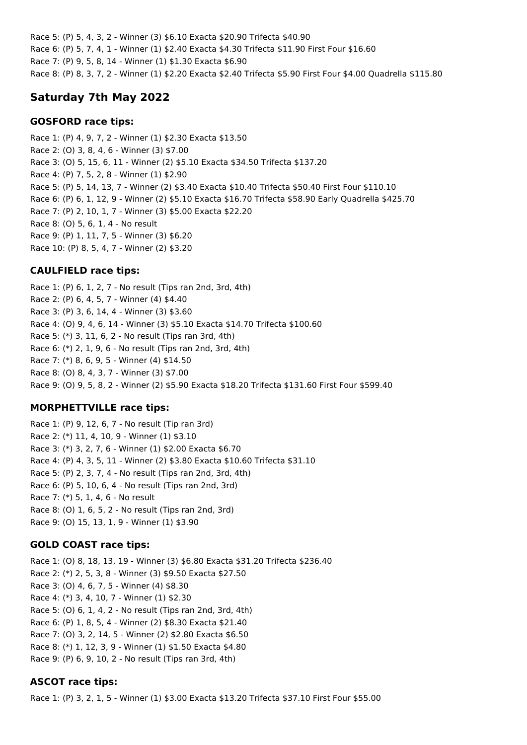Race 5: (P) 5, 4, 3, 2 - Winner (3) \$6.10 Exacta \$20.90 Trifecta \$40.90 Race 6: (P) 5, 7, 4, 1 - Winner (1) \$2.40 Exacta \$4.30 Trifecta \$11.90 First Four \$16.60 Race 7: (P) 9, 5, 8, 14 - Winner (1) \$1.30 Exacta \$6.90 Race 8: (P) 8, 3, 7, 2 - Winner (1) \$2.20 Exacta \$2.40 Trifecta \$5.90 First Four \$4.00 Quadrella \$115.80

## **Saturday 7th May 2022**

### **GOSFORD race tips:**

Race 1: (P) 4, 9, 7, 2 - Winner (1) \$2.30 Exacta \$13.50 Race 2: (O) 3, 8, 4, 6 - Winner (3) \$7.00 Race 3: (O) 5, 15, 6, 11 - Winner (2) \$5.10 Exacta \$34.50 Trifecta \$137.20 Race 4: (P) 7, 5, 2, 8 - Winner (1) \$2.90 Race 5: (P) 5, 14, 13, 7 - Winner (2) \$3.40 Exacta \$10.40 Trifecta \$50.40 First Four \$110.10 Race 6: (P) 6, 1, 12, 9 - Winner (2) \$5.10 Exacta \$16.70 Trifecta \$58.90 Early Quadrella \$425.70 Race 7: (P) 2, 10, 1, 7 - Winner (3) \$5.00 Exacta \$22.20 Race 8: (O) 5, 6, 1, 4 - No result Race 9: (P) 1, 11, 7, 5 - Winner (3) \$6.20 Race 10: (P) 8, 5, 4, 7 - Winner (2) \$3.20

## **CAULFIELD race tips:**

Race 1: (P) 6, 1, 2, 7 - No result (Tips ran 2nd, 3rd, 4th) Race 2: (P) 6, 4, 5, 7 - Winner (4) \$4.40 Race 3: (P) 3, 6, 14, 4 - Winner (3) \$3.60 Race 4: (O) 9, 4, 6, 14 - Winner (3) \$5.10 Exacta \$14.70 Trifecta \$100.60 Race 5: (\*) 3, 11, 6, 2 - No result (Tips ran 3rd, 4th) Race 6: (\*) 2, 1, 9, 6 - No result (Tips ran 2nd, 3rd, 4th) Race 7: (\*) 8, 6, 9, 5 - Winner (4) \$14.50 Race 8: (O) 8, 4, 3, 7 - Winner (3) \$7.00 Race 9: (O) 9, 5, 8, 2 - Winner (2) \$5.90 Exacta \$18.20 Trifecta \$131.60 First Four \$599.40

## **MORPHETTVILLE race tips:**

Race 1: (P) 9, 12, 6, 7 - No result (Tip ran 3rd) Race 2: (\*) 11, 4, 10, 9 - Winner (1) \$3.10 Race 3: (\*) 3, 2, 7, 6 - Winner (1) \$2.00 Exacta \$6.70 Race 4: (P) 4, 3, 5, 11 - Winner (2) \$3.80 Exacta \$10.60 Trifecta \$31.10 Race 5: (P) 2, 3, 7, 4 - No result (Tips ran 2nd, 3rd, 4th) Race 6: (P) 5, 10, 6, 4 - No result (Tips ran 2nd, 3rd) Race 7: (\*) 5, 1, 4, 6 - No result Race 8: (O) 1, 6, 5, 2 - No result (Tips ran 2nd, 3rd) Race 9: (O) 15, 13, 1, 9 - Winner (1) \$3.90

## **GOLD COAST race tips:**

Race 1: (O) 8, 18, 13, 19 - Winner (3) \$6.80 Exacta \$31.20 Trifecta \$236.40 Race 2: (\*) 2, 5, 3, 8 - Winner (3) \$9.50 Exacta \$27.50 Race 3: (O) 4, 6, 7, 5 - Winner (4) \$8.30 Race 4: (\*) 3, 4, 10, 7 - Winner (1) \$2.30 Race 5: (O) 6, 1, 4, 2 - No result (Tips ran 2nd, 3rd, 4th) Race 6: (P) 1, 8, 5, 4 - Winner (2) \$8.30 Exacta \$21.40 Race 7: (O) 3, 2, 14, 5 - Winner (2) \$2.80 Exacta \$6.50 Race 8: (\*) 1, 12, 3, 9 - Winner (1) \$1.50 Exacta \$4.80 Race 9: (P) 6, 9, 10, 2 - No result (Tips ran 3rd, 4th)

## **ASCOT race tips:**

Race 1: (P) 3, 2, 1, 5 - Winner (1) \$3.00 Exacta \$13.20 Trifecta \$37.10 First Four \$55.00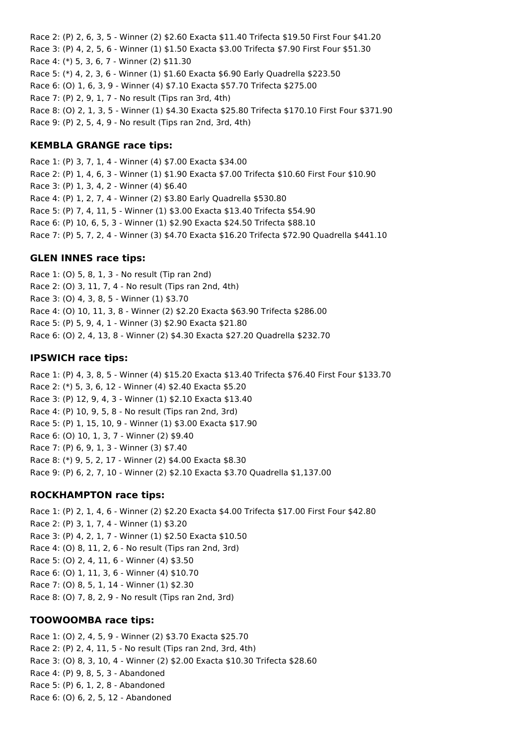Race 2: (P) 2, 6, 3, 5 - Winner (2) \$2.60 Exacta \$11.40 Trifecta \$19.50 First Four \$41.20 Race 3: (P) 4, 2, 5, 6 - Winner (1) \$1.50 Exacta \$3.00 Trifecta \$7.90 First Four \$51.30 Race 4: (\*) 5, 3, 6, 7 - Winner (2) \$11.30 Race 5: (\*) 4, 2, 3, 6 - Winner (1) \$1.60 Exacta \$6.90 Early Quadrella \$223.50 Race 6: (O) 1, 6, 3, 9 - Winner (4) \$7.10 Exacta \$57.70 Trifecta \$275.00 Race 7: (P) 2, 9, 1, 7 - No result (Tips ran 3rd, 4th) Race 8: (O) 2, 1, 3, 5 - Winner (1) \$4.30 Exacta \$25.80 Trifecta \$170.10 First Four \$371.90 Race 9: (P) 2, 5, 4, 9 - No result (Tips ran 2nd, 3rd, 4th)

### **KEMBLA GRANGE race tips:**

Race 1: (P) 3, 7, 1, 4 - Winner (4) \$7.00 Exacta \$34.00 Race 2: (P) 1, 4, 6, 3 - Winner (1) \$1.90 Exacta \$7.00 Trifecta \$10.60 First Four \$10.90 Race 3: (P) 1, 3, 4, 2 - Winner (4) \$6.40 Race 4: (P) 1, 2, 7, 4 - Winner (2) \$3.80 Early Quadrella \$530.80 Race 5: (P) 7, 4, 11, 5 - Winner (1) \$3.00 Exacta \$13.40 Trifecta \$54.90 Race 6: (P) 10, 6, 5, 3 - Winner (1) \$2.90 Exacta \$24.50 Trifecta \$88.10 Race 7: (P) 5, 7, 2, 4 - Winner (3) \$4.70 Exacta \$16.20 Trifecta \$72.90 Quadrella \$441.10

### **GLEN INNES race tips:**

Race 1: (O) 5, 8, 1, 3 - No result (Tip ran 2nd) Race 2: (O) 3, 11, 7, 4 - No result (Tips ran 2nd, 4th) Race 3: (O) 4, 3, 8, 5 - Winner (1) \$3.70 Race 4: (O) 10, 11, 3, 8 - Winner (2) \$2.20 Exacta \$63.90 Trifecta \$286.00 Race 5: (P) 5, 9, 4, 1 - Winner (3) \$2.90 Exacta \$21.80 Race 6: (O) 2, 4, 13, 8 - Winner (2) \$4.30 Exacta \$27.20 Quadrella \$232.70

### **IPSWICH race tips:**

Race 1: (P) 4, 3, 8, 5 - Winner (4) \$15.20 Exacta \$13.40 Trifecta \$76.40 First Four \$133.70 Race 2: (\*) 5, 3, 6, 12 - Winner (4) \$2.40 Exacta \$5.20 Race 3: (P) 12, 9, 4, 3 - Winner (1) \$2.10 Exacta \$13.40 Race 4: (P) 10, 9, 5, 8 - No result (Tips ran 2nd, 3rd) Race 5: (P) 1, 15, 10, 9 - Winner (1) \$3.00 Exacta \$17.90 Race 6: (O) 10, 1, 3, 7 - Winner (2) \$9.40 Race 7: (P) 6, 9, 1, 3 - Winner (3) \$7.40 Race 8: (\*) 9, 5, 2, 17 - Winner (2) \$4.00 Exacta \$8.30 Race 9: (P) 6, 2, 7, 10 - Winner (2) \$2.10 Exacta \$3.70 Quadrella \$1,137.00

## **ROCKHAMPTON race tips:**

Race 1: (P) 2, 1, 4, 6 - Winner (2) \$2.20 Exacta \$4.00 Trifecta \$17.00 First Four \$42.80 Race 2: (P) 3, 1, 7, 4 - Winner (1) \$3.20 Race 3: (P) 4, 2, 1, 7 - Winner (1) \$2.50 Exacta \$10.50 Race 4: (O) 8, 11, 2, 6 - No result (Tips ran 2nd, 3rd) Race 5: (O) 2, 4, 11, 6 - Winner (4) \$3.50 Race 6: (O) 1, 11, 3, 6 - Winner (4) \$10.70 Race 7: (O) 8, 5, 1, 14 - Winner (1) \$2.30 Race 8: (O) 7, 8, 2, 9 - No result (Tips ran 2nd, 3rd)

## **TOOWOOMBA race tips:**

Race 1: (O) 2, 4, 5, 9 - Winner (2) \$3.70 Exacta \$25.70 Race 2: (P) 2, 4, 11, 5 - No result (Tips ran 2nd, 3rd, 4th) Race 3: (O) 8, 3, 10, 4 - Winner (2) \$2.00 Exacta \$10.30 Trifecta \$28.60 Race 4: (P) 9, 8, 5, 3 - Abandoned Race 5: (P) 6, 1, 2, 8 - Abandoned Race 6: (O) 6, 2, 5, 12 - Abandoned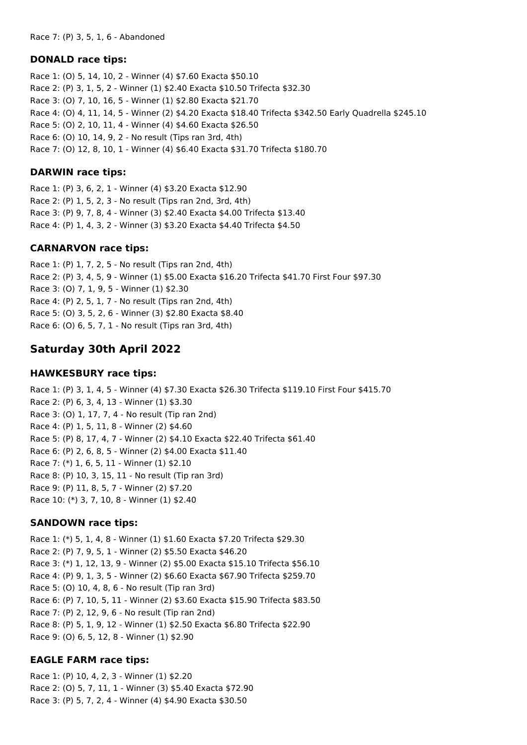#### **DONALD race tips:**

Race 1: (O) 5, 14, 10, 2 - Winner (4) \$7.60 Exacta \$50.10 Race 2: (P) 3, 1, 5, 2 - Winner (1) \$2.40 Exacta \$10.50 Trifecta \$32.30 Race 3: (O) 7, 10, 16, 5 - Winner (1) \$2.80 Exacta \$21.70 Race 4: (O) 4, 11, 14, 5 - Winner (2) \$4.20 Exacta \$18.40 Trifecta \$342.50 Early Quadrella \$245.10 Race 5: (O) 2, 10, 11, 4 - Winner (4) \$4.60 Exacta \$26.50 Race 6: (O) 10, 14, 9, 2 - No result (Tips ran 3rd, 4th) Race 7: (O) 12, 8, 10, 1 - Winner (4) \$6.40 Exacta \$31.70 Trifecta \$180.70

### **DARWIN race tips:**

Race 1: (P) 3, 6, 2, 1 - Winner (4) \$3.20 Exacta \$12.90 Race 2: (P) 1, 5, 2, 3 - No result (Tips ran 2nd, 3rd, 4th) Race 3: (P) 9, 7, 8, 4 - Winner (3) \$2.40 Exacta \$4.00 Trifecta \$13.40 Race 4: (P) 1, 4, 3, 2 - Winner (3) \$3.20 Exacta \$4.40 Trifecta \$4.50

### **CARNARVON race tips:**

Race 1: (P) 1, 7, 2, 5 - No result (Tips ran 2nd, 4th) Race 2: (P) 3, 4, 5, 9 - Winner (1) \$5.00 Exacta \$16.20 Trifecta \$41.70 First Four \$97.30 Race 3: (O) 7, 1, 9, 5 - Winner (1) \$2.30 Race 4: (P) 2, 5, 1, 7 - No result (Tips ran 2nd, 4th) Race 5: (O) 3, 5, 2, 6 - Winner (3) \$2.80 Exacta \$8.40 Race 6: (O) 6, 5, 7, 1 - No result (Tips ran 3rd, 4th)

# **Saturday 30th April 2022**

### **HAWKESBURY race tips:**

Race 1: (P) 3, 1, 4, 5 - Winner (4) \$7.30 Exacta \$26.30 Trifecta \$119.10 First Four \$415.70 Race 2: (P) 6, 3, 4, 13 - Winner (1) \$3.30 Race 3: (O) 1, 17, 7, 4 - No result (Tip ran 2nd) Race 4: (P) 1, 5, 11, 8 - Winner (2) \$4.60 Race 5: (P) 8, 17, 4, 7 - Winner (2) \$4.10 Exacta \$22.40 Trifecta \$61.40 Race 6: (P) 2, 6, 8, 5 - Winner (2) \$4.00 Exacta \$11.40 Race 7: (\*) 1, 6, 5, 11 - Winner (1) \$2.10 Race 8: (P) 10, 3, 15, 11 - No result (Tip ran 3rd) Race 9: (P) 11, 8, 5, 7 - Winner (2) \$7.20 Race 10: (\*) 3, 7, 10, 8 - Winner (1) \$2.40

## **SANDOWN race tips:**

Race 1: (\*) 5, 1, 4, 8 - Winner (1) \$1.60 Exacta \$7.20 Trifecta \$29.30 Race 2: (P) 7, 9, 5, 1 - Winner (2) \$5.50 Exacta \$46.20 Race 3: (\*) 1, 12, 13, 9 - Winner (2) \$5.00 Exacta \$15.10 Trifecta \$56.10 Race 4: (P) 9, 1, 3, 5 - Winner (2) \$6.60 Exacta \$67.90 Trifecta \$259.70 Race 5: (O) 10, 4, 8, 6 - No result (Tip ran 3rd) Race 6: (P) 7, 10, 5, 11 - Winner (2) \$3.60 Exacta \$15.90 Trifecta \$83.50 Race 7: (P) 2, 12, 9, 6 - No result (Tip ran 2nd) Race 8: (P) 5, 1, 9, 12 - Winner (1) \$2.50 Exacta \$6.80 Trifecta \$22.90 Race 9: (O) 6, 5, 12, 8 - Winner (1) \$2.90

## **EAGLE FARM race tips:**

Race 1: (P) 10, 4, 2, 3 - Winner (1) \$2.20 Race 2: (O) 5, 7, 11, 1 - Winner (3) \$5.40 Exacta \$72.90 Race 3: (P) 5, 7, 2, 4 - Winner (4) \$4.90 Exacta \$30.50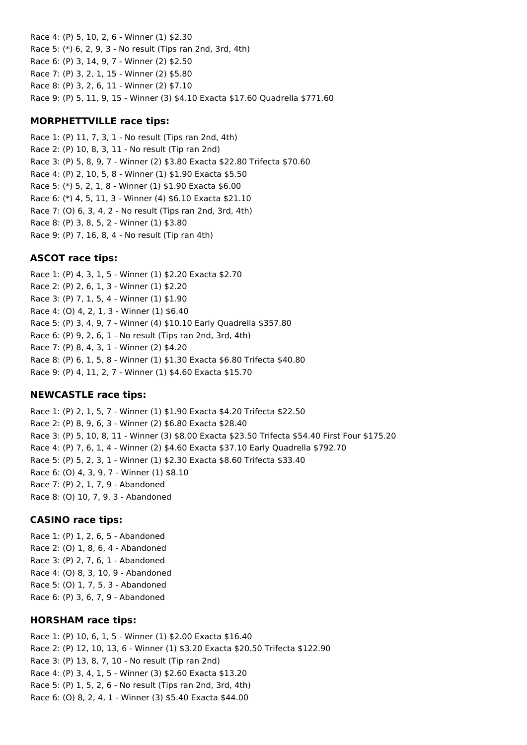Race 4: (P) 5, 10, 2, 6 - Winner (1) \$2.30 Race 5: (\*) 6, 2, 9, 3 - No result (Tips ran 2nd, 3rd, 4th) Race 6: (P) 3, 14, 9, 7 - Winner (2) \$2.50 Race 7: (P) 3, 2, 1, 15 - Winner (2) \$5.80 Race 8: (P) 3, 2, 6, 11 - Winner (2) \$7.10 Race 9: (P) 5, 11, 9, 15 - Winner (3) \$4.10 Exacta \$17.60 Quadrella \$771.60

#### **MORPHETTVILLE race tips:**

Race 1: (P) 11, 7, 3, 1 - No result (Tips ran 2nd, 4th) Race 2: (P) 10, 8, 3, 11 - No result (Tip ran 2nd) Race 3: (P) 5, 8, 9, 7 - Winner (2) \$3.80 Exacta \$22.80 Trifecta \$70.60 Race 4: (P) 2, 10, 5, 8 - Winner (1) \$1.90 Exacta \$5.50 Race 5: (\*) 5, 2, 1, 8 - Winner (1) \$1.90 Exacta \$6.00 Race 6: (\*) 4, 5, 11, 3 - Winner (4) \$6.10 Exacta \$21.10 Race 7: (O) 6, 3, 4, 2 - No result (Tips ran 2nd, 3rd, 4th) Race 8: (P) 3, 8, 5, 2 - Winner (1) \$3.80 Race 9: (P) 7, 16, 8, 4 - No result (Tip ran 4th)

### **ASCOT race tips:**

Race 1: (P) 4, 3, 1, 5 - Winner (1) \$2.20 Exacta \$2.70 Race 2: (P) 2, 6, 1, 3 - Winner (1) \$2.20 Race 3: (P) 7, 1, 5, 4 - Winner (1) \$1.90 Race 4: (O) 4, 2, 1, 3 - Winner (1) \$6.40 Race 5: (P) 3, 4, 9, 7 - Winner (4) \$10.10 Early Quadrella \$357.80 Race 6: (P) 9, 2, 6, 1 - No result (Tips ran 2nd, 3rd, 4th) Race 7: (P) 8, 4, 3, 1 - Winner (2) \$4.20 Race 8: (P) 6, 1, 5, 8 - Winner (1) \$1.30 Exacta \$6.80 Trifecta \$40.80 Race 9: (P) 4, 11, 2, 7 - Winner (1) \$4.60 Exacta \$15.70

#### **NEWCASTLE race tips:**

Race 1: (P) 2, 1, 5, 7 - Winner (1) \$1.90 Exacta \$4.20 Trifecta \$22.50 Race 2: (P) 8, 9, 6, 3 - Winner (2) \$6.80 Exacta \$28.40 Race 3: (P) 5, 10, 8, 11 - Winner (3) \$8.00 Exacta \$23.50 Trifecta \$54.40 First Four \$175.20 Race 4: (P) 7, 6, 1, 4 - Winner (2) \$4.60 Exacta \$37.10 Early Quadrella \$792.70 Race 5: (P) 5, 2, 3, 1 - Winner (1) \$2.30 Exacta \$8.60 Trifecta \$33.40 Race 6: (O) 4, 3, 9, 7 - Winner (1) \$8.10 Race 7: (P) 2, 1, 7, 9 - Abandoned Race 8: (O) 10, 7, 9, 3 - Abandoned

#### **CASINO race tips:**

Race 1: (P) 1, 2, 6, 5 - Abandoned Race 2: (O) 1, 8, 6, 4 - Abandoned Race 3: (P) 2, 7, 6, 1 - Abandoned Race 4: (O) 8, 3, 10, 9 - Abandoned Race 5: (O) 1, 7, 5, 3 - Abandoned Race 6: (P) 3, 6, 7, 9 - Abandoned

#### **HORSHAM race tips:**

Race 1: (P) 10, 6, 1, 5 - Winner (1) \$2.00 Exacta \$16.40 Race 2: (P) 12, 10, 13, 6 - Winner (1) \$3.20 Exacta \$20.50 Trifecta \$122.90 Race 3: (P) 13, 8, 7, 10 - No result (Tip ran 2nd) Race 4: (P) 3, 4, 1, 5 - Winner (3) \$2.60 Exacta \$13.20 Race 5: (P) 1, 5, 2, 6 - No result (Tips ran 2nd, 3rd, 4th) Race 6: (O) 8, 2, 4, 1 - Winner (3) \$5.40 Exacta \$44.00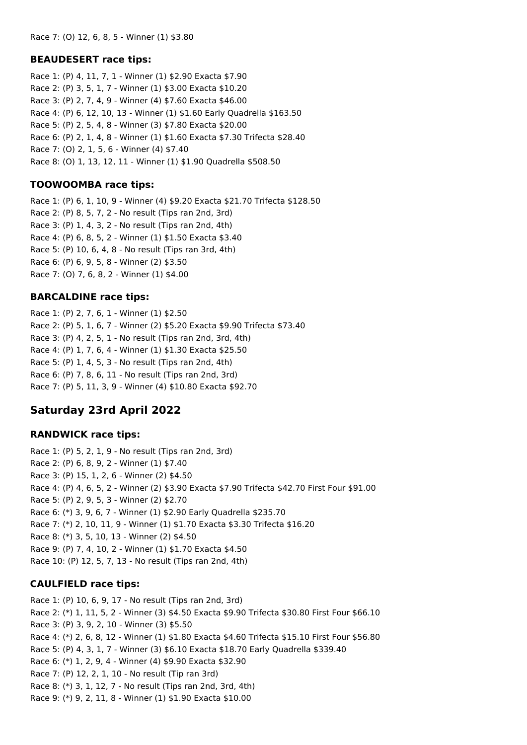#### **BEAUDESERT race tips:**

Race 1: (P) 4, 11, 7, 1 - Winner (1) \$2.90 Exacta \$7.90 Race 2: (P) 3, 5, 1, 7 - Winner (1) \$3.00 Exacta \$10.20 Race 3: (P) 2, 7, 4, 9 - Winner (4) \$7.60 Exacta \$46.00 Race 4: (P) 6, 12, 10, 13 - Winner (1) \$1.60 Early Quadrella \$163.50 Race 5: (P) 2, 5, 4, 8 - Winner (3) \$7.80 Exacta \$20.00 Race 6: (P) 2, 1, 4, 8 - Winner (1) \$1.60 Exacta \$7.30 Trifecta \$28.40 Race 7: (O) 2, 1, 5, 6 - Winner (4) \$7.40 Race 8: (O) 1, 13, 12, 11 - Winner (1) \$1.90 Quadrella \$508.50

#### **TOOWOOMBA race tips:**

Race 1: (P) 6, 1, 10, 9 - Winner (4) \$9.20 Exacta \$21.70 Trifecta \$128.50 Race 2: (P) 8, 5, 7, 2 - No result (Tips ran 2nd, 3rd) Race 3: (P) 1, 4, 3, 2 - No result (Tips ran 2nd, 4th) Race 4: (P) 6, 8, 5, 2 - Winner (1) \$1.50 Exacta \$3.40 Race 5: (P) 10, 6, 4, 8 - No result (Tips ran 3rd, 4th) Race 6: (P) 6, 9, 5, 8 - Winner (2) \$3.50 Race 7: (O) 7, 6, 8, 2 - Winner (1) \$4.00

#### **BARCALDINE race tips:**

Race 1: (P) 2, 7, 6, 1 - Winner (1) \$2.50 Race 2: (P) 5, 1, 6, 7 - Winner (2) \$5.20 Exacta \$9.90 Trifecta \$73.40 Race 3: (P) 4, 2, 5, 1 - No result (Tips ran 2nd, 3rd, 4th) Race 4: (P) 1, 7, 6, 4 - Winner (1) \$1.30 Exacta \$25.50 Race 5: (P) 1, 4, 5, 3 - No result (Tips ran 2nd, 4th) Race 6: (P) 7, 8, 6, 11 - No result (Tips ran 2nd, 3rd) Race 7: (P) 5, 11, 3, 9 - Winner (4) \$10.80 Exacta \$92.70

## **Saturday 23rd April 2022**

#### **RANDWICK race tips:**

Race 1: (P) 5, 2, 1, 9 - No result (Tips ran 2nd, 3rd) Race 2: (P) 6, 8, 9, 2 - Winner (1) \$7.40 Race 3: (P) 15, 1, 2, 6 - Winner (2) \$4.50 Race 4: (P) 4, 6, 5, 2 - Winner (2) \$3.90 Exacta \$7.90 Trifecta \$42.70 First Four \$91.00 Race 5: (P) 2, 9, 5, 3 - Winner (2) \$2.70 Race 6: (\*) 3, 9, 6, 7 - Winner (1) \$2.90 Early Quadrella \$235.70 Race 7: (\*) 2, 10, 11, 9 - Winner (1) \$1.70 Exacta \$3.30 Trifecta \$16.20 Race 8: (\*) 3, 5, 10, 13 - Winner (2) \$4.50 Race 9: (P) 7, 4, 10, 2 - Winner (1) \$1.70 Exacta \$4.50 Race 10: (P) 12, 5, 7, 13 - No result (Tips ran 2nd, 4th)

#### **CAULFIELD race tips:**

Race 1: (P) 10, 6, 9, 17 - No result (Tips ran 2nd, 3rd) Race 2: (\*) 1, 11, 5, 2 - Winner (3) \$4.50 Exacta \$9.90 Trifecta \$30.80 First Four \$66.10 Race 3: (P) 3, 9, 2, 10 - Winner (3) \$5.50 Race 4: (\*) 2, 6, 8, 12 - Winner (1) \$1.80 Exacta \$4.60 Trifecta \$15.10 First Four \$56.80 Race 5: (P) 4, 3, 1, 7 - Winner (3) \$6.10 Exacta \$18.70 Early Quadrella \$339.40 Race 6: (\*) 1, 2, 9, 4 - Winner (4) \$9.90 Exacta \$32.90 Race 7: (P) 12, 2, 1, 10 - No result (Tip ran 3rd) Race 8: (\*) 3, 1, 12, 7 - No result (Tips ran 2nd, 3rd, 4th) Race 9: (\*) 9, 2, 11, 8 - Winner (1) \$1.90 Exacta \$10.00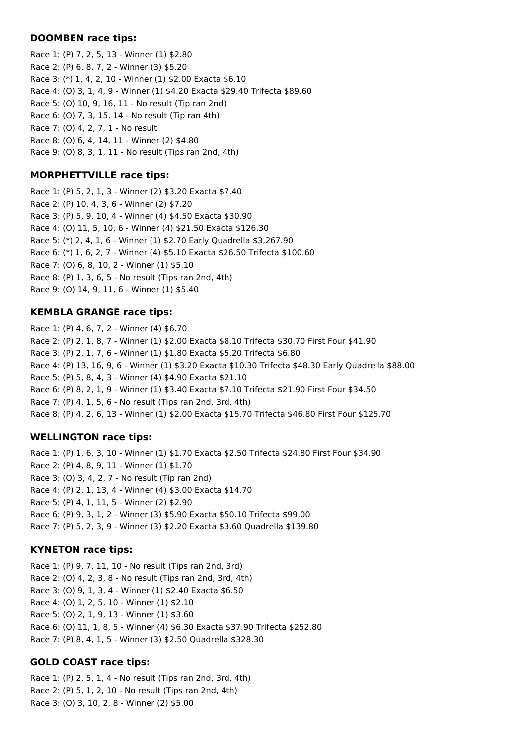#### **DOOMBEN race tips:**

Race 1: (P) 7, 2, 5, 13 - Winner (1) \$2.80 Race 2: (P) 6, 8, 7, 2 - Winner (3) \$5.20 Race 3: (\*) 1, 4, 2, 10 - Winner (1) \$2.00 Exacta \$6.10 Race 4: (O) 3, 1, 4, 9 - Winner (1) \$4.20 Exacta \$29.40 Trifecta \$89.60 Race 5: (O) 10, 9, 16, 11 - No result (Tip ran 2nd) Race 6: (O) 7, 3, 15, 14 - No result (Tip ran 4th) Race 7: (O) 4, 2, 7, 1 - No result Race 8: (O) 6, 4, 14, 11 - Winner (2) \$4.80 Race 9: (O) 8, 3, 1, 11 - No result (Tips ran 2nd, 4th)

## **MORPHETTVILLE race tips:**

Race 1: (P) 5, 2, 1, 3 - Winner (2) \$3.20 Exacta \$7.40 Race 2: (P) 10, 4, 3, 6 - Winner (2) \$7.20 Race 3: (P) 5, 9, 10, 4 - Winner (4) \$4.50 Exacta \$30.90 Race 4: (O) 11, 5, 10, 6 - Winner (4) \$21.50 Exacta \$126.30 Race 5: (\*) 2, 4, 1, 6 - Winner (1) \$2.70 Early Quadrella \$3,267.90 Race 6: (\*) 1, 6, 2, 7 - Winner (4) \$5.10 Exacta \$26.50 Trifecta \$100.60 Race 7: (O) 6, 8, 10, 2 - Winner (1) \$5.10 Race 8: (P) 1, 3, 6, 5 - No result (Tips ran 2nd, 4th) Race 9: (O) 14, 9, 11, 6 - Winner (1) \$5.40

## **KEMBLA GRANGE race tips:**

Race 1: (P) 4, 6, 7, 2 - Winner (4) \$6.70 Race 2: (P) 2, 1, 8, 7 - Winner (1) \$2.00 Exacta \$8.10 Trifecta \$30.70 First Four \$41.90 Race 3: (P) 2, 1, 7, 6 - Winner (1) \$1.80 Exacta \$5.20 Trifecta \$6.80 Race 4: (P) 13, 16, 9, 6 - Winner (1) \$3.20 Exacta \$10.30 Trifecta \$48.30 Early Quadrella \$88.00 Race 5: (P) 5, 8, 4, 3 - Winner (4) \$4.90 Exacta \$21.10 Race 6: (P) 8, 2, 1, 9 - Winner (1) \$3.40 Exacta \$7.10 Trifecta \$21.90 First Four \$34.50 Race 7: (P) 4, 1, 5, 6 - No result (Tips ran 2nd, 3rd, 4th) Race 8: (P) 4, 2, 6, 13 - Winner (1) \$2.00 Exacta \$15.70 Trifecta \$46.80 First Four \$125.70

## **WELLINGTON race tips:**

Race 1: (P) 1, 6, 3, 10 - Winner (1) \$1.70 Exacta \$2.50 Trifecta \$24.80 First Four \$34.90 Race 2: (P) 4, 8, 9, 11 - Winner (1) \$1.70 Race 3: (O) 3, 4, 2, 7 - No result (Tip ran 2nd) Race 4: (P) 2, 1, 13, 4 - Winner (4) \$3.00 Exacta \$14.70 Race 5: (P) 4, 1, 11, 5 - Winner (2) \$2.90 Race 6: (P) 9, 3, 1, 2 - Winner (3) \$5.90 Exacta \$50.10 Trifecta \$99.00 Race 7: (P) 5, 2, 3, 9 - Winner (3) \$2.20 Exacta \$3.60 Quadrella \$139.80

## **KYNETON race tips:**

Race 1: (P) 9, 7, 11, 10 - No result (Tips ran 2nd, 3rd) Race 2: (O) 4, 2, 3, 8 - No result (Tips ran 2nd, 3rd, 4th) Race 3: (O) 9, 1, 3, 4 - Winner (1) \$2.40 Exacta \$6.50 Race 4: (O) 1, 2, 5, 10 - Winner (1) \$2.10 Race 5: (O) 2, 1, 9, 13 - Winner (1) \$3.60 Race 6: (O) 11, 1, 8, 5 - Winner (4) \$6.30 Exacta \$37.90 Trifecta \$252.80 Race 7: (P) 8, 4, 1, 5 - Winner (3) \$2.50 Quadrella \$328.30

## **GOLD COAST race tips:**

Race 1: (P) 2, 5, 1, 4 - No result (Tips ran 2nd, 3rd, 4th) Race 2: (P) 5, 1, 2, 10 - No result (Tips ran 2nd, 4th) Race 3: (O) 3, 10, 2, 8 - Winner (2) \$5.00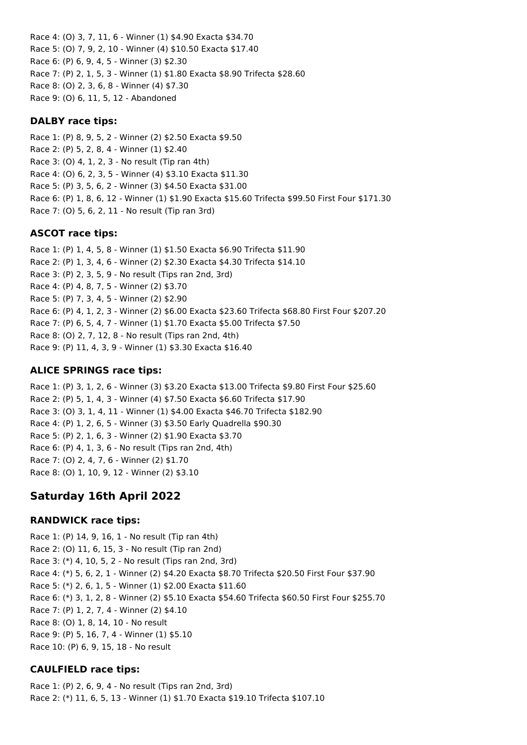Race 4: (O) 3, 7, 11, 6 - Winner (1) \$4.90 Exacta \$34.70 Race 5: (O) 7, 9, 2, 10 - Winner (4) \$10.50 Exacta \$17.40 Race 6: (P) 6, 9, 4, 5 - Winner (3) \$2.30 Race 7: (P) 2, 1, 5, 3 - Winner (1) \$1.80 Exacta \$8.90 Trifecta \$28.60 Race 8: (O) 2, 3, 6, 8 - Winner (4) \$7.30 Race 9: (O) 6, 11, 5, 12 - Abandoned

### **DALBY race tips:**

Race 1: (P) 8, 9, 5, 2 - Winner (2) \$2.50 Exacta \$9.50 Race 2: (P) 5, 2, 8, 4 - Winner (1) \$2.40 Race 3: (O) 4, 1, 2, 3 - No result (Tip ran 4th) Race 4: (O) 6, 2, 3, 5 - Winner (4) \$3.10 Exacta \$11.30 Race 5: (P) 3, 5, 6, 2 - Winner (3) \$4.50 Exacta \$31.00 Race 6: (P) 1, 8, 6, 12 - Winner (1) \$1.90 Exacta \$15.60 Trifecta \$99.50 First Four \$171.30 Race 7: (O) 5, 6, 2, 11 - No result (Tip ran 3rd)

### **ASCOT race tips:**

Race 1: (P) 1, 4, 5, 8 - Winner (1) \$1.50 Exacta \$6.90 Trifecta \$11.90 Race 2: (P) 1, 3, 4, 6 - Winner (2) \$2.30 Exacta \$4.30 Trifecta \$14.10 Race 3: (P) 2, 3, 5, 9 - No result (Tips ran 2nd, 3rd) Race 4: (P) 4, 8, 7, 5 - Winner (2) \$3.70 Race 5: (P) 7, 3, 4, 5 - Winner (2) \$2.90 Race 6: (P) 4, 1, 2, 3 - Winner (2) \$6.00 Exacta \$23.60 Trifecta \$68.80 First Four \$207.20 Race 7: (P) 6, 5, 4, 7 - Winner (1) \$1.70 Exacta \$5.00 Trifecta \$7.50 Race 8: (O) 2, 7, 12, 8 - No result (Tips ran 2nd, 4th) Race 9: (P) 11, 4, 3, 9 - Winner (1) \$3.30 Exacta \$16.40

## **ALICE SPRINGS race tips:**

Race 1: (P) 3, 1, 2, 6 - Winner (3) \$3.20 Exacta \$13.00 Trifecta \$9.80 First Four \$25.60 Race 2: (P) 5, 1, 4, 3 - Winner (4) \$7.50 Exacta \$6.60 Trifecta \$17.90 Race 3: (O) 3, 1, 4, 11 - Winner (1) \$4.00 Exacta \$46.70 Trifecta \$182.90 Race 4: (P) 1, 2, 6, 5 - Winner (3) \$3.50 Early Quadrella \$90.30 Race 5: (P) 2, 1, 6, 3 - Winner (2) \$1.90 Exacta \$3.70 Race 6: (P) 4, 1, 3, 6 - No result (Tips ran 2nd, 4th) Race 7: (O) 2, 4, 7, 6 - Winner (2) \$1.70 Race 8: (O) 1, 10, 9, 12 - Winner (2) \$3.10

# **Saturday 16th April 2022**

## **RANDWICK race tips:**

Race 1: (P) 14, 9, 16, 1 - No result (Tip ran 4th) Race 2: (O) 11, 6, 15, 3 - No result (Tip ran 2nd) Race 3: (\*) 4, 10, 5, 2 - No result (Tips ran 2nd, 3rd) Race 4: (\*) 5, 6, 2, 1 - Winner (2) \$4.20 Exacta \$8.70 Trifecta \$20.50 First Four \$37.90 Race 5: (\*) 2, 6, 1, 5 - Winner (1) \$2.00 Exacta \$11.60 Race 6: (\*) 3, 1, 2, 8 - Winner (2) \$5.10 Exacta \$54.60 Trifecta \$60.50 First Four \$255.70 Race 7: (P) 1, 2, 7, 4 - Winner (2) \$4.10 Race 8: (O) 1, 8, 14, 10 - No result Race 9: (P) 5, 16, 7, 4 - Winner (1) \$5.10 Race 10: (P) 6, 9, 15, 18 - No result

## **CAULFIELD race tips:**

Race 1: (P) 2, 6, 9, 4 - No result (Tips ran 2nd, 3rd) Race 2: (\*) 11, 6, 5, 13 - Winner (1) \$1.70 Exacta \$19.10 Trifecta \$107.10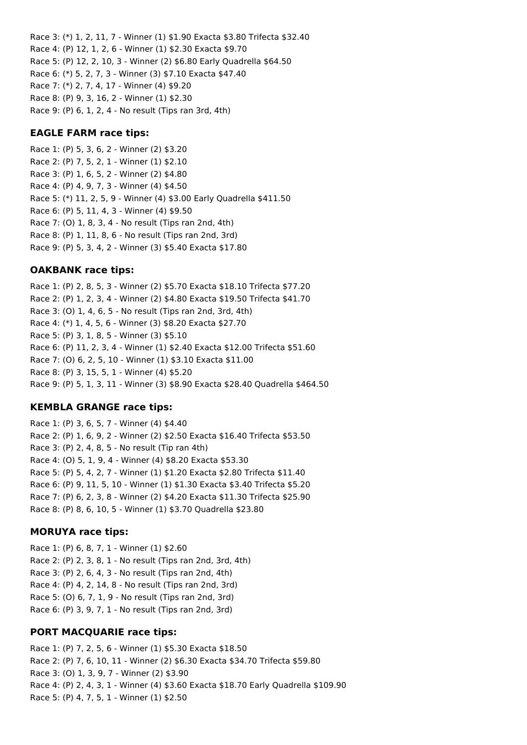Race 3: (\*) 1, 2, 11, 7 - Winner (1) \$1.90 Exacta \$3.80 Trifecta \$32.40 Race 4: (P) 12, 1, 2, 6 - Winner (1) \$2.30 Exacta \$9.70 Race 5: (P) 12, 2, 10, 3 - Winner (2) \$6.80 Early Quadrella \$64.50 Race 6: (\*) 5, 2, 7, 3 - Winner (3) \$7.10 Exacta \$47.40 Race 7: (\*) 2, 7, 4, 17 - Winner (4) \$9.20 Race 8: (P) 9, 3, 16, 2 - Winner (1) \$2.30 Race 9: (P) 6, 1, 2, 4 - No result (Tips ran 3rd, 4th)

#### **EAGLE FARM race tips:**

Race 1: (P) 5, 3, 6, 2 - Winner (2) \$3.20 Race 2: (P) 7, 5, 2, 1 - Winner (1) \$2.10 Race 3: (P) 1, 6, 5, 2 - Winner (2) \$4.80 Race 4: (P) 4, 9, 7, 3 - Winner (4) \$4.50 Race 5: (\*) 11, 2, 5, 9 - Winner (4) \$3.00 Early Quadrella \$411.50 Race 6: (P) 5, 11, 4, 3 - Winner (4) \$9.50 Race 7: (O) 1, 8, 3, 4 - No result (Tips ran 2nd, 4th) Race 8: (P) 1, 11, 8, 6 - No result (Tips ran 2nd, 3rd) Race 9: (P) 5, 3, 4, 2 - Winner (3) \$5.40 Exacta \$17.80

#### **OAKBANK race tips:**

Race 1: (P) 2, 8, 5, 3 - Winner (2) \$5.70 Exacta \$18.10 Trifecta \$77.20 Race 2: (P) 1, 2, 3, 4 - Winner (2) \$4.80 Exacta \$19.50 Trifecta \$41.70 Race 3: (O) 1, 4, 6, 5 - No result (Tips ran 2nd, 3rd, 4th) Race 4: (\*) 1, 4, 5, 6 - Winner (3) \$8.20 Exacta \$27.70 Race 5: (P) 3, 1, 8, 5 - Winner (3) \$5.10 Race 6: (P) 11, 2, 3, 4 - Winner (1) \$2.40 Exacta \$12.00 Trifecta \$51.60 Race 7: (O) 6, 2, 5, 10 - Winner (1) \$3.10 Exacta \$11.00 Race 8: (P) 3, 15, 5, 1 - Winner (4) \$5.20 Race 9: (P) 5, 1, 3, 11 - Winner (3) \$8.90 Exacta \$28.40 Quadrella \$464.50

#### **KEMBLA GRANGE race tips:**

Race 1: (P) 3, 6, 5, 7 - Winner (4) \$4.40 Race 2: (P) 1, 6, 9, 2 - Winner (2) \$2.50 Exacta \$16.40 Trifecta \$53.50 Race 3: (P) 2, 4, 8, 5 - No result (Tip ran 4th) Race 4: (O) 5, 1, 9, 4 - Winner (4) \$8.20 Exacta \$53.30 Race 5: (P) 5, 4, 2, 7 - Winner (1) \$1.20 Exacta \$2.80 Trifecta \$11.40 Race 6: (P) 9, 11, 5, 10 - Winner (1) \$1.30 Exacta \$3.40 Trifecta \$5.20 Race 7: (P) 6, 2, 3, 8 - Winner (2) \$4.20 Exacta \$11.30 Trifecta \$25.90 Race 8: (P) 8, 6, 10, 5 - Winner (1) \$3.70 Quadrella \$23.80

#### **MORUYA race tips:**

Race 1: (P) 6, 8, 7, 1 - Winner (1) \$2.60 Race 2: (P) 2, 3, 8, 1 - No result (Tips ran 2nd, 3rd, 4th) Race 3: (P) 2, 6, 4, 3 - No result (Tips ran 2nd, 4th) Race 4: (P) 4, 2, 14, 8 - No result (Tips ran 2nd, 3rd) Race 5: (O) 6, 7, 1, 9 - No result (Tips ran 2nd, 3rd) Race 6: (P) 3, 9, 7, 1 - No result (Tips ran 2nd, 3rd)

#### **PORT MACQUARIE race tips:**

Race 1: (P) 7, 2, 5, 6 - Winner (1) \$5.30 Exacta \$18.50 Race 2: (P) 7, 6, 10, 11 - Winner (2) \$6.30 Exacta \$34.70 Trifecta \$59.80 Race 3: (O) 1, 3, 9, 7 - Winner (2) \$3.90 Race 4: (P) 2, 4, 3, 1 - Winner (4) \$3.60 Exacta \$18.70 Early Quadrella \$109.90 Race 5: (P) 4, 7, 5, 1 - Winner (1) \$2.50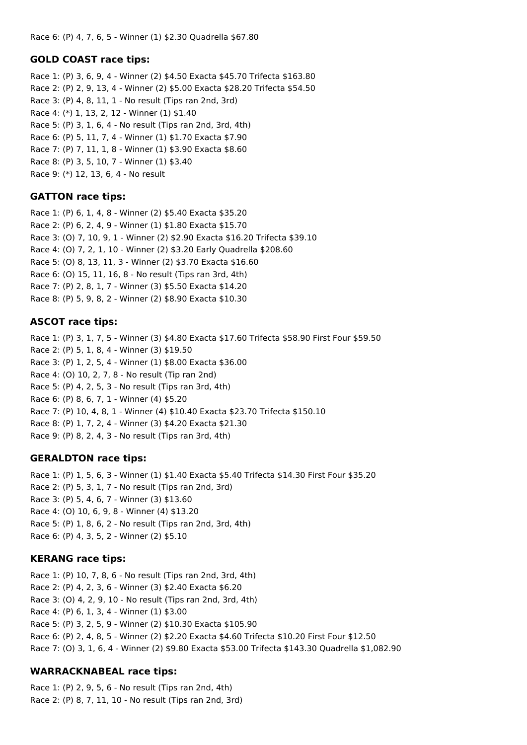Race 6: (P) 4, 7, 6, 5 - Winner (1) \$2.30 Quadrella \$67.80

#### **GOLD COAST race tips:**

Race 1: (P) 3, 6, 9, 4 - Winner (2) \$4.50 Exacta \$45.70 Trifecta \$163.80 Race 2: (P) 2, 9, 13, 4 - Winner (2) \$5.00 Exacta \$28.20 Trifecta \$54.50 Race 3: (P) 4, 8, 11, 1 - No result (Tips ran 2nd, 3rd) Race 4: (\*) 1, 13, 2, 12 - Winner (1) \$1.40 Race 5: (P) 3, 1, 6, 4 - No result (Tips ran 2nd, 3rd, 4th) Race 6: (P) 5, 11, 7, 4 - Winner (1) \$1.70 Exacta \$7.90 Race 7: (P) 7, 11, 1, 8 - Winner (1) \$3.90 Exacta \$8.60 Race 8: (P) 3, 5, 10, 7 - Winner (1) \$3.40 Race 9: (\*) 12, 13, 6, 4 - No result

## **GATTON race tips:**

Race 1: (P) 6, 1, 4, 8 - Winner (2) \$5.40 Exacta \$35.20 Race 2: (P) 6, 2, 4, 9 - Winner (1) \$1.80 Exacta \$15.70 Race 3: (O) 7, 10, 9, 1 - Winner (2) \$2.90 Exacta \$16.20 Trifecta \$39.10 Race 4: (O) 7, 2, 1, 10 - Winner (2) \$3.20 Early Quadrella \$208.60 Race 5: (O) 8, 13, 11, 3 - Winner (2) \$3.70 Exacta \$16.60 Race 6: (O) 15, 11, 16, 8 - No result (Tips ran 3rd, 4th) Race 7: (P) 2, 8, 1, 7 - Winner (3) \$5.50 Exacta \$14.20 Race 8: (P) 5, 9, 8, 2 - Winner (2) \$8.90 Exacta \$10.30

## **ASCOT race tips:**

Race 1: (P) 3, 1, 7, 5 - Winner (3) \$4.80 Exacta \$17.60 Trifecta \$58.90 First Four \$59.50 Race 2: (P) 5, 1, 8, 4 - Winner (3) \$19.50 Race 3: (P) 1, 2, 5, 4 - Winner (1) \$8.00 Exacta \$36.00 Race 4: (O) 10, 2, 7, 8 - No result (Tip ran 2nd) Race 5: (P) 4, 2, 5, 3 - No result (Tips ran 3rd, 4th) Race 6: (P) 8, 6, 7, 1 - Winner (4) \$5.20 Race 7: (P) 10, 4, 8, 1 - Winner (4) \$10.40 Exacta \$23.70 Trifecta \$150.10 Race 8: (P) 1, 7, 2, 4 - Winner (3) \$4.20 Exacta \$21.30 Race 9: (P) 8, 2, 4, 3 - No result (Tips ran 3rd, 4th)

## **GERALDTON race tips:**

Race 1: (P) 1, 5, 6, 3 - Winner (1) \$1.40 Exacta \$5.40 Trifecta \$14.30 First Four \$35.20 Race 2: (P) 5, 3, 1, 7 - No result (Tips ran 2nd, 3rd) Race 3: (P) 5, 4, 6, 7 - Winner (3) \$13.60 Race 4: (O) 10, 6, 9, 8 - Winner (4) \$13.20 Race 5: (P) 1, 8, 6, 2 - No result (Tips ran 2nd, 3rd, 4th) Race 6: (P) 4, 3, 5, 2 - Winner (2) \$5.10

## **KERANG race tips:**

Race 1: (P) 10, 7, 8, 6 - No result (Tips ran 2nd, 3rd, 4th) Race 2: (P) 4, 2, 3, 6 - Winner (3) \$2.40 Exacta \$6.20 Race 3: (O) 4, 2, 9, 10 - No result (Tips ran 2nd, 3rd, 4th) Race 4: (P) 6, 1, 3, 4 - Winner (1) \$3.00 Race 5: (P) 3, 2, 5, 9 - Winner (2) \$10.30 Exacta \$105.90 Race 6: (P) 2, 4, 8, 5 - Winner (2) \$2.20 Exacta \$4.60 Trifecta \$10.20 First Four \$12.50 Race 7: (O) 3, 1, 6, 4 - Winner (2) \$9.80 Exacta \$53.00 Trifecta \$143.30 Quadrella \$1,082.90

## **WARRACKNABEAL race tips:**

Race 1: (P) 2, 9, 5, 6 - No result (Tips ran 2nd, 4th) Race 2: (P) 8, 7, 11, 10 - No result (Tips ran 2nd, 3rd)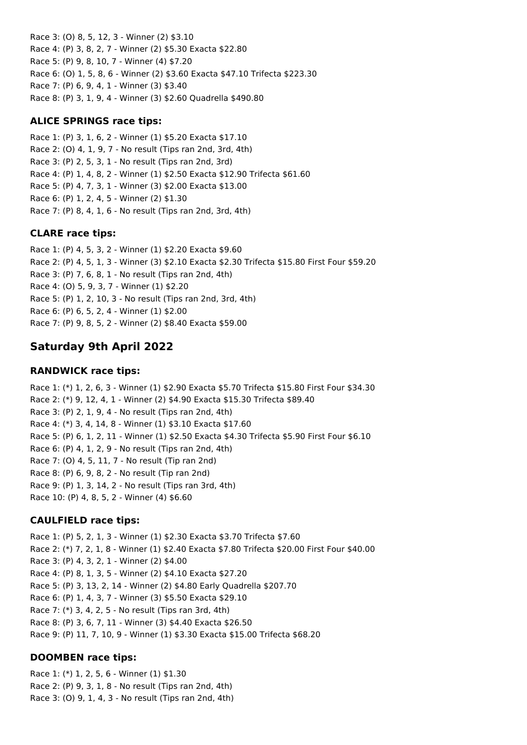Race 3: (O) 8, 5, 12, 3 - Winner (2) \$3.10 Race 4: (P) 3, 8, 2, 7 - Winner (2) \$5.30 Exacta \$22.80 Race 5: (P) 9, 8, 10, 7 - Winner (4) \$7.20 Race 6: (O) 1, 5, 8, 6 - Winner (2) \$3.60 Exacta \$47.10 Trifecta \$223.30 Race 7: (P) 6, 9, 4, 1 - Winner (3) \$3.40 Race 8: (P) 3, 1, 9, 4 - Winner (3) \$2.60 Quadrella \$490.80

#### **ALICE SPRINGS race tips:**

Race 1: (P) 3, 1, 6, 2 - Winner (1) \$5.20 Exacta \$17.10 Race 2: (O) 4, 1, 9, 7 - No result (Tips ran 2nd, 3rd, 4th) Race 3: (P) 2, 5, 3, 1 - No result (Tips ran 2nd, 3rd) Race 4: (P) 1, 4, 8, 2 - Winner (1) \$2.50 Exacta \$12.90 Trifecta \$61.60 Race 5: (P) 4, 7, 3, 1 - Winner (3) \$2.00 Exacta \$13.00 Race 6: (P) 1, 2, 4, 5 - Winner (2) \$1.30 Race 7: (P) 8, 4, 1, 6 - No result (Tips ran 2nd, 3rd, 4th)

### **CLARE race tips:**

Race 1: (P) 4, 5, 3, 2 - Winner (1) \$2.20 Exacta \$9.60 Race 2: (P) 4, 5, 1, 3 - Winner (3) \$2.10 Exacta \$2.30 Trifecta \$15.80 First Four \$59.20 Race 3: (P) 7, 6, 8, 1 - No result (Tips ran 2nd, 4th) Race 4: (O) 5, 9, 3, 7 - Winner (1) \$2.20 Race 5: (P) 1, 2, 10, 3 - No result (Tips ran 2nd, 3rd, 4th) Race 6: (P) 6, 5, 2, 4 - Winner (1) \$2.00 Race 7: (P) 9, 8, 5, 2 - Winner (2) \$8.40 Exacta \$59.00

# **Saturday 9th April 2022**

### **RANDWICK race tips:**

Race 1: (\*) 1, 2, 6, 3 - Winner (1) \$2.90 Exacta \$5.70 Trifecta \$15.80 First Four \$34.30 Race 2: (\*) 9, 12, 4, 1 - Winner (2) \$4.90 Exacta \$15.30 Trifecta \$89.40 Race 3: (P) 2, 1, 9, 4 - No result (Tips ran 2nd, 4th) Race 4: (\*) 3, 4, 14, 8 - Winner (1) \$3.10 Exacta \$17.60 Race 5: (P) 6, 1, 2, 11 - Winner (1) \$2.50 Exacta \$4.30 Trifecta \$5.90 First Four \$6.10 Race 6: (P) 4, 1, 2, 9 - No result (Tips ran 2nd, 4th) Race 7: (O) 4, 5, 11, 7 - No result (Tip ran 2nd) Race 8: (P) 6, 9, 8, 2 - No result (Tip ran 2nd) Race 9: (P) 1, 3, 14, 2 - No result (Tips ran 3rd, 4th) Race 10: (P) 4, 8, 5, 2 - Winner (4) \$6.60

## **CAULFIELD race tips:**

Race 1: (P) 5, 2, 1, 3 - Winner (1) \$2.30 Exacta \$3.70 Trifecta \$7.60 Race 2: (\*) 7, 2, 1, 8 - Winner (1) \$2.40 Exacta \$7.80 Trifecta \$20.00 First Four \$40.00 Race 3: (P) 4, 3, 2, 1 - Winner (2) \$4.00 Race 4: (P) 8, 1, 3, 5 - Winner (2) \$4.10 Exacta \$27.20 Race 5: (P) 3, 13, 2, 14 - Winner (2) \$4.80 Early Quadrella \$207.70 Race 6: (P) 1, 4, 3, 7 - Winner (3) \$5.50 Exacta \$29.10 Race 7: (\*) 3, 4, 2, 5 - No result (Tips ran 3rd, 4th) Race 8: (P) 3, 6, 7, 11 - Winner (3) \$4.40 Exacta \$26.50 Race 9: (P) 11, 7, 10, 9 - Winner (1) \$3.30 Exacta \$15.00 Trifecta \$68.20

## **DOOMBEN race tips:**

Race 1: (\*) 1, 2, 5, 6 - Winner (1) \$1.30 Race 2: (P) 9, 3, 1, 8 - No result (Tips ran 2nd, 4th) Race 3: (O) 9, 1, 4, 3 - No result (Tips ran 2nd, 4th)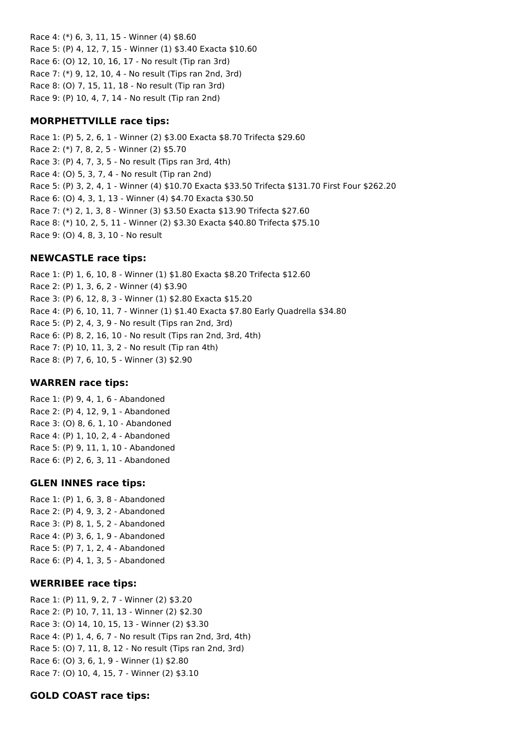Race 4: (\*) 6, 3, 11, 15 - Winner (4) \$8.60 Race 5: (P) 4, 12, 7, 15 - Winner (1) \$3.40 Exacta \$10.60 Race 6: (O) 12, 10, 16, 17 - No result (Tip ran 3rd) Race 7: (\*) 9, 12, 10, 4 - No result (Tips ran 2nd, 3rd) Race 8: (O) 7, 15, 11, 18 - No result (Tip ran 3rd) Race 9: (P) 10, 4, 7, 14 - No result (Tip ran 2nd)

## **MORPHETTVILLE race tips:**

Race 1: (P) 5, 2, 6, 1 - Winner (2) \$3.00 Exacta \$8.70 Trifecta \$29.60 Race 2: (\*) 7, 8, 2, 5 - Winner (2) \$5.70 Race 3: (P) 4, 7, 3, 5 - No result (Tips ran 3rd, 4th) Race 4: (O) 5, 3, 7, 4 - No result (Tip ran 2nd) Race 5: (P) 3, 2, 4, 1 - Winner (4) \$10.70 Exacta \$33.50 Trifecta \$131.70 First Four \$262.20 Race 6: (O) 4, 3, 1, 13 - Winner (4) \$4.70 Exacta \$30.50 Race 7: (\*) 2, 1, 3, 8 - Winner (3) \$3.50 Exacta \$13.90 Trifecta \$27.60 Race 8: (\*) 10, 2, 5, 11 - Winner (2) \$3.30 Exacta \$40.80 Trifecta \$75.10 Race 9: (O) 4, 8, 3, 10 - No result

## **NEWCASTLE race tips:**

Race 1: (P) 1, 6, 10, 8 - Winner (1) \$1.80 Exacta \$8.20 Trifecta \$12.60 Race 2: (P) 1, 3, 6, 2 - Winner (4) \$3.90 Race 3: (P) 6, 12, 8, 3 - Winner (1) \$2.80 Exacta \$15.20 Race 4: (P) 6, 10, 11, 7 - Winner (1) \$1.40 Exacta \$7.80 Early Quadrella \$34.80 Race 5: (P) 2, 4, 3, 9 - No result (Tips ran 2nd, 3rd) Race 6: (P) 8, 2, 16, 10 - No result (Tips ran 2nd, 3rd, 4th) Race 7: (P) 10, 11, 3, 2 - No result (Tip ran 4th) Race 8: (P) 7, 6, 10, 5 - Winner (3) \$2.90

## **WARREN race tips:**

Race 1: (P) 9, 4, 1, 6 - Abandoned Race 2: (P) 4, 12, 9, 1 - Abandoned Race 3: (O) 8, 6, 1, 10 - Abandoned Race 4: (P) 1, 10, 2, 4 - Abandoned Race 5: (P) 9, 11, 1, 10 - Abandoned Race 6: (P) 2, 6, 3, 11 - Abandoned

## **GLEN INNES race tips:**

Race 1: (P) 1, 6, 3, 8 - Abandoned Race 2: (P) 4, 9, 3, 2 - Abandoned Race 3: (P) 8, 1, 5, 2 - Abandoned Race 4: (P) 3, 6, 1, 9 - Abandoned Race 5: (P) 7, 1, 2, 4 - Abandoned Race 6: (P) 4, 1, 3, 5 - Abandoned

## **WERRIBEE race tips:**

Race 1: (P) 11, 9, 2, 7 - Winner (2) \$3.20 Race 2: (P) 10, 7, 11, 13 - Winner (2) \$2.30 Race 3: (O) 14, 10, 15, 13 - Winner (2) \$3.30 Race 4: (P) 1, 4, 6, 7 - No result (Tips ran 2nd, 3rd, 4th) Race 5: (O) 7, 11, 8, 12 - No result (Tips ran 2nd, 3rd) Race 6: (O) 3, 6, 1, 9 - Winner (1) \$2.80 Race 7: (O) 10, 4, 15, 7 - Winner (2) \$3.10

## **GOLD COAST race tips:**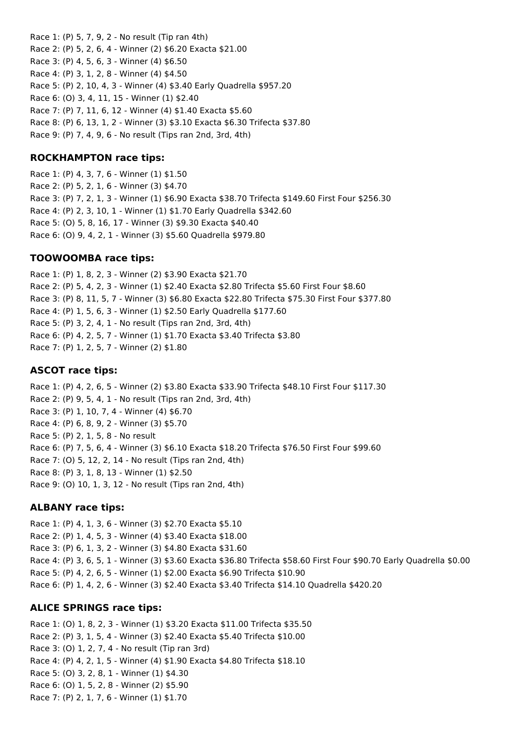Race 1: (P) 5, 7, 9, 2 - No result (Tip ran 4th) Race 2: (P) 5, 2, 6, 4 - Winner (2) \$6.20 Exacta \$21.00 Race 3: (P) 4, 5, 6, 3 - Winner (4) \$6.50 Race 4: (P) 3, 1, 2, 8 - Winner (4) \$4.50 Race 5: (P) 2, 10, 4, 3 - Winner (4) \$3.40 Early Quadrella \$957.20 Race 6: (O) 3, 4, 11, 15 - Winner (1) \$2.40 Race 7: (P) 7, 11, 6, 12 - Winner (4) \$1.40 Exacta \$5.60 Race 8: (P) 6, 13, 1, 2 - Winner (3) \$3.10 Exacta \$6.30 Trifecta \$37.80 Race 9: (P) 7, 4, 9, 6 - No result (Tips ran 2nd, 3rd, 4th)

### **ROCKHAMPTON race tips:**

Race 1: (P) 4, 3, 7, 6 - Winner (1) \$1.50 Race 2: (P) 5, 2, 1, 6 - Winner (3) \$4.70 Race 3: (P) 7, 2, 1, 3 - Winner (1) \$6.90 Exacta \$38.70 Trifecta \$149.60 First Four \$256.30 Race 4: (P) 2, 3, 10, 1 - Winner (1) \$1.70 Early Quadrella \$342.60 Race 5: (O) 5, 8, 16, 17 - Winner (3) \$9.30 Exacta \$40.40 Race 6: (O) 9, 4, 2, 1 - Winner (3) \$5.60 Quadrella \$979.80

### **TOOWOOMBA race tips:**

Race 1: (P) 1, 8, 2, 3 - Winner (2) \$3.90 Exacta \$21.70 Race 2: (P) 5, 4, 2, 3 - Winner (1) \$2.40 Exacta \$2.80 Trifecta \$5.60 First Four \$8.60 Race 3: (P) 8, 11, 5, 7 - Winner (3) \$6.80 Exacta \$22.80 Trifecta \$75.30 First Four \$377.80 Race 4: (P) 1, 5, 6, 3 - Winner (1) \$2.50 Early Quadrella \$177.60 Race 5: (P) 3, 2, 4, 1 - No result (Tips ran 2nd, 3rd, 4th) Race 6: (P) 4, 2, 5, 7 - Winner (1) \$1.70 Exacta \$3.40 Trifecta \$3.80 Race 7: (P) 1, 2, 5, 7 - Winner (2) \$1.80

#### **ASCOT race tips:**

Race 1: (P) 4, 2, 6, 5 - Winner (2) \$3.80 Exacta \$33.90 Trifecta \$48.10 First Four \$117.30 Race 2: (P) 9, 5, 4, 1 - No result (Tips ran 2nd, 3rd, 4th) Race 3: (P) 1, 10, 7, 4 - Winner (4) \$6.70 Race 4: (P) 6, 8, 9, 2 - Winner (3) \$5.70 Race 5: (P) 2, 1, 5, 8 - No result Race 6: (P) 7, 5, 6, 4 - Winner (3) \$6.10 Exacta \$18.20 Trifecta \$76.50 First Four \$99.60 Race 7: (O) 5, 12, 2, 14 - No result (Tips ran 2nd, 4th) Race 8: (P) 3, 1, 8, 13 - Winner (1) \$2.50 Race 9: (O) 10, 1, 3, 12 - No result (Tips ran 2nd, 4th)

#### **ALBANY race tips:**

Race 1: (P) 4, 1, 3, 6 - Winner (3) \$2.70 Exacta \$5.10 Race 2: (P) 1, 4, 5, 3 - Winner (4) \$3.40 Exacta \$18.00 Race 3: (P) 6, 1, 3, 2 - Winner (3) \$4.80 Exacta \$31.60 Race 4: (P) 3, 6, 5, 1 - Winner (3) \$3.60 Exacta \$36.80 Trifecta \$58.60 First Four \$90.70 Early Quadrella \$0.00 Race 5: (P) 4, 2, 6, 5 - Winner (1) \$2.00 Exacta \$6.90 Trifecta \$10.90 Race 6: (P) 1, 4, 2, 6 - Winner (3) \$2.40 Exacta \$3.40 Trifecta \$14.10 Quadrella \$420.20

#### **ALICE SPRINGS race tips:**

Race 1: (O) 1, 8, 2, 3 - Winner (1) \$3.20 Exacta \$11.00 Trifecta \$35.50 Race 2: (P) 3, 1, 5, 4 - Winner (3) \$2.40 Exacta \$5.40 Trifecta \$10.00 Race 3: (O) 1, 2, 7, 4 - No result (Tip ran 3rd) Race 4: (P) 4, 2, 1, 5 - Winner (4) \$1.90 Exacta \$4.80 Trifecta \$18.10 Race 5: (O) 3, 2, 8, 1 - Winner (1) \$4.30 Race 6: (O) 1, 5, 2, 8 - Winner (2) \$5.90 Race 7: (P) 2, 1, 7, 6 - Winner (1) \$1.70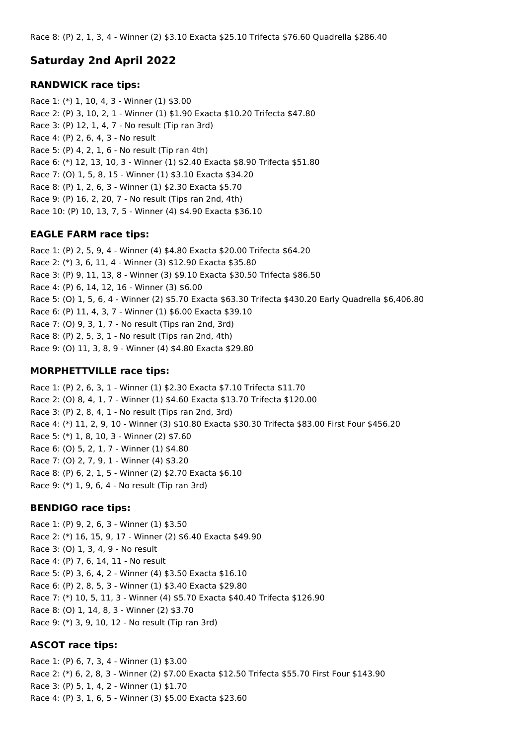# **Saturday 2nd April 2022**

### **RANDWICK race tips:**

Race 1: (\*) 1, 10, 4, 3 - Winner (1) \$3.00 Race 2: (P) 3, 10, 2, 1 - Winner (1) \$1.90 Exacta \$10.20 Trifecta \$47.80 Race 3: (P) 12, 1, 4, 7 - No result (Tip ran 3rd) Race 4: (P) 2, 6, 4, 3 - No result Race 5: (P) 4, 2, 1, 6 - No result (Tip ran 4th) Race 6: (\*) 12, 13, 10, 3 - Winner (1) \$2.40 Exacta \$8.90 Trifecta \$51.80 Race 7: (O) 1, 5, 8, 15 - Winner (1) \$3.10 Exacta \$34.20 Race 8: (P) 1, 2, 6, 3 - Winner (1) \$2.30 Exacta \$5.70 Race 9: (P) 16, 2, 20, 7 - No result (Tips ran 2nd, 4th) Race 10: (P) 10, 13, 7, 5 - Winner (4) \$4.90 Exacta \$36.10

#### **EAGLE FARM race tips:**

Race 1: (P) 2, 5, 9, 4 - Winner (4) \$4.80 Exacta \$20.00 Trifecta \$64.20 Race 2: (\*) 3, 6, 11, 4 - Winner (3) \$12.90 Exacta \$35.80 Race 3: (P) 9, 11, 13, 8 - Winner (3) \$9.10 Exacta \$30.50 Trifecta \$86.50 Race 4: (P) 6, 14, 12, 16 - Winner (3) \$6.00 Race 5: (O) 1, 5, 6, 4 - Winner (2) \$5.70 Exacta \$63.30 Trifecta \$430.20 Early Quadrella \$6,406.80 Race 6: (P) 11, 4, 3, 7 - Winner (1) \$6.00 Exacta \$39.10 Race 7: (O) 9, 3, 1, 7 - No result (Tips ran 2nd, 3rd) Race 8: (P) 2, 5, 3, 1 - No result (Tips ran 2nd, 4th) Race 9: (O) 11, 3, 8, 9 - Winner (4) \$4.80 Exacta \$29.80

#### **MORPHETTVILLE race tips:**

Race 1: (P) 2, 6, 3, 1 - Winner (1) \$2.30 Exacta \$7.10 Trifecta \$11.70 Race 2: (O) 8, 4, 1, 7 - Winner (1) \$4.60 Exacta \$13.70 Trifecta \$120.00 Race 3: (P) 2, 8, 4, 1 - No result (Tips ran 2nd, 3rd) Race 4: (\*) 11, 2, 9, 10 - Winner (3) \$10.80 Exacta \$30.30 Trifecta \$83.00 First Four \$456.20 Race 5: (\*) 1, 8, 10, 3 - Winner (2) \$7.60 Race 6: (O) 5, 2, 1, 7 - Winner (1) \$4.80 Race 7: (O) 2, 7, 9, 1 - Winner (4) \$3.20 Race 8: (P) 6, 2, 1, 5 - Winner (2) \$2.70 Exacta \$6.10 Race 9: (\*) 1, 9, 6, 4 - No result (Tip ran 3rd)

#### **BENDIGO race tips:**

Race 1: (P) 9, 2, 6, 3 - Winner (1) \$3.50 Race 2: (\*) 16, 15, 9, 17 - Winner (2) \$6.40 Exacta \$49.90 Race 3: (O) 1, 3, 4, 9 - No result Race 4: (P) 7, 6, 14, 11 - No result Race 5: (P) 3, 6, 4, 2 - Winner (4) \$3.50 Exacta \$16.10 Race 6: (P) 2, 8, 5, 3 - Winner (1) \$3.40 Exacta \$29.80 Race 7: (\*) 10, 5, 11, 3 - Winner (4) \$5.70 Exacta \$40.40 Trifecta \$126.90 Race 8: (O) 1, 14, 8, 3 - Winner (2) \$3.70 Race 9: (\*) 3, 9, 10, 12 - No result (Tip ran 3rd)

#### **ASCOT race tips:**

Race 1: (P) 6, 7, 3, 4 - Winner (1) \$3.00 Race 2: (\*) 6, 2, 8, 3 - Winner (2) \$7.00 Exacta \$12.50 Trifecta \$55.70 First Four \$143.90 Race 3: (P) 5, 1, 4, 2 - Winner (1) \$1.70 Race 4: (P) 3, 1, 6, 5 - Winner (3) \$5.00 Exacta \$23.60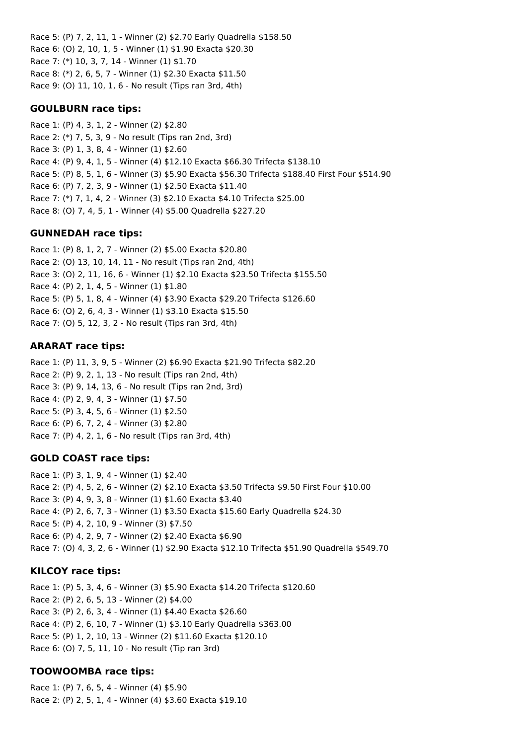Race 5: (P) 7, 2, 11, 1 - Winner (2) \$2.70 Early Quadrella \$158.50 Race 6: (O) 2, 10, 1, 5 - Winner (1) \$1.90 Exacta \$20.30 Race 7: (\*) 10, 3, 7, 14 - Winner (1) \$1.70 Race 8: (\*) 2, 6, 5, 7 - Winner (1) \$2.30 Exacta \$11.50 Race 9: (O) 11, 10, 1, 6 - No result (Tips ran 3rd, 4th)

#### **GOULBURN race tips:**

Race 1: (P) 4, 3, 1, 2 - Winner (2) \$2.80 Race 2: (\*) 7, 5, 3, 9 - No result (Tips ran 2nd, 3rd) Race 3: (P) 1, 3, 8, 4 - Winner (1) \$2.60 Race 4: (P) 9, 4, 1, 5 - Winner (4) \$12.10 Exacta \$66.30 Trifecta \$138.10 Race 5: (P) 8, 5, 1, 6 - Winner (3) \$5.90 Exacta \$56.30 Trifecta \$188.40 First Four \$514.90 Race 6: (P) 7, 2, 3, 9 - Winner (1) \$2.50 Exacta \$11.40 Race 7: (\*) 7, 1, 4, 2 - Winner (3) \$2.10 Exacta \$4.10 Trifecta \$25.00 Race 8: (O) 7, 4, 5, 1 - Winner (4) \$5.00 Quadrella \$227.20

## **GUNNEDAH race tips:**

Race 1: (P) 8, 1, 2, 7 - Winner (2) \$5.00 Exacta \$20.80 Race 2: (O) 13, 10, 14, 11 - No result (Tips ran 2nd, 4th) Race 3: (O) 2, 11, 16, 6 - Winner (1) \$2.10 Exacta \$23.50 Trifecta \$155.50 Race 4: (P) 2, 1, 4, 5 - Winner (1) \$1.80 Race 5: (P) 5, 1, 8, 4 - Winner (4) \$3.90 Exacta \$29.20 Trifecta \$126.60 Race 6: (O) 2, 6, 4, 3 - Winner (1) \$3.10 Exacta \$15.50 Race 7: (O) 5, 12, 3, 2 - No result (Tips ran 3rd, 4th)

## **ARARAT race tips:**

Race 1: (P) 11, 3, 9, 5 - Winner (2) \$6.90 Exacta \$21.90 Trifecta \$82.20 Race 2: (P) 9, 2, 1, 13 - No result (Tips ran 2nd, 4th) Race 3: (P) 9, 14, 13, 6 - No result (Tips ran 2nd, 3rd) Race 4: (P) 2, 9, 4, 3 - Winner (1) \$7.50 Race 5: (P) 3, 4, 5, 6 - Winner (1) \$2.50 Race 6: (P) 6, 7, 2, 4 - Winner (3) \$2.80 Race 7: (P) 4, 2, 1, 6 - No result (Tips ran 3rd, 4th)

## **GOLD COAST race tips:**

Race 1: (P) 3, 1, 9, 4 - Winner (1) \$2.40 Race 2: (P) 4, 5, 2, 6 - Winner (2) \$2.10 Exacta \$3.50 Trifecta \$9.50 First Four \$10.00 Race 3: (P) 4, 9, 3, 8 - Winner (1) \$1.60 Exacta \$3.40 Race 4: (P) 2, 6, 7, 3 - Winner (1) \$3.50 Exacta \$15.60 Early Quadrella \$24.30 Race 5: (P) 4, 2, 10, 9 - Winner (3) \$7.50 Race 6: (P) 4, 2, 9, 7 - Winner (2) \$2.40 Exacta \$6.90 Race 7: (O) 4, 3, 2, 6 - Winner (1) \$2.90 Exacta \$12.10 Trifecta \$51.90 Quadrella \$549.70

#### **KILCOY race tips:**

Race 1: (P) 5, 3, 4, 6 - Winner (3) \$5.90 Exacta \$14.20 Trifecta \$120.60 Race 2: (P) 2, 6, 5, 13 - Winner (2) \$4.00 Race 3: (P) 2, 6, 3, 4 - Winner (1) \$4.40 Exacta \$26.60 Race 4: (P) 2, 6, 10, 7 - Winner (1) \$3.10 Early Quadrella \$363.00 Race 5: (P) 1, 2, 10, 13 - Winner (2) \$11.60 Exacta \$120.10 Race 6: (O) 7, 5, 11, 10 - No result (Tip ran 3rd)

## **TOOWOOMBA race tips:**

Race 1: (P) 7, 6, 5, 4 - Winner (4) \$5.90 Race 2: (P) 2, 5, 1, 4 - Winner (4) \$3.60 Exacta \$19.10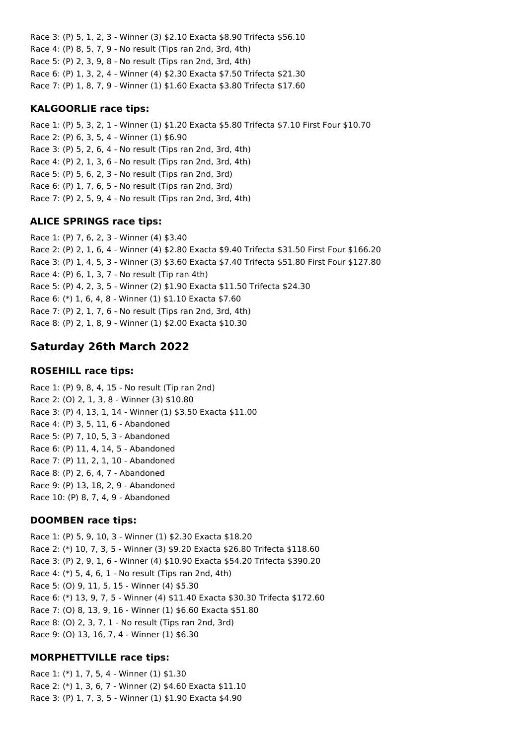Race 3: (P) 5, 1, 2, 3 - Winner (3) \$2.10 Exacta \$8.90 Trifecta \$56.10 Race 4: (P) 8, 5, 7, 9 - No result (Tips ran 2nd, 3rd, 4th) Race 5: (P) 2, 3, 9, 8 - No result (Tips ran 2nd, 3rd, 4th) Race 6: (P) 1, 3, 2, 4 - Winner (4) \$2.30 Exacta \$7.50 Trifecta \$21.30 Race 7: (P) 1, 8, 7, 9 - Winner (1) \$1.60 Exacta \$3.80 Trifecta \$17.60

#### **KALGOORLIE race tips:**

Race 1: (P) 5, 3, 2, 1 - Winner (1) \$1.20 Exacta \$5.80 Trifecta \$7.10 First Four \$10.70 Race 2: (P) 6, 3, 5, 4 - Winner (1) \$6.90 Race 3: (P) 5, 2, 6, 4 - No result (Tips ran 2nd, 3rd, 4th) Race 4: (P) 2, 1, 3, 6 - No result (Tips ran 2nd, 3rd, 4th) Race 5: (P) 5, 6, 2, 3 - No result (Tips ran 2nd, 3rd) Race 6: (P) 1, 7, 6, 5 - No result (Tips ran 2nd, 3rd) Race 7: (P) 2, 5, 9, 4 - No result (Tips ran 2nd, 3rd, 4th)

#### **ALICE SPRINGS race tips:**

Race 1: (P) 7, 6, 2, 3 - Winner (4) \$3.40 Race 2: (P) 2, 1, 6, 4 - Winner (4) \$2.80 Exacta \$9.40 Trifecta \$31.50 First Four \$166.20 Race 3: (P) 1, 4, 5, 3 - Winner (3) \$3.60 Exacta \$7.40 Trifecta \$51.80 First Four \$127.80 Race 4: (P) 6, 1, 3, 7 - No result (Tip ran 4th) Race 5: (P) 4, 2, 3, 5 - Winner (2) \$1.90 Exacta \$11.50 Trifecta \$24.30 Race 6: (\*) 1, 6, 4, 8 - Winner (1) \$1.10 Exacta \$7.60 Race 7: (P) 2, 1, 7, 6 - No result (Tips ran 2nd, 3rd, 4th) Race 8: (P) 2, 1, 8, 9 - Winner (1) \$2.00 Exacta \$10.30

## **Saturday 26th March 2022**

#### **ROSEHILL race tips:**

Race 1: (P) 9, 8, 4, 15 - No result (Tip ran 2nd) Race 2: (O) 2, 1, 3, 8 - Winner (3) \$10.80 Race 3: (P) 4, 13, 1, 14 - Winner (1) \$3.50 Exacta \$11.00 Race 4: (P) 3, 5, 11, 6 - Abandoned Race 5: (P) 7, 10, 5, 3 - Abandoned Race 6: (P) 11, 4, 14, 5 - Abandoned Race 7: (P) 11, 2, 1, 10 - Abandoned Race 8: (P) 2, 6, 4, 7 - Abandoned Race 9: (P) 13, 18, 2, 9 - Abandoned Race 10: (P) 8, 7, 4, 9 - Abandoned

#### **DOOMBEN race tips:**

Race 1: (P) 5, 9, 10, 3 - Winner (1) \$2.30 Exacta \$18.20 Race 2: (\*) 10, 7, 3, 5 - Winner (3) \$9.20 Exacta \$26.80 Trifecta \$118.60 Race 3: (P) 2, 9, 1, 6 - Winner (4) \$10.90 Exacta \$54.20 Trifecta \$390.20 Race 4: (\*) 5, 4, 6, 1 - No result (Tips ran 2nd, 4th) Race 5: (O) 9, 11, 5, 15 - Winner (4) \$5.30 Race 6: (\*) 13, 9, 7, 5 - Winner (4) \$11.40 Exacta \$30.30 Trifecta \$172.60 Race 7: (O) 8, 13, 9, 16 - Winner (1) \$6.60 Exacta \$51.80 Race 8: (O) 2, 3, 7, 1 - No result (Tips ran 2nd, 3rd) Race 9: (O) 13, 16, 7, 4 - Winner (1) \$6.30

## **MORPHETTVILLE race tips:**

Race 1: (\*) 1, 7, 5, 4 - Winner (1) \$1.30 Race 2: (\*) 1, 3, 6, 7 - Winner (2) \$4.60 Exacta \$11.10 Race 3: (P) 1, 7, 3, 5 - Winner (1) \$1.90 Exacta \$4.90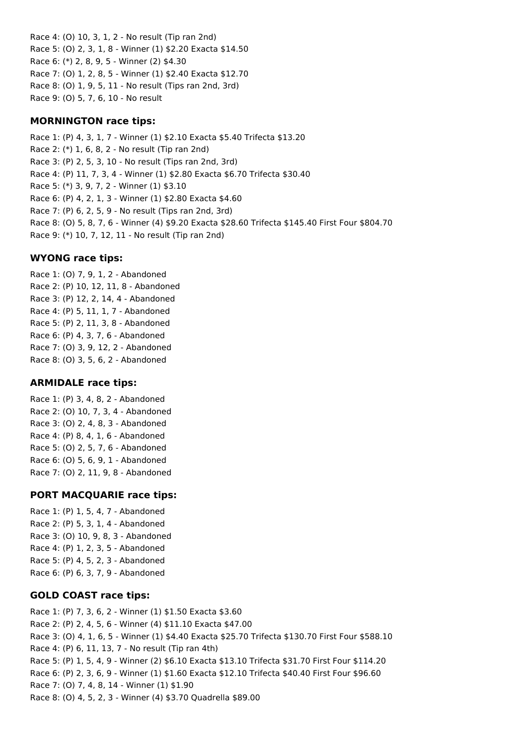Race 4: (O) 10, 3, 1, 2 - No result (Tip ran 2nd) Race 5: (O) 2, 3, 1, 8 - Winner (1) \$2.20 Exacta \$14.50 Race 6: (\*) 2, 8, 9, 5 - Winner (2) \$4.30 Race 7: (O) 1, 2, 8, 5 - Winner (1) \$2.40 Exacta \$12.70 Race 8: (O) 1, 9, 5, 11 - No result (Tips ran 2nd, 3rd) Race 9: (O) 5, 7, 6, 10 - No result

### **MORNINGTON race tips:**

Race 1: (P) 4, 3, 1, 7 - Winner (1) \$2.10 Exacta \$5.40 Trifecta \$13.20 Race 2: (\*) 1, 6, 8, 2 - No result (Tip ran 2nd) Race 3: (P) 2, 5, 3, 10 - No result (Tips ran 2nd, 3rd) Race 4: (P) 11, 7, 3, 4 - Winner (1) \$2.80 Exacta \$6.70 Trifecta \$30.40 Race 5: (\*) 3, 9, 7, 2 - Winner (1) \$3.10 Race 6: (P) 4, 2, 1, 3 - Winner (1) \$2.80 Exacta \$4.60 Race 7: (P) 6, 2, 5, 9 - No result (Tips ran 2nd, 3rd) Race 8: (O) 5, 8, 7, 6 - Winner (4) \$9.20 Exacta \$28.60 Trifecta \$145.40 First Four \$804.70 Race 9: (\*) 10, 7, 12, 11 - No result (Tip ran 2nd)

### **WYONG race tips:**

Race 1: (O) 7, 9, 1, 2 - Abandoned Race 2: (P) 10, 12, 11, 8 - Abandoned Race 3: (P) 12, 2, 14, 4 - Abandoned Race 4: (P) 5, 11, 1, 7 - Abandoned Race 5: (P) 2, 11, 3, 8 - Abandoned Race 6: (P) 4, 3, 7, 6 - Abandoned Race 7: (O) 3, 9, 12, 2 - Abandoned Race 8: (O) 3, 5, 6, 2 - Abandoned

#### **ARMIDALE race tips:**

Race 1: (P) 3, 4, 8, 2 - Abandoned Race 2: (O) 10, 7, 3, 4 - Abandoned Race 3: (O) 2, 4, 8, 3 - Abandoned Race 4: (P) 8, 4, 1, 6 - Abandoned Race 5: (O) 2, 5, 7, 6 - Abandoned Race 6: (O) 5, 6, 9, 1 - Abandoned Race 7: (O) 2, 11, 9, 8 - Abandoned

## **PORT MACQUARIE race tips:**

Race 1: (P) 1, 5, 4, 7 - Abandoned Race 2: (P) 5, 3, 1, 4 - Abandoned Race 3: (O) 10, 9, 8, 3 - Abandoned Race 4: (P) 1, 2, 3, 5 - Abandoned Race 5: (P) 4, 5, 2, 3 - Abandoned Race 6: (P) 6, 3, 7, 9 - Abandoned

## **GOLD COAST race tips:**

Race 1: (P) 7, 3, 6, 2 - Winner (1) \$1.50 Exacta \$3.60 Race 2: (P) 2, 4, 5, 6 - Winner (4) \$11.10 Exacta \$47.00 Race 3: (O) 4, 1, 6, 5 - Winner (1) \$4.40 Exacta \$25.70 Trifecta \$130.70 First Four \$588.10 Race 4: (P) 6, 11, 13, 7 - No result (Tip ran 4th) Race 5: (P) 1, 5, 4, 9 - Winner (2) \$6.10 Exacta \$13.10 Trifecta \$31.70 First Four \$114.20 Race 6: (P) 2, 3, 6, 9 - Winner (1) \$1.60 Exacta \$12.10 Trifecta \$40.40 First Four \$96.60 Race 7: (O) 7, 4, 8, 14 - Winner (1) \$1.90 Race 8: (O) 4, 5, 2, 3 - Winner (4) \$3.70 Quadrella \$89.00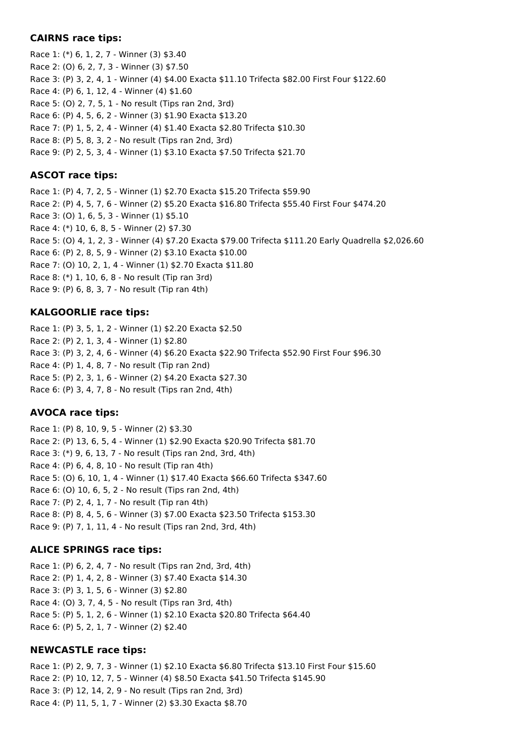#### **CAIRNS race tips:**

Race 1: (\*) 6, 1, 2, 7 - Winner (3) \$3.40 Race 2: (O) 6, 2, 7, 3 - Winner (3) \$7.50 Race 3: (P) 3, 2, 4, 1 - Winner (4) \$4.00 Exacta \$11.10 Trifecta \$82.00 First Four \$122.60 Race 4: (P) 6, 1, 12, 4 - Winner (4) \$1.60 Race 5: (O) 2, 7, 5, 1 - No result (Tips ran 2nd, 3rd) Race 6: (P) 4, 5, 6, 2 - Winner (3) \$1.90 Exacta \$13.20 Race 7: (P) 1, 5, 2, 4 - Winner (4) \$1.40 Exacta \$2.80 Trifecta \$10.30 Race 8: (P) 5, 8, 3, 2 - No result (Tips ran 2nd, 3rd) Race 9: (P) 2, 5, 3, 4 - Winner (1) \$3.10 Exacta \$7.50 Trifecta \$21.70

## **ASCOT race tips:**

Race 1: (P) 4, 7, 2, 5 - Winner (1) \$2.70 Exacta \$15.20 Trifecta \$59.90 Race 2: (P) 4, 5, 7, 6 - Winner (2) \$5.20 Exacta \$16.80 Trifecta \$55.40 First Four \$474.20 Race 3: (O) 1, 6, 5, 3 - Winner (1) \$5.10 Race 4: (\*) 10, 6, 8, 5 - Winner (2) \$7.30 Race 5: (O) 4, 1, 2, 3 - Winner (4) \$7.20 Exacta \$79.00 Trifecta \$111.20 Early Quadrella \$2,026.60 Race 6: (P) 2, 8, 5, 9 - Winner (2) \$3.10 Exacta \$10.00 Race 7: (O) 10, 2, 1, 4 - Winner (1) \$2.70 Exacta \$11.80 Race 8: (\*) 1, 10, 6, 8 - No result (Tip ran 3rd) Race 9: (P) 6, 8, 3, 7 - No result (Tip ran 4th)

## **KALGOORLIE race tips:**

Race 1: (P) 3, 5, 1, 2 - Winner (1) \$2.20 Exacta \$2.50 Race 2: (P) 2, 1, 3, 4 - Winner (1) \$2.80 Race 3: (P) 3, 2, 4, 6 - Winner (4) \$6.20 Exacta \$22.90 Trifecta \$52.90 First Four \$96.30 Race 4: (P) 1, 4, 8, 7 - No result (Tip ran 2nd) Race 5: (P) 2, 3, 1, 6 - Winner (2) \$4.20 Exacta \$27.30 Race 6: (P) 3, 4, 7, 8 - No result (Tips ran 2nd, 4th)

## **AVOCA race tips:**

Race 1: (P) 8, 10, 9, 5 - Winner (2) \$3.30 Race 2: (P) 13, 6, 5, 4 - Winner (1) \$2.90 Exacta \$20.90 Trifecta \$81.70 Race 3: (\*) 9, 6, 13, 7 - No result (Tips ran 2nd, 3rd, 4th) Race 4: (P) 6, 4, 8, 10 - No result (Tip ran 4th) Race 5: (O) 6, 10, 1, 4 - Winner (1) \$17.40 Exacta \$66.60 Trifecta \$347.60 Race 6: (O) 10, 6, 5, 2 - No result (Tips ran 2nd, 4th) Race 7: (P) 2, 4, 1, 7 - No result (Tip ran 4th) Race 8: (P) 8, 4, 5, 6 - Winner (3) \$7.00 Exacta \$23.50 Trifecta \$153.30 Race 9: (P) 7, 1, 11, 4 - No result (Tips ran 2nd, 3rd, 4th)

## **ALICE SPRINGS race tips:**

Race 1: (P) 6, 2, 4, 7 - No result (Tips ran 2nd, 3rd, 4th) Race 2: (P) 1, 4, 2, 8 - Winner (3) \$7.40 Exacta \$14.30 Race 3: (P) 3, 1, 5, 6 - Winner (3) \$2.80 Race 4: (O) 3, 7, 4, 5 - No result (Tips ran 3rd, 4th) Race 5: (P) 5, 1, 2, 6 - Winner (1) \$2.10 Exacta \$20.80 Trifecta \$64.40 Race 6: (P) 5, 2, 1, 7 - Winner (2) \$2.40

## **NEWCASTLE race tips:**

Race 1: (P) 2, 9, 7, 3 - Winner (1) \$2.10 Exacta \$6.80 Trifecta \$13.10 First Four \$15.60 Race 2: (P) 10, 12, 7, 5 - Winner (4) \$8.50 Exacta \$41.50 Trifecta \$145.90 Race 3: (P) 12, 14, 2, 9 - No result (Tips ran 2nd, 3rd) Race 4: (P) 11, 5, 1, 7 - Winner (2) \$3.30 Exacta \$8.70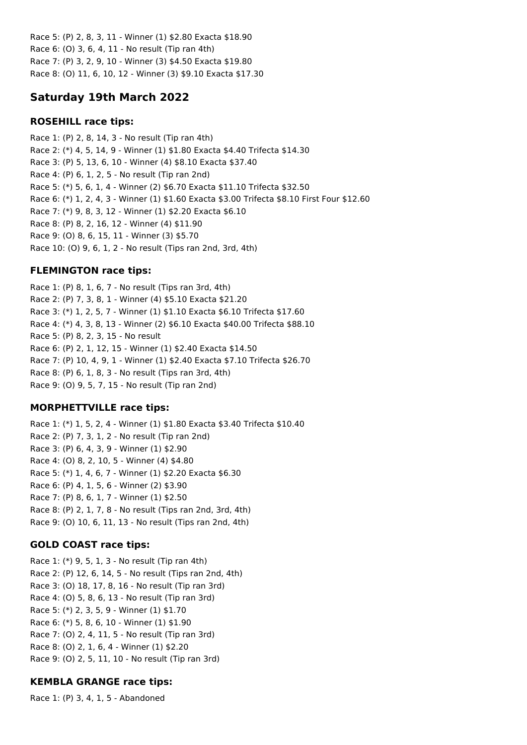Race 5: (P) 2, 8, 3, 11 - Winner (1) \$2.80 Exacta \$18.90 Race 6: (O) 3, 6, 4, 11 - No result (Tip ran 4th) Race 7: (P) 3, 2, 9, 10 - Winner (3) \$4.50 Exacta \$19.80 Race 8: (O) 11, 6, 10, 12 - Winner (3) \$9.10 Exacta \$17.30

# **Saturday 19th March 2022**

## **ROSEHILL race tips:**

Race 1: (P) 2, 8, 14, 3 - No result (Tip ran 4th) Race 2: (\*) 4, 5, 14, 9 - Winner (1) \$1.80 Exacta \$4.40 Trifecta \$14.30 Race 3: (P) 5, 13, 6, 10 - Winner (4) \$8.10 Exacta \$37.40 Race 4: (P) 6, 1, 2, 5 - No result (Tip ran 2nd) Race 5: (\*) 5, 6, 1, 4 - Winner (2) \$6.70 Exacta \$11.10 Trifecta \$32.50 Race 6: (\*) 1, 2, 4, 3 - Winner (1) \$1.60 Exacta \$3.00 Trifecta \$8.10 First Four \$12.60 Race 7: (\*) 9, 8, 3, 12 - Winner (1) \$2.20 Exacta \$6.10 Race 8: (P) 8, 2, 16, 12 - Winner (4) \$11.90 Race 9: (O) 8, 6, 15, 11 - Winner (3) \$5.70 Race 10: (O) 9, 6, 1, 2 - No result (Tips ran 2nd, 3rd, 4th)

# **FLEMINGTON race tips:**

Race 1: (P) 8, 1, 6, 7 - No result (Tips ran 3rd, 4th) Race 2: (P) 7, 3, 8, 1 - Winner (4) \$5.10 Exacta \$21.20 Race 3: (\*) 1, 2, 5, 7 - Winner (1) \$1.10 Exacta \$6.10 Trifecta \$17.60 Race 4: (\*) 4, 3, 8, 13 - Winner (2) \$6.10 Exacta \$40.00 Trifecta \$88.10 Race 5: (P) 8, 2, 3, 15 - No result Race 6: (P) 2, 1, 12, 15 - Winner (1) \$2.40 Exacta \$14.50 Race 7: (P) 10, 4, 9, 1 - Winner (1) \$2.40 Exacta \$7.10 Trifecta \$26.70 Race 8: (P) 6, 1, 8, 3 - No result (Tips ran 3rd, 4th) Race 9: (O) 9, 5, 7, 15 - No result (Tip ran 2nd)

## **MORPHETTVILLE race tips:**

Race 1: (\*) 1, 5, 2, 4 - Winner (1) \$1.80 Exacta \$3.40 Trifecta \$10.40 Race 2: (P) 7, 3, 1, 2 - No result (Tip ran 2nd) Race 3: (P) 6, 4, 3, 9 - Winner (1) \$2.90 Race 4: (O) 8, 2, 10, 5 - Winner (4) \$4.80 Race 5: (\*) 1, 4, 6, 7 - Winner (1) \$2.20 Exacta \$6.30 Race 6: (P) 4, 1, 5, 6 - Winner (2) \$3.90 Race 7: (P) 8, 6, 1, 7 - Winner (1) \$2.50 Race 8: (P) 2, 1, 7, 8 - No result (Tips ran 2nd, 3rd, 4th) Race 9: (O) 10, 6, 11, 13 - No result (Tips ran 2nd, 4th)

# **GOLD COAST race tips:**

Race 1: (\*) 9, 5, 1, 3 - No result (Tip ran 4th) Race 2: (P) 12, 6, 14, 5 - No result (Tips ran 2nd, 4th) Race 3: (O) 18, 17, 8, 16 - No result (Tip ran 3rd) Race 4: (O) 5, 8, 6, 13 - No result (Tip ran 3rd) Race 5: (\*) 2, 3, 5, 9 - Winner (1) \$1.70 Race 6: (\*) 5, 8, 6, 10 - Winner (1) \$1.90 Race 7: (O) 2, 4, 11, 5 - No result (Tip ran 3rd) Race 8: (O) 2, 1, 6, 4 - Winner (1) \$2.20 Race 9: (O) 2, 5, 11, 10 - No result (Tip ran 3rd)

## **KEMBLA GRANGE race tips:**

Race 1: (P) 3, 4, 1, 5 - Abandoned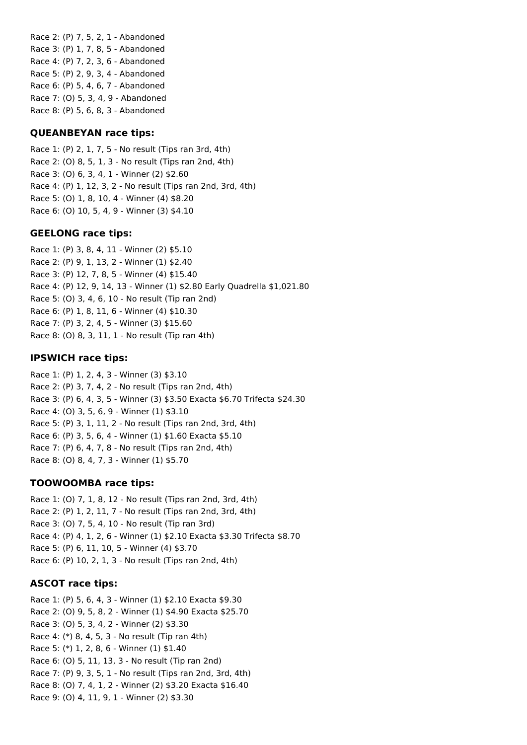Race 2: (P) 7, 5, 2, 1 - Abandoned Race 3: (P) 1, 7, 8, 5 - Abandoned Race 4: (P) 7, 2, 3, 6 - Abandoned Race 5: (P) 2, 9, 3, 4 - Abandoned Race 6: (P) 5, 4, 6, 7 - Abandoned Race 7: (O) 5, 3, 4, 9 - Abandoned Race 8: (P) 5, 6, 8, 3 - Abandoned

#### **QUEANBEYAN race tips:**

Race 1: (P) 2, 1, 7, 5 - No result (Tips ran 3rd, 4th) Race 2: (O) 8, 5, 1, 3 - No result (Tips ran 2nd, 4th) Race 3: (O) 6, 3, 4, 1 - Winner (2) \$2.60 Race 4: (P) 1, 12, 3, 2 - No result (Tips ran 2nd, 3rd, 4th) Race 5: (O) 1, 8, 10, 4 - Winner (4) \$8.20 Race 6: (O) 10, 5, 4, 9 - Winner (3) \$4.10

#### **GEELONG race tips:**

Race 1: (P) 3, 8, 4, 11 - Winner (2) \$5.10 Race 2: (P) 9, 1, 13, 2 - Winner (1) \$2.40 Race 3: (P) 12, 7, 8, 5 - Winner (4) \$15.40 Race 4: (P) 12, 9, 14, 13 - Winner (1) \$2.80 Early Quadrella \$1,021.80 Race 5: (O) 3, 4, 6, 10 - No result (Tip ran 2nd) Race 6: (P) 1, 8, 11, 6 - Winner (4) \$10.30 Race 7: (P) 3, 2, 4, 5 - Winner (3) \$15.60 Race 8: (O) 8, 3, 11, 1 - No result (Tip ran 4th)

### **IPSWICH race tips:**

Race 1: (P) 1, 2, 4, 3 - Winner (3) \$3.10 Race 2: (P) 3, 7, 4, 2 - No result (Tips ran 2nd, 4th) Race 3: (P) 6, 4, 3, 5 - Winner (3) \$3.50 Exacta \$6.70 Trifecta \$24.30 Race 4: (O) 3, 5, 6, 9 - Winner (1) \$3.10 Race 5: (P) 3, 1, 11, 2 - No result (Tips ran 2nd, 3rd, 4th) Race 6: (P) 3, 5, 6, 4 - Winner (1) \$1.60 Exacta \$5.10 Race 7: (P) 6, 4, 7, 8 - No result (Tips ran 2nd, 4th) Race 8: (O) 8, 4, 7, 3 - Winner (1) \$5.70

## **TOOWOOMBA race tips:**

Race 1: (O) 7, 1, 8, 12 - No result (Tips ran 2nd, 3rd, 4th) Race 2: (P) 1, 2, 11, 7 - No result (Tips ran 2nd, 3rd, 4th) Race 3: (O) 7, 5, 4, 10 - No result (Tip ran 3rd) Race 4: (P) 4, 1, 2, 6 - Winner (1) \$2.10 Exacta \$3.30 Trifecta \$8.70 Race 5: (P) 6, 11, 10, 5 - Winner (4) \$3.70 Race 6: (P) 10, 2, 1, 3 - No result (Tips ran 2nd, 4th)

## **ASCOT race tips:**

Race 1: (P) 5, 6, 4, 3 - Winner (1) \$2.10 Exacta \$9.30 Race 2: (O) 9, 5, 8, 2 - Winner (1) \$4.90 Exacta \$25.70 Race 3: (O) 5, 3, 4, 2 - Winner (2) \$3.30 Race 4: (\*) 8, 4, 5, 3 - No result (Tip ran 4th) Race 5: (\*) 1, 2, 8, 6 - Winner (1) \$1.40 Race 6: (O) 5, 11, 13, 3 - No result (Tip ran 2nd) Race 7: (P) 9, 3, 5, 1 - No result (Tips ran 2nd, 3rd, 4th) Race 8: (O) 7, 4, 1, 2 - Winner (2) \$3.20 Exacta \$16.40 Race 9: (O) 4, 11, 9, 1 - Winner (2) \$3.30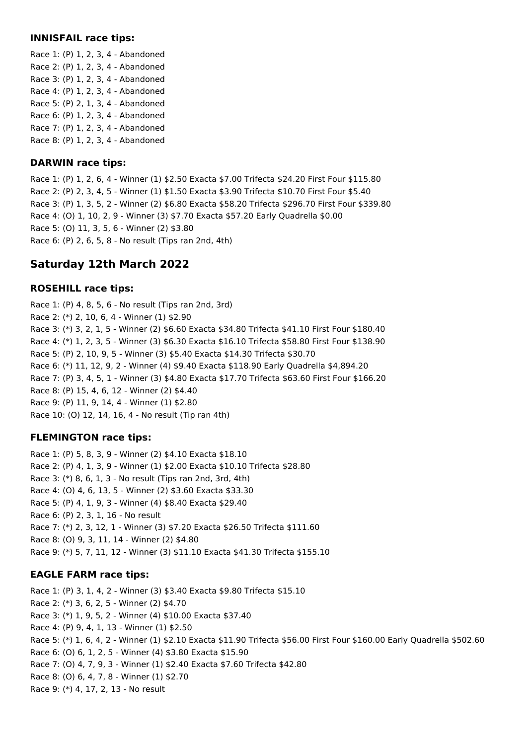#### **INNISFAIL race tips:**

Race 1: (P) 1, 2, 3, 4 - Abandoned Race 2: (P) 1, 2, 3, 4 - Abandoned Race 3: (P) 1, 2, 3, 4 - Abandoned Race 4: (P) 1, 2, 3, 4 - Abandoned Race 5: (P) 2, 1, 3, 4 - Abandoned Race 6: (P) 1, 2, 3, 4 - Abandoned Race 7: (P) 1, 2, 3, 4 - Abandoned Race 8: (P) 1, 2, 3, 4 - Abandoned

## **DARWIN race tips:**

Race 1: (P) 1, 2, 6, 4 - Winner (1) \$2.50 Exacta \$7.00 Trifecta \$24.20 First Four \$115.80 Race 2: (P) 2, 3, 4, 5 - Winner (1) \$1.50 Exacta \$3.90 Trifecta \$10.70 First Four \$5.40 Race 3: (P) 1, 3, 5, 2 - Winner (2) \$6.80 Exacta \$58.20 Trifecta \$296.70 First Four \$339.80 Race 4: (O) 1, 10, 2, 9 - Winner (3) \$7.70 Exacta \$57.20 Early Quadrella \$0.00 Race 5: (O) 11, 3, 5, 6 - Winner (2) \$3.80 Race 6: (P) 2, 6, 5, 8 - No result (Tips ran 2nd, 4th)

# **Saturday 12th March 2022**

## **ROSEHILL race tips:**

Race 1: (P) 4, 8, 5, 6 - No result (Tips ran 2nd, 3rd) Race 2: (\*) 2, 10, 6, 4 - Winner (1) \$2.90 Race 3: (\*) 3, 2, 1, 5 - Winner (2) \$6.60 Exacta \$34.80 Trifecta \$41.10 First Four \$180.40 Race 4: (\*) 1, 2, 3, 5 - Winner (3) \$6.30 Exacta \$16.10 Trifecta \$58.80 First Four \$138.90 Race 5: (P) 2, 10, 9, 5 - Winner (3) \$5.40 Exacta \$14.30 Trifecta \$30.70 Race 6: (\*) 11, 12, 9, 2 - Winner (4) \$9.40 Exacta \$118.90 Early Quadrella \$4,894.20 Race 7: (P) 3, 4, 5, 1 - Winner (3) \$4.80 Exacta \$17.70 Trifecta \$63.60 First Four \$166.20 Race 8: (P) 15, 4, 6, 12 - Winner (2) \$4.40 Race 9: (P) 11, 9, 14, 4 - Winner (1) \$2.80 Race 10: (O) 12, 14, 16, 4 - No result (Tip ran 4th)

## **FLEMINGTON race tips:**

Race 1: (P) 5, 8, 3, 9 - Winner (2) \$4.10 Exacta \$18.10 Race 2: (P) 4, 1, 3, 9 - Winner (1) \$2.00 Exacta \$10.10 Trifecta \$28.80 Race 3: (\*) 8, 6, 1, 3 - No result (Tips ran 2nd, 3rd, 4th) Race 4: (O) 4, 6, 13, 5 - Winner (2) \$3.60 Exacta \$33.30 Race 5: (P) 4, 1, 9, 3 - Winner (4) \$8.40 Exacta \$29.40 Race 6: (P) 2, 3, 1, 16 - No result Race 7: (\*) 2, 3, 12, 1 - Winner (3) \$7.20 Exacta \$26.50 Trifecta \$111.60 Race 8: (O) 9, 3, 11, 14 - Winner (2) \$4.80 Race 9: (\*) 5, 7, 11, 12 - Winner (3) \$11.10 Exacta \$41.30 Trifecta \$155.10

## **EAGLE FARM race tips:**

Race 1: (P) 3, 1, 4, 2 - Winner (3) \$3.40 Exacta \$9.80 Trifecta \$15.10 Race 2: (\*) 3, 6, 2, 5 - Winner (2) \$4.70 Race 3: (\*) 1, 9, 5, 2 - Winner (4) \$10.00 Exacta \$37.40 Race 4: (P) 9, 4, 1, 13 - Winner (1) \$2.50 Race 5: (\*) 1, 6, 4, 2 - Winner (1) \$2.10 Exacta \$11.90 Trifecta \$56.00 First Four \$160.00 Early Quadrella \$502.60 Race 6: (O) 6, 1, 2, 5 - Winner (4) \$3.80 Exacta \$15.90 Race 7: (O) 4, 7, 9, 3 - Winner (1) \$2.40 Exacta \$7.60 Trifecta \$42.80 Race 8: (O) 6, 4, 7, 8 - Winner (1) \$2.70 Race 9: (\*) 4, 17, 2, 13 - No result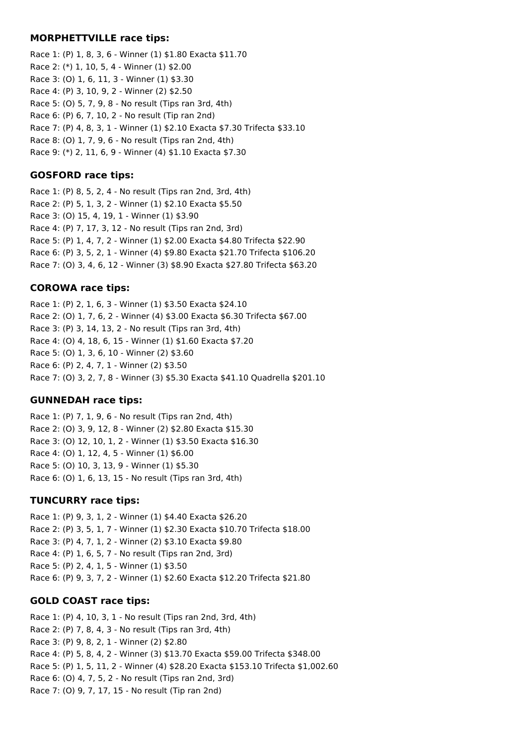#### **MORPHETTVILLE race tips:**

Race 1: (P) 1, 8, 3, 6 - Winner (1) \$1.80 Exacta \$11.70 Race 2: (\*) 1, 10, 5, 4 - Winner (1) \$2.00 Race 3: (O) 1, 6, 11, 3 - Winner (1) \$3.30 Race 4: (P) 3, 10, 9, 2 - Winner (2) \$2.50 Race 5: (O) 5, 7, 9, 8 - No result (Tips ran 3rd, 4th) Race 6: (P) 6, 7, 10, 2 - No result (Tip ran 2nd) Race 7: (P) 4, 8, 3, 1 - Winner (1) \$2.10 Exacta \$7.30 Trifecta \$33.10 Race 8: (O) 1, 7, 9, 6 - No result (Tips ran 2nd, 4th) Race 9: (\*) 2, 11, 6, 9 - Winner (4) \$1.10 Exacta \$7.30

## **GOSFORD race tips:**

Race 1: (P) 8, 5, 2, 4 - No result (Tips ran 2nd, 3rd, 4th) Race 2: (P) 5, 1, 3, 2 - Winner (1) \$2.10 Exacta \$5.50 Race 3: (O) 15, 4, 19, 1 - Winner (1) \$3.90 Race 4: (P) 7, 17, 3, 12 - No result (Tips ran 2nd, 3rd) Race 5: (P) 1, 4, 7, 2 - Winner (1) \$2.00 Exacta \$4.80 Trifecta \$22.90 Race 6: (P) 3, 5, 2, 1 - Winner (4) \$9.80 Exacta \$21.70 Trifecta \$106.20 Race 7: (O) 3, 4, 6, 12 - Winner (3) \$8.90 Exacta \$27.80 Trifecta \$63.20

## **COROWA race tips:**

Race 1: (P) 2, 1, 6, 3 - Winner (1) \$3.50 Exacta \$24.10 Race 2: (O) 1, 7, 6, 2 - Winner (4) \$3.00 Exacta \$6.30 Trifecta \$67.00 Race 3: (P) 3, 14, 13, 2 - No result (Tips ran 3rd, 4th) Race 4: (O) 4, 18, 6, 15 - Winner (1) \$1.60 Exacta \$7.20 Race 5: (O) 1, 3, 6, 10 - Winner (2) \$3.60 Race 6: (P) 2, 4, 7, 1 - Winner (2) \$3.50 Race 7: (O) 3, 2, 7, 8 - Winner (3) \$5.30 Exacta \$41.10 Quadrella \$201.10

## **GUNNEDAH race tips:**

Race 1: (P) 7, 1, 9, 6 - No result (Tips ran 2nd, 4th) Race 2: (O) 3, 9, 12, 8 - Winner (2) \$2.80 Exacta \$15.30 Race 3: (O) 12, 10, 1, 2 - Winner (1) \$3.50 Exacta \$16.30 Race 4: (O) 1, 12, 4, 5 - Winner (1) \$6.00 Race 5: (O) 10, 3, 13, 9 - Winner (1) \$5.30 Race 6: (O) 1, 6, 13, 15 - No result (Tips ran 3rd, 4th)

## **TUNCURRY race tips:**

Race 1: (P) 9, 3, 1, 2 - Winner (1) \$4.40 Exacta \$26.20 Race 2: (P) 3, 5, 1, 7 - Winner (1) \$2.30 Exacta \$10.70 Trifecta \$18.00 Race 3: (P) 4, 7, 1, 2 - Winner (2) \$3.10 Exacta \$9.80 Race 4: (P) 1, 6, 5, 7 - No result (Tips ran 2nd, 3rd) Race 5: (P) 2, 4, 1, 5 - Winner (1) \$3.50 Race 6: (P) 9, 3, 7, 2 - Winner (1) \$2.60 Exacta \$12.20 Trifecta \$21.80

## **GOLD COAST race tips:**

Race 1: (P) 4, 10, 3, 1 - No result (Tips ran 2nd, 3rd, 4th) Race 2: (P) 7, 8, 4, 3 - No result (Tips ran 3rd, 4th) Race 3: (P) 9, 8, 2, 1 - Winner (2) \$2.80 Race 4: (P) 5, 8, 4, 2 - Winner (3) \$13.70 Exacta \$59.00 Trifecta \$348.00 Race 5: (P) 1, 5, 11, 2 - Winner (4) \$28.20 Exacta \$153.10 Trifecta \$1,002.60 Race 6: (O) 4, 7, 5, 2 - No result (Tips ran 2nd, 3rd) Race 7: (O) 9, 7, 17, 15 - No result (Tip ran 2nd)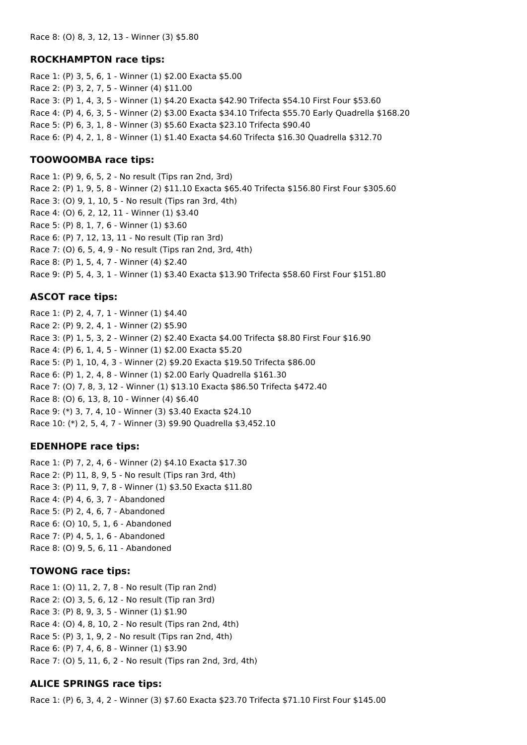#### **ROCKHAMPTON race tips:**

Race 1: (P) 3, 5, 6, 1 - Winner (1) \$2.00 Exacta \$5.00 Race 2: (P) 3, 2, 7, 5 - Winner (4) \$11.00 Race 3: (P) 1, 4, 3, 5 - Winner (1) \$4.20 Exacta \$42.90 Trifecta \$54.10 First Four \$53.60 Race 4: (P) 4, 6, 3, 5 - Winner (2) \$3.00 Exacta \$34.10 Trifecta \$55.70 Early Quadrella \$168.20 Race 5: (P) 6, 3, 1, 8 - Winner (3) \$5.60 Exacta \$23.10 Trifecta \$90.40 Race 6: (P) 4, 2, 1, 8 - Winner (1) \$1.40 Exacta \$4.60 Trifecta \$16.30 Quadrella \$312.70

### **TOOWOOMBA race tips:**

Race 1: (P) 9, 6, 5, 2 - No result (Tips ran 2nd, 3rd) Race 2: (P) 1, 9, 5, 8 - Winner (2) \$11.10 Exacta \$65.40 Trifecta \$156.80 First Four \$305.60 Race 3: (O) 9, 1, 10, 5 - No result (Tips ran 3rd, 4th) Race 4: (O) 6, 2, 12, 11 - Winner (1) \$3.40 Race 5: (P) 8, 1, 7, 6 - Winner (1) \$3.60 Race 6: (P) 7, 12, 13, 11 - No result (Tip ran 3rd) Race 7: (O) 6, 5, 4, 9 - No result (Tips ran 2nd, 3rd, 4th) Race 8: (P) 1, 5, 4, 7 - Winner (4) \$2.40 Race 9: (P) 5, 4, 3, 1 - Winner (1) \$3.40 Exacta \$13.90 Trifecta \$58.60 First Four \$151.80

## **ASCOT race tips:**

Race 1: (P) 2, 4, 7, 1 - Winner (1) \$4.40 Race 2: (P) 9, 2, 4, 1 - Winner (2) \$5.90 Race 3: (P) 1, 5, 3, 2 - Winner (2) \$2.40 Exacta \$4.00 Trifecta \$8.80 First Four \$16.90 Race 4: (P) 6, 1, 4, 5 - Winner (1) \$2.00 Exacta \$5.20 Race 5: (P) 1, 10, 4, 3 - Winner (2) \$9.20 Exacta \$19.50 Trifecta \$86.00 Race 6: (P) 1, 2, 4, 8 - Winner (1) \$2.00 Early Quadrella \$161.30 Race 7: (O) 7, 8, 3, 12 - Winner (1) \$13.10 Exacta \$86.50 Trifecta \$472.40 Race 8: (O) 6, 13, 8, 10 - Winner (4) \$6.40 Race 9: (\*) 3, 7, 4, 10 - Winner (3) \$3.40 Exacta \$24.10 Race 10: (\*) 2, 5, 4, 7 - Winner (3) \$9.90 Quadrella \$3,452.10

## **EDENHOPE race tips:**

Race 1: (P) 7, 2, 4, 6 - Winner (2) \$4.10 Exacta \$17.30 Race 2: (P) 11, 8, 9, 5 - No result (Tips ran 3rd, 4th) Race 3: (P) 11, 9, 7, 8 - Winner (1) \$3.50 Exacta \$11.80 Race 4: (P) 4, 6, 3, 7 - Abandoned Race 5: (P) 2, 4, 6, 7 - Abandoned Race 6: (O) 10, 5, 1, 6 - Abandoned Race 7: (P) 4, 5, 1, 6 - Abandoned Race 8: (O) 9, 5, 6, 11 - Abandoned

## **TOWONG race tips:**

Race 1: (O) 11, 2, 7, 8 - No result (Tip ran 2nd) Race 2: (O) 3, 5, 6, 12 - No result (Tip ran 3rd) Race 3: (P) 8, 9, 3, 5 - Winner (1) \$1.90 Race 4: (O) 4, 8, 10, 2 - No result (Tips ran 2nd, 4th) Race 5: (P) 3, 1, 9, 2 - No result (Tips ran 2nd, 4th) Race 6: (P) 7, 4, 6, 8 - Winner (1) \$3.90 Race 7: (O) 5, 11, 6, 2 - No result (Tips ran 2nd, 3rd, 4th)

## **ALICE SPRINGS race tips:**

Race 1: (P) 6, 3, 4, 2 - Winner (3) \$7.60 Exacta \$23.70 Trifecta \$71.10 First Four \$145.00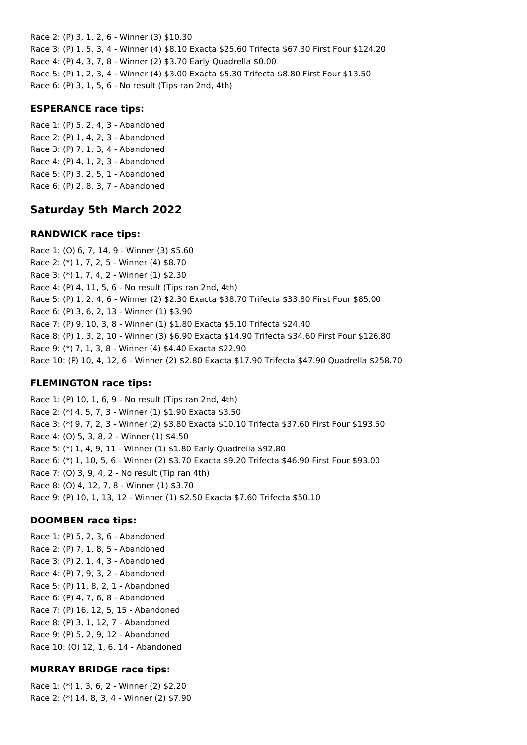Race 2: (P) 3, 1, 2, 6 - Winner (3) \$10.30 Race 3: (P) 1, 5, 3, 4 - Winner (4) \$8.10 Exacta \$25.60 Trifecta \$67.30 First Four \$124.20 Race 4: (P) 4, 3, 7, 8 - Winner (2) \$3.70 Early Quadrella \$0.00 Race 5: (P) 1, 2, 3, 4 - Winner (4) \$3.00 Exacta \$5.30 Trifecta \$8.80 First Four \$13.50 Race 6: (P) 3, 1, 5, 6 - No result (Tips ran 2nd, 4th)

#### **ESPERANCE race tips:**

Race 1: (P) 5, 2, 4, 3 - Abandoned Race 2: (P) 1, 4, 2, 3 - Abandoned Race 3: (P) 7, 1, 3, 4 - Abandoned Race 4: (P) 4, 1, 2, 3 - Abandoned Race 5: (P) 3, 2, 5, 1 - Abandoned Race 6: (P) 2, 8, 3, 7 - Abandoned

## **Saturday 5th March 2022**

### **RANDWICK race tips:**

Race 1: (O) 6, 7, 14, 9 - Winner (3) \$5.60 Race 2: (\*) 1, 7, 2, 5 - Winner (4) \$8.70 Race 3: (\*) 1, 7, 4, 2 - Winner (1) \$2.30 Race 4: (P) 4, 11, 5, 6 - No result (Tips ran 2nd, 4th) Race 5: (P) 1, 2, 4, 6 - Winner (2) \$2.30 Exacta \$38.70 Trifecta \$33.80 First Four \$85.00 Race 6: (P) 3, 6, 2, 13 - Winner (1) \$3.90 Race 7: (P) 9, 10, 3, 8 - Winner (1) \$1.80 Exacta \$5.10 Trifecta \$24.40 Race 8: (P) 1, 3, 2, 10 - Winner (3) \$6.90 Exacta \$14.90 Trifecta \$34.60 First Four \$126.80 Race 9: (\*) 7, 1, 3, 8 - Winner (4) \$4.40 Exacta \$22.90 Race 10: (P) 10, 4, 12, 6 - Winner (2) \$2.80 Exacta \$17.90 Trifecta \$47.90 Quadrella \$258.70

## **FLEMINGTON race tips:**

Race 1: (P) 10, 1, 6, 9 - No result (Tips ran 2nd, 4th) Race 2: (\*) 4, 5, 7, 3 - Winner (1) \$1.90 Exacta \$3.50 Race 3: (\*) 9, 7, 2, 3 - Winner (2) \$3.80 Exacta \$10.10 Trifecta \$37.60 First Four \$193.50 Race 4: (O) 5, 3, 8, 2 - Winner (1) \$4.50 Race 5: (\*) 1, 4, 9, 11 - Winner (1) \$1.80 Early Quadrella \$92.80 Race 6: (\*) 1, 10, 5, 6 - Winner (2) \$3.70 Exacta \$9.20 Trifecta \$46.90 First Four \$93.00 Race 7: (O) 3, 9, 4, 2 - No result (Tip ran 4th) Race 8: (O) 4, 12, 7, 8 - Winner (1) \$3.70 Race 9: (P) 10, 1, 13, 12 - Winner (1) \$2.50 Exacta \$7.60 Trifecta \$50.10

## **DOOMBEN race tips:**

Race 1: (P) 5, 2, 3, 6 - Abandoned Race 2: (P) 7, 1, 8, 5 - Abandoned Race 3: (P) 2, 1, 4, 3 - Abandoned Race 4: (P) 7, 9, 3, 2 - Abandoned Race 5: (P) 11, 8, 2, 1 - Abandoned Race 6: (P) 4, 7, 6, 8 - Abandoned Race 7: (P) 16, 12, 5, 15 - Abandoned Race 8: (P) 3, 1, 12, 7 - Abandoned Race 9: (P) 5, 2, 9, 12 - Abandoned Race 10: (O) 12, 1, 6, 14 - Abandoned

## **MURRAY BRIDGE race tips:**

Race 1: (\*) 1, 3, 6, 2 - Winner (2) \$2.20 Race 2: (\*) 14, 8, 3, 4 - Winner (2) \$7.90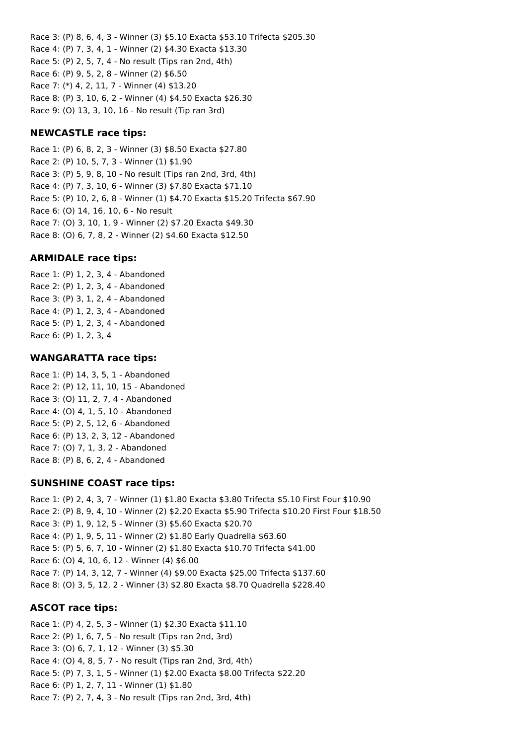Race 3: (P) 8, 6, 4, 3 - Winner (3) \$5.10 Exacta \$53.10 Trifecta \$205.30 Race 4: (P) 7, 3, 4, 1 - Winner (2) \$4.30 Exacta \$13.30 Race 5: (P) 2, 5, 7, 4 - No result (Tips ran 2nd, 4th) Race 6: (P) 9, 5, 2, 8 - Winner (2) \$6.50 Race 7: (\*) 4, 2, 11, 7 - Winner (4) \$13.20 Race 8: (P) 3, 10, 6, 2 - Winner (4) \$4.50 Exacta \$26.30 Race 9: (O) 13, 3, 10, 16 - No result (Tip ran 3rd)

### **NEWCASTLE race tips:**

Race 1: (P) 6, 8, 2, 3 - Winner (3) \$8.50 Exacta \$27.80 Race 2: (P) 10, 5, 7, 3 - Winner (1) \$1.90 Race 3: (P) 5, 9, 8, 10 - No result (Tips ran 2nd, 3rd, 4th) Race 4: (P) 7, 3, 10, 6 - Winner (3) \$7.80 Exacta \$71.10 Race 5: (P) 10, 2, 6, 8 - Winner (1) \$4.70 Exacta \$15.20 Trifecta \$67.90 Race 6: (O) 14, 16, 10, 6 - No result Race 7: (O) 3, 10, 1, 9 - Winner (2) \$7.20 Exacta \$49.30 Race 8: (O) 6, 7, 8, 2 - Winner (2) \$4.60 Exacta \$12.50

### **ARMIDALE race tips:**

Race 1: (P) 1, 2, 3, 4 - Abandoned Race 2: (P) 1, 2, 3, 4 - Abandoned Race 3: (P) 3, 1, 2, 4 - Abandoned Race 4: (P) 1, 2, 3, 4 - Abandoned Race 5: (P) 1, 2, 3, 4 - Abandoned Race 6: (P) 1, 2, 3, 4

#### **WANGARATTA race tips:**

Race 1: (P) 14, 3, 5, 1 - Abandoned Race 2: (P) 12, 11, 10, 15 - Abandoned Race 3: (O) 11, 2, 7, 4 - Abandoned Race 4: (O) 4, 1, 5, 10 - Abandoned Race 5: (P) 2, 5, 12, 6 - Abandoned Race 6: (P) 13, 2, 3, 12 - Abandoned Race 7: (O) 7, 1, 3, 2 - Abandoned Race 8: (P) 8, 6, 2, 4 - Abandoned

#### **SUNSHINE COAST race tips:**

Race 1: (P) 2, 4, 3, 7 - Winner (1) \$1.80 Exacta \$3.80 Trifecta \$5.10 First Four \$10.90 Race 2: (P) 8, 9, 4, 10 - Winner (2) \$2.20 Exacta \$5.90 Trifecta \$10.20 First Four \$18.50 Race 3: (P) 1, 9, 12, 5 - Winner (3) \$5.60 Exacta \$20.70 Race 4: (P) 1, 9, 5, 11 - Winner (2) \$1.80 Early Quadrella \$63.60 Race 5: (P) 5, 6, 7, 10 - Winner (2) \$1.80 Exacta \$10.70 Trifecta \$41.00 Race 6: (O) 4, 10, 6, 12 - Winner (4) \$6.00 Race 7: (P) 14, 3, 12, 7 - Winner (4) \$9.00 Exacta \$25.00 Trifecta \$137.60 Race 8: (O) 3, 5, 12, 2 - Winner (3) \$2.80 Exacta \$8.70 Quadrella \$228.40

#### **ASCOT race tips:**

Race 1: (P) 4, 2, 5, 3 - Winner (1) \$2.30 Exacta \$11.10 Race 2: (P) 1, 6, 7, 5 - No result (Tips ran 2nd, 3rd) Race 3: (O) 6, 7, 1, 12 - Winner (3) \$5.30 Race 4: (O) 4, 8, 5, 7 - No result (Tips ran 2nd, 3rd, 4th) Race 5: (P) 7, 3, 1, 5 - Winner (1) \$2.00 Exacta \$8.00 Trifecta \$22.20 Race 6: (P) 1, 2, 7, 11 - Winner (1) \$1.80 Race 7: (P) 2, 7, 4, 3 - No result (Tips ran 2nd, 3rd, 4th)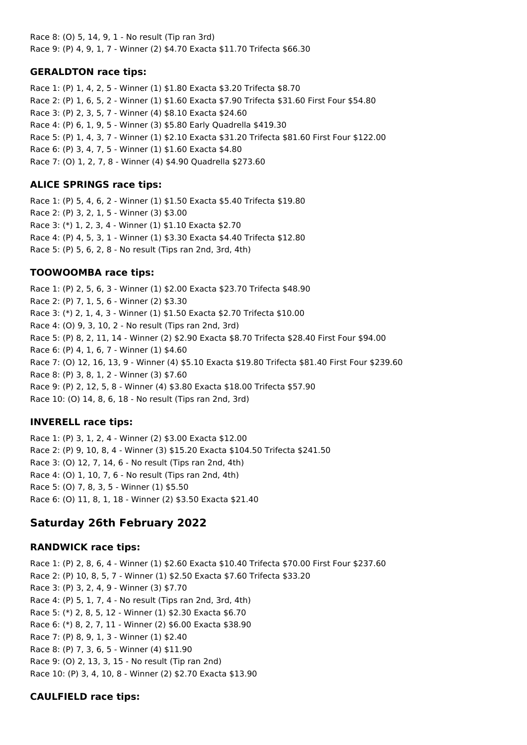Race 8: (O) 5, 14, 9, 1 - No result (Tip ran 3rd) Race 9: (P) 4, 9, 1, 7 - Winner (2) \$4.70 Exacta \$11.70 Trifecta \$66.30

#### **GERALDTON race tips:**

Race 1: (P) 1, 4, 2, 5 - Winner (1) \$1.80 Exacta \$3.20 Trifecta \$8.70 Race 2: (P) 1, 6, 5, 2 - Winner (1) \$1.60 Exacta \$7.90 Trifecta \$31.60 First Four \$54.80 Race 3: (P) 2, 3, 5, 7 - Winner (4) \$8.10 Exacta \$24.60 Race 4: (P) 6, 1, 9, 5 - Winner (3) \$5.80 Early Quadrella \$419.30 Race 5: (P) 1, 4, 3, 7 - Winner (1) \$2.10 Exacta \$31.20 Trifecta \$81.60 First Four \$122.00 Race 6: (P) 3, 4, 7, 5 - Winner (1) \$1.60 Exacta \$4.80 Race 7: (O) 1, 2, 7, 8 - Winner (4) \$4.90 Quadrella \$273.60

### **ALICE SPRINGS race tips:**

Race 1: (P) 5, 4, 6, 2 - Winner (1) \$1.50 Exacta \$5.40 Trifecta \$19.80 Race 2: (P) 3, 2, 1, 5 - Winner (3) \$3.00 Race 3: (\*) 1, 2, 3, 4 - Winner (1) \$1.10 Exacta \$2.70 Race 4: (P) 4, 5, 3, 1 - Winner (1) \$3.30 Exacta \$4.40 Trifecta \$12.80 Race 5: (P) 5, 6, 2, 8 - No result (Tips ran 2nd, 3rd, 4th)

## **TOOWOOMBA race tips:**

Race 1: (P) 2, 5, 6, 3 - Winner (1) \$2.00 Exacta \$23.70 Trifecta \$48.90 Race 2: (P) 7, 1, 5, 6 - Winner (2) \$3.30 Race 3: (\*) 2, 1, 4, 3 - Winner (1) \$1.50 Exacta \$2.70 Trifecta \$10.00 Race 4: (O) 9, 3, 10, 2 - No result (Tips ran 2nd, 3rd) Race 5: (P) 8, 2, 11, 14 - Winner (2) \$2.90 Exacta \$8.70 Trifecta \$28.40 First Four \$94.00 Race 6: (P) 4, 1, 6, 7 - Winner (1) \$4.60 Race 7: (O) 12, 16, 13, 9 - Winner (4) \$5.10 Exacta \$19.80 Trifecta \$81.40 First Four \$239.60 Race 8: (P) 3, 8, 1, 2 - Winner (3) \$7.60 Race 9: (P) 2, 12, 5, 8 - Winner (4) \$3.80 Exacta \$18.00 Trifecta \$57.90 Race 10: (O) 14, 8, 6, 18 - No result (Tips ran 2nd, 3rd)

## **INVERELL race tips:**

Race 1: (P) 3, 1, 2, 4 - Winner (2) \$3.00 Exacta \$12.00 Race 2: (P) 9, 10, 8, 4 - Winner (3) \$15.20 Exacta \$104.50 Trifecta \$241.50 Race 3: (O) 12, 7, 14, 6 - No result (Tips ran 2nd, 4th) Race 4: (O) 1, 10, 7, 6 - No result (Tips ran 2nd, 4th) Race 5: (O) 7, 8, 3, 5 - Winner (1) \$5.50 Race 6: (O) 11, 8, 1, 18 - Winner (2) \$3.50 Exacta \$21.40

# **Saturday 26th February 2022**

## **RANDWICK race tips:**

Race 1: (P) 2, 8, 6, 4 - Winner (1) \$2.60 Exacta \$10.40 Trifecta \$70.00 First Four \$237.60 Race 2: (P) 10, 8, 5, 7 - Winner (1) \$2.50 Exacta \$7.60 Trifecta \$33.20 Race 3: (P) 3, 2, 4, 9 - Winner (3) \$7.70 Race 4: (P) 5, 1, 7, 4 - No result (Tips ran 2nd, 3rd, 4th) Race 5: (\*) 2, 8, 5, 12 - Winner (1) \$2.30 Exacta \$6.70 Race 6: (\*) 8, 2, 7, 11 - Winner (2) \$6.00 Exacta \$38.90 Race 7: (P) 8, 9, 1, 3 - Winner (1) \$2.40 Race 8: (P) 7, 3, 6, 5 - Winner (4) \$11.90 Race 9: (O) 2, 13, 3, 15 - No result (Tip ran 2nd) Race 10: (P) 3, 4, 10, 8 - Winner (2) \$2.70 Exacta \$13.90

## **CAULFIELD race tips:**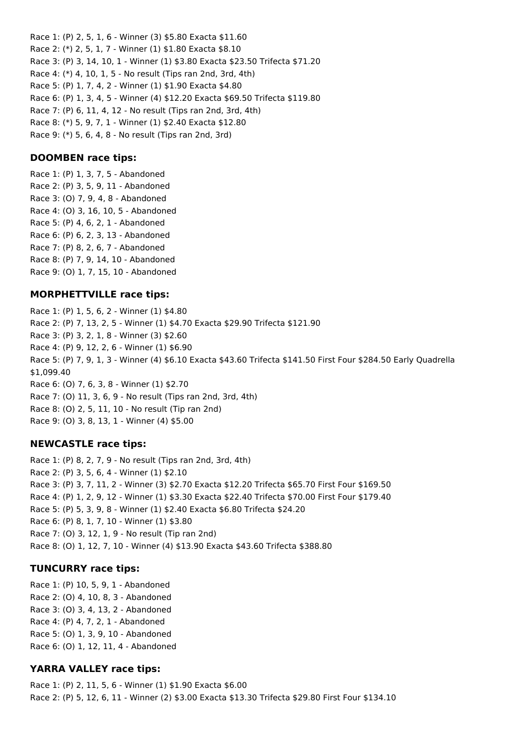Race 1: (P) 2, 5, 1, 6 - Winner (3) \$5.80 Exacta \$11.60 Race 2: (\*) 2, 5, 1, 7 - Winner (1) \$1.80 Exacta \$8.10 Race 3: (P) 3, 14, 10, 1 - Winner (1) \$3.80 Exacta \$23.50 Trifecta \$71.20 Race 4: (\*) 4, 10, 1, 5 - No result (Tips ran 2nd, 3rd, 4th) Race 5: (P) 1, 7, 4, 2 - Winner (1) \$1.90 Exacta \$4.80 Race 6: (P) 1, 3, 4, 5 - Winner (4) \$12.20 Exacta \$69.50 Trifecta \$119.80 Race 7: (P) 6, 11, 4, 12 - No result (Tips ran 2nd, 3rd, 4th) Race 8: (\*) 5, 9, 7, 1 - Winner (1) \$2.40 Exacta \$12.80

Race 9: (\*) 5, 6, 4, 8 - No result (Tips ran 2nd, 3rd)

### **DOOMBEN race tips:**

Race 1: (P) 1, 3, 7, 5 - Abandoned Race 2: (P) 3, 5, 9, 11 - Abandoned Race 3: (O) 7, 9, 4, 8 - Abandoned Race 4: (O) 3, 16, 10, 5 - Abandoned Race 5: (P) 4, 6, 2, 1 - Abandoned Race 6: (P) 6, 2, 3, 13 - Abandoned Race 7: (P) 8, 2, 6, 7 - Abandoned Race 8: (P) 7, 9, 14, 10 - Abandoned Race 9: (O) 1, 7, 15, 10 - Abandoned

### **MORPHETTVILLE race tips:**

Race 1: (P) 1, 5, 6, 2 - Winner (1) \$4.80 Race 2: (P) 7, 13, 2, 5 - Winner (1) \$4.70 Exacta \$29.90 Trifecta \$121.90 Race 3: (P) 3, 2, 1, 8 - Winner (3) \$2.60 Race 4: (P) 9, 12, 2, 6 - Winner (1) \$6.90 Race 5: (P) 7, 9, 1, 3 - Winner (4) \$6.10 Exacta \$43.60 Trifecta \$141.50 First Four \$284.50 Early Quadrella \$1,099.40 Race 6: (O) 7, 6, 3, 8 - Winner (1) \$2.70 Race 7: (O) 11, 3, 6, 9 - No result (Tips ran 2nd, 3rd, 4th) Race 8: (O) 2, 5, 11, 10 - No result (Tip ran 2nd) Race 9: (O) 3, 8, 13, 1 - Winner (4) \$5.00

## **NEWCASTLE race tips:**

Race 1: (P) 8, 2, 7, 9 - No result (Tips ran 2nd, 3rd, 4th) Race 2: (P) 3, 5, 6, 4 - Winner (1) \$2.10 Race 3: (P) 3, 7, 11, 2 - Winner (3) \$2.70 Exacta \$12.20 Trifecta \$65.70 First Four \$169.50 Race 4: (P) 1, 2, 9, 12 - Winner (1) \$3.30 Exacta \$22.40 Trifecta \$70.00 First Four \$179.40 Race 5: (P) 5, 3, 9, 8 - Winner (1) \$2.40 Exacta \$6.80 Trifecta \$24.20 Race 6: (P) 8, 1, 7, 10 - Winner (1) \$3.80 Race 7: (O) 3, 12, 1, 9 - No result (Tip ran 2nd) Race 8: (O) 1, 12, 7, 10 - Winner (4) \$13.90 Exacta \$43.60 Trifecta \$388.80

#### **TUNCURRY race tips:**

Race 1: (P) 10, 5, 9, 1 - Abandoned Race 2: (O) 4, 10, 8, 3 - Abandoned Race 3: (O) 3, 4, 13, 2 - Abandoned Race 4: (P) 4, 7, 2, 1 - Abandoned Race 5: (O) 1, 3, 9, 10 - Abandoned Race 6: (O) 1, 12, 11, 4 - Abandoned

## **YARRA VALLEY race tips:**

Race 1: (P) 2, 11, 5, 6 - Winner (1) \$1.90 Exacta \$6.00 Race 2: (P) 5, 12, 6, 11 - Winner (2) \$3.00 Exacta \$13.30 Trifecta \$29.80 First Four \$134.10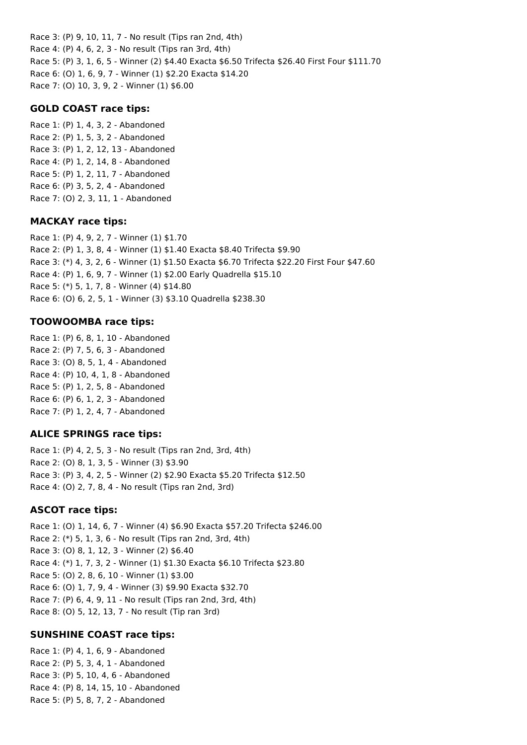Race 3: (P) 9, 10, 11, 7 - No result (Tips ran 2nd, 4th) Race 4: (P) 4, 6, 2, 3 - No result (Tips ran 3rd, 4th) Race 5: (P) 3, 1, 6, 5 - Winner (2) \$4.40 Exacta \$6.50 Trifecta \$26.40 First Four \$111.70 Race 6: (O) 1, 6, 9, 7 - Winner (1) \$2.20 Exacta \$14.20 Race 7: (O) 10, 3, 9, 2 - Winner (1) \$6.00

#### **GOLD COAST race tips:**

Race 1: (P) 1, 4, 3, 2 - Abandoned Race 2: (P) 1, 5, 3, 2 - Abandoned Race 3: (P) 1, 2, 12, 13 - Abandoned Race 4: (P) 1, 2, 14, 8 - Abandoned Race 5: (P) 1, 2, 11, 7 - Abandoned Race 6: (P) 3, 5, 2, 4 - Abandoned Race 7: (O) 2, 3, 11, 1 - Abandoned

#### **MACKAY race tips:**

Race 1: (P) 4, 9, 2, 7 - Winner (1) \$1.70 Race 2: (P) 1, 3, 8, 4 - Winner (1) \$1.40 Exacta \$8.40 Trifecta \$9.90 Race 3: (\*) 4, 3, 2, 6 - Winner (1) \$1.50 Exacta \$6.70 Trifecta \$22.20 First Four \$47.60 Race 4: (P) 1, 6, 9, 7 - Winner (1) \$2.00 Early Quadrella \$15.10 Race 5: (\*) 5, 1, 7, 8 - Winner (4) \$14.80 Race 6: (O) 6, 2, 5, 1 - Winner (3) \$3.10 Quadrella \$238.30

### **TOOWOOMBA race tips:**

Race 1: (P) 6, 8, 1, 10 - Abandoned Race 2: (P) 7, 5, 6, 3 - Abandoned Race 3: (O) 8, 5, 1, 4 - Abandoned Race 4: (P) 10, 4, 1, 8 - Abandoned Race 5: (P) 1, 2, 5, 8 - Abandoned Race 6: (P) 6, 1, 2, 3 - Abandoned Race 7: (P) 1, 2, 4, 7 - Abandoned

## **ALICE SPRINGS race tips:**

Race 1: (P) 4, 2, 5, 3 - No result (Tips ran 2nd, 3rd, 4th) Race 2: (O) 8, 1, 3, 5 - Winner (3) \$3.90 Race 3: (P) 3, 4, 2, 5 - Winner (2) \$2.90 Exacta \$5.20 Trifecta \$12.50 Race 4: (O) 2, 7, 8, 4 - No result (Tips ran 2nd, 3rd)

#### **ASCOT race tips:**

Race 1: (O) 1, 14, 6, 7 - Winner (4) \$6.90 Exacta \$57.20 Trifecta \$246.00 Race 2: (\*) 5, 1, 3, 6 - No result (Tips ran 2nd, 3rd, 4th) Race 3: (O) 8, 1, 12, 3 - Winner (2) \$6.40 Race 4: (\*) 1, 7, 3, 2 - Winner (1) \$1.30 Exacta \$6.10 Trifecta \$23.80 Race 5: (O) 2, 8, 6, 10 - Winner (1) \$3.00 Race 6: (O) 1, 7, 9, 4 - Winner (3) \$9.90 Exacta \$32.70 Race 7: (P) 6, 4, 9, 11 - No result (Tips ran 2nd, 3rd, 4th) Race 8: (O) 5, 12, 13, 7 - No result (Tip ran 3rd)

#### **SUNSHINE COAST race tips:**

Race 1: (P) 4, 1, 6, 9 - Abandoned Race 2: (P) 5, 3, 4, 1 - Abandoned Race 3: (P) 5, 10, 4, 6 - Abandoned Race 4: (P) 8, 14, 15, 10 - Abandoned Race 5: (P) 5, 8, 7, 2 - Abandoned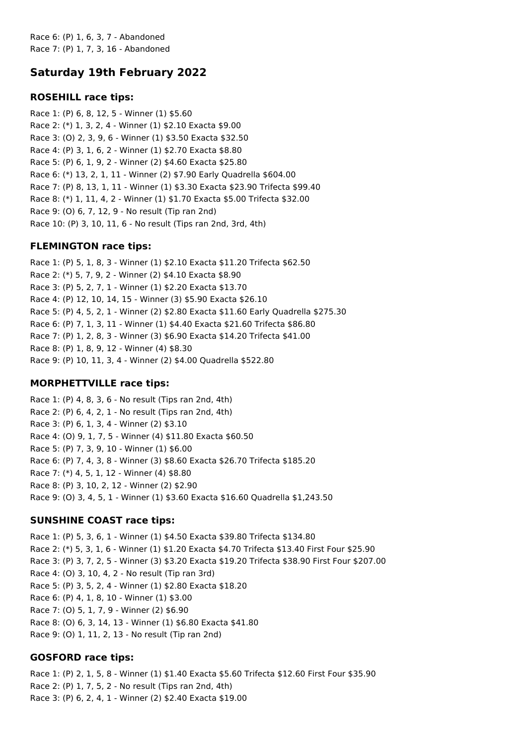Race 6: (P) 1, 6, 3, 7 - Abandoned Race 7: (P) 1, 7, 3, 16 - Abandoned

# **Saturday 19th February 2022**

## **ROSEHILL race tips:**

Race 1: (P) 6, 8, 12, 5 - Winner (1) \$5.60 Race 2: (\*) 1, 3, 2, 4 - Winner (1) \$2.10 Exacta \$9.00 Race 3: (O) 2, 3, 9, 6 - Winner (1) \$3.50 Exacta \$32.50 Race 4: (P) 3, 1, 6, 2 - Winner (1) \$2.70 Exacta \$8.80 Race 5: (P) 6, 1, 9, 2 - Winner (2) \$4.60 Exacta \$25.80 Race 6: (\*) 13, 2, 1, 11 - Winner (2) \$7.90 Early Quadrella \$604.00 Race 7: (P) 8, 13, 1, 11 - Winner (1) \$3.30 Exacta \$23.90 Trifecta \$99.40 Race 8: (\*) 1, 11, 4, 2 - Winner (1) \$1.70 Exacta \$5.00 Trifecta \$32.00 Race 9: (O) 6, 7, 12, 9 - No result (Tip ran 2nd) Race 10: (P) 3, 10, 11, 6 - No result (Tips ran 2nd, 3rd, 4th)

### **FLEMINGTON race tips:**

Race 1: (P) 5, 1, 8, 3 - Winner (1) \$2.10 Exacta \$11.20 Trifecta \$62.50 Race 2: (\*) 5, 7, 9, 2 - Winner (2) \$4.10 Exacta \$8.90 Race 3: (P) 5, 2, 7, 1 - Winner (1) \$2.20 Exacta \$13.70 Race 4: (P) 12, 10, 14, 15 - Winner (3) \$5.90 Exacta \$26.10 Race 5: (P) 4, 5, 2, 1 - Winner (2) \$2.80 Exacta \$11.60 Early Quadrella \$275.30 Race 6: (P) 7, 1, 3, 11 - Winner (1) \$4.40 Exacta \$21.60 Trifecta \$86.80 Race 7: (P) 1, 2, 8, 3 - Winner (3) \$6.90 Exacta \$14.20 Trifecta \$41.00 Race 8: (P) 1, 8, 9, 12 - Winner (4) \$8.30 Race 9: (P) 10, 11, 3, 4 - Winner (2) \$4.00 Quadrella \$522.80

## **MORPHETTVILLE race tips:**

Race 1: (P) 4, 8, 3, 6 - No result (Tips ran 2nd, 4th) Race 2: (P) 6, 4, 2, 1 - No result (Tips ran 2nd, 4th) Race 3: (P) 6, 1, 3, 4 - Winner (2) \$3.10 Race 4: (O) 9, 1, 7, 5 - Winner (4) \$11.80 Exacta \$60.50 Race 5: (P) 7, 3, 9, 10 - Winner (1) \$6.00 Race 6: (P) 7, 4, 3, 8 - Winner (3) \$8.60 Exacta \$26.70 Trifecta \$185.20 Race 7: (\*) 4, 5, 1, 12 - Winner (4) \$8.80 Race 8: (P) 3, 10, 2, 12 - Winner (2) \$2.90 Race 9: (O) 3, 4, 5, 1 - Winner (1) \$3.60 Exacta \$16.60 Quadrella \$1,243.50

## **SUNSHINE COAST race tips:**

Race 1: (P) 5, 3, 6, 1 - Winner (1) \$4.50 Exacta \$39.80 Trifecta \$134.80 Race 2: (\*) 5, 3, 1, 6 - Winner (1) \$1.20 Exacta \$4.70 Trifecta \$13.40 First Four \$25.90 Race 3: (P) 3, 7, 2, 5 - Winner (3) \$3.20 Exacta \$19.20 Trifecta \$38.90 First Four \$207.00 Race 4: (O) 3, 10, 4, 2 - No result (Tip ran 3rd) Race 5: (P) 3, 5, 2, 4 - Winner (1) \$2.80 Exacta \$18.20 Race 6: (P) 4, 1, 8, 10 - Winner (1) \$3.00 Race 7: (O) 5, 1, 7, 9 - Winner (2) \$6.90 Race 8: (O) 6, 3, 14, 13 - Winner (1) \$6.80 Exacta \$41.80 Race 9: (O) 1, 11, 2, 13 - No result (Tip ran 2nd)

## **GOSFORD race tips:**

Race 1: (P) 2, 1, 5, 8 - Winner (1) \$1.40 Exacta \$5.60 Trifecta \$12.60 First Four \$35.90 Race 2: (P) 1, 7, 5, 2 - No result (Tips ran 2nd, 4th) Race 3: (P) 6, 2, 4, 1 - Winner (2) \$2.40 Exacta \$19.00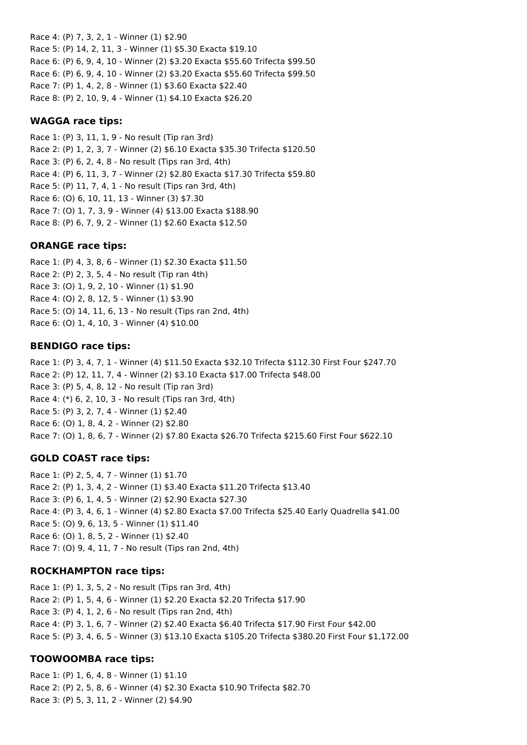Race 4: (P) 7, 3, 2, 1 - Winner (1) \$2.90 Race 5: (P) 14, 2, 11, 3 - Winner (1) \$5.30 Exacta \$19.10 Race 6: (P) 6, 9, 4, 10 - Winner (2) \$3.20 Exacta \$55.60 Trifecta \$99.50 Race 6: (P) 6, 9, 4, 10 - Winner (2) \$3.20 Exacta \$55.60 Trifecta \$99.50 Race 7: (P) 1, 4, 2, 8 - Winner (1) \$3.60 Exacta \$22.40 Race 8: (P) 2, 10, 9, 4 - Winner (1) \$4.10 Exacta \$26.20

#### **WAGGA race tips:**

Race 1: (P) 3, 11, 1, 9 - No result (Tip ran 3rd) Race 2: (P) 1, 2, 3, 7 - Winner (2) \$6.10 Exacta \$35.30 Trifecta \$120.50 Race 3: (P) 6, 2, 4, 8 - No result (Tips ran 3rd, 4th) Race 4: (P) 6, 11, 3, 7 - Winner (2) \$2.80 Exacta \$17.30 Trifecta \$59.80 Race 5: (P) 11, 7, 4, 1 - No result (Tips ran 3rd, 4th) Race 6: (O) 6, 10, 11, 13 - Winner (3) \$7.30 Race 7: (O) 1, 7, 3, 9 - Winner (4) \$13.00 Exacta \$188.90 Race 8: (P) 6, 7, 9, 2 - Winner (1) \$2.60 Exacta \$12.50

#### **ORANGE race tips:**

Race 1: (P) 4, 3, 8, 6 - Winner (1) \$2.30 Exacta \$11.50 Race 2: (P) 2, 3, 5, 4 - No result (Tip ran 4th) Race 3: (O) 1, 9, 2, 10 - Winner (1) \$1.90 Race 4: (O) 2, 8, 12, 5 - Winner (1) \$3.90 Race 5: (O) 14, 11, 6, 13 - No result (Tips ran 2nd, 4th) Race 6: (O) 1, 4, 10, 3 - Winner (4) \$10.00

#### **BENDIGO race tips:**

Race 1: (P) 3, 4, 7, 1 - Winner (4) \$11.50 Exacta \$32.10 Trifecta \$112.30 First Four \$247.70 Race 2: (P) 12, 11, 7, 4 - Winner (2) \$3.10 Exacta \$17.00 Trifecta \$48.00 Race 3: (P) 5, 4, 8, 12 - No result (Tip ran 3rd) Race 4: (\*) 6, 2, 10, 3 - No result (Tips ran 3rd, 4th) Race 5: (P) 3, 2, 7, 4 - Winner (1) \$2.40 Race 6: (O) 1, 8, 4, 2 - Winner (2) \$2.80 Race 7: (O) 1, 8, 6, 7 - Winner (2) \$7.80 Exacta \$26.70 Trifecta \$215.60 First Four \$622.10

#### **GOLD COAST race tips:**

Race 1: (P) 2, 5, 4, 7 - Winner (1) \$1.70 Race 2: (P) 1, 3, 4, 2 - Winner (1) \$3.40 Exacta \$11.20 Trifecta \$13.40 Race 3: (P) 6, 1, 4, 5 - Winner (2) \$2.90 Exacta \$27.30 Race 4: (P) 3, 4, 6, 1 - Winner (4) \$2.80 Exacta \$7.00 Trifecta \$25.40 Early Quadrella \$41.00 Race 5: (O) 9, 6, 13, 5 - Winner (1) \$11.40 Race 6: (O) 1, 8, 5, 2 - Winner (1) \$2.40 Race 7: (O) 9, 4, 11, 7 - No result (Tips ran 2nd, 4th)

#### **ROCKHAMPTON race tips:**

Race 1: (P) 1, 3, 5, 2 - No result (Tips ran 3rd, 4th) Race 2: (P) 1, 5, 4, 6 - Winner (1) \$2.20 Exacta \$2.20 Trifecta \$17.90 Race 3: (P) 4, 1, 2, 6 - No result (Tips ran 2nd, 4th) Race 4: (P) 3, 1, 6, 7 - Winner (2) \$2.40 Exacta \$6.40 Trifecta \$17.90 First Four \$42.00 Race 5: (P) 3, 4, 6, 5 - Winner (3) \$13.10 Exacta \$105.20 Trifecta \$380.20 First Four \$1,172.00

#### **TOOWOOMBA race tips:**

Race 1: (P) 1, 6, 4, 8 - Winner (1) \$1.10 Race 2: (P) 2, 5, 8, 6 - Winner (4) \$2.30 Exacta \$10.90 Trifecta \$82.70 Race 3: (P) 5, 3, 11, 2 - Winner (2) \$4.90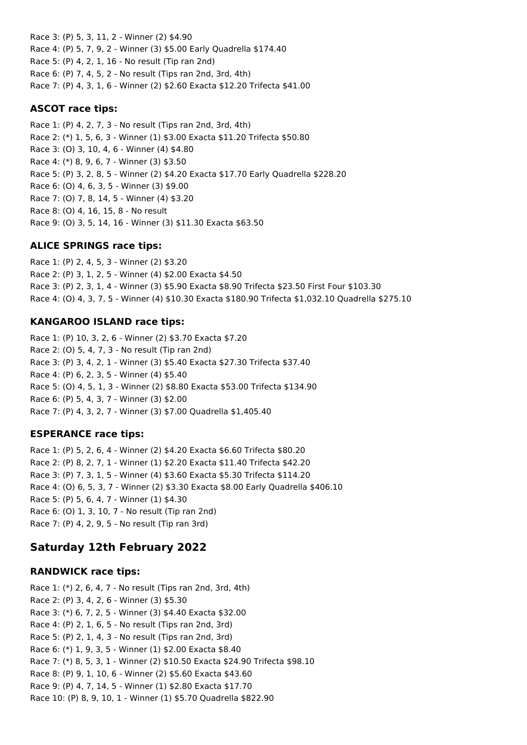Race 3: (P) 5, 3, 11, 2 - Winner (2) \$4.90 Race 4: (P) 5, 7, 9, 2 - Winner (3) \$5.00 Early Quadrella \$174.40 Race 5: (P) 4, 2, 1, 16 - No result (Tip ran 2nd) Race 6: (P) 7, 4, 5, 2 - No result (Tips ran 2nd, 3rd, 4th) Race 7: (P) 4, 3, 1, 6 - Winner (2) \$2.60 Exacta \$12.20 Trifecta \$41.00

#### **ASCOT race tips:**

Race 1: (P) 4, 2, 7, 3 - No result (Tips ran 2nd, 3rd, 4th) Race 2: (\*) 1, 5, 6, 3 - Winner (1) \$3.00 Exacta \$11.20 Trifecta \$50.80 Race 3: (O) 3, 10, 4, 6 - Winner (4) \$4.80 Race 4: (\*) 8, 9, 6, 7 - Winner (3) \$3.50 Race 5: (P) 3, 2, 8, 5 - Winner (2) \$4.20 Exacta \$17.70 Early Quadrella \$228.20 Race 6: (O) 4, 6, 3, 5 - Winner (3) \$9.00 Race 7: (O) 7, 8, 14, 5 - Winner (4) \$3.20 Race 8: (O) 4, 16, 15, 8 - No result Race 9: (O) 3, 5, 14, 16 - Winner (3) \$11.30 Exacta \$63.50

## **ALICE SPRINGS race tips:**

Race 1: (P) 2, 4, 5, 3 - Winner (2) \$3.20 Race 2: (P) 3, 1, 2, 5 - Winner (4) \$2.00 Exacta \$4.50 Race 3: (P) 2, 3, 1, 4 - Winner (3) \$5.90 Exacta \$8.90 Trifecta \$23.50 First Four \$103.30 Race 4: (O) 4, 3, 7, 5 - Winner (4) \$10.30 Exacta \$180.90 Trifecta \$1,032.10 Quadrella \$275.10

### **KANGAROO ISLAND race tips:**

Race 1: (P) 10, 3, 2, 6 - Winner (2) \$3.70 Exacta \$7.20 Race 2: (O) 5, 4, 7, 3 - No result (Tip ran 2nd) Race 3: (P) 3, 4, 2, 1 - Winner (3) \$5.40 Exacta \$27.30 Trifecta \$37.40 Race 4: (P) 6, 2, 3, 5 - Winner (4) \$5.40 Race 5: (O) 4, 5, 1, 3 - Winner (2) \$8.80 Exacta \$53.00 Trifecta \$134.90 Race 6: (P) 5, 4, 3, 7 - Winner (3) \$2.00 Race 7: (P) 4, 3, 2, 7 - Winner (3) \$7.00 Quadrella \$1,405.40

#### **ESPERANCE race tips:**

Race 1: (P) 5, 2, 6, 4 - Winner (2) \$4.20 Exacta \$6.60 Trifecta \$80.20 Race 2: (P) 8, 2, 7, 1 - Winner (1) \$2.20 Exacta \$11.40 Trifecta \$42.20 Race 3: (P) 7, 3, 1, 5 - Winner (4) \$3.60 Exacta \$5.30 Trifecta \$114.20 Race 4: (O) 6, 5, 3, 7 - Winner (2) \$3.30 Exacta \$8.00 Early Quadrella \$406.10 Race 5: (P) 5, 6, 4, 7 - Winner (1) \$4.30 Race 6: (O) 1, 3, 10, 7 - No result (Tip ran 2nd) Race 7: (P) 4, 2, 9, 5 - No result (Tip ran 3rd)

## **Saturday 12th February 2022**

#### **RANDWICK race tips:**

Race 1: (\*) 2, 6, 4, 7 - No result (Tips ran 2nd, 3rd, 4th) Race 2: (P) 3, 4, 2, 6 - Winner (3) \$5.30 Race 3: (\*) 6, 7, 2, 5 - Winner (3) \$4.40 Exacta \$32.00 Race 4: (P) 2, 1, 6, 5 - No result (Tips ran 2nd, 3rd) Race 5: (P) 2, 1, 4, 3 - No result (Tips ran 2nd, 3rd) Race 6: (\*) 1, 9, 3, 5 - Winner (1) \$2.00 Exacta \$8.40 Race 7: (\*) 8, 5, 3, 1 - Winner (2) \$10.50 Exacta \$24.90 Trifecta \$98.10 Race 8: (P) 9, 1, 10, 6 - Winner (2) \$5.60 Exacta \$43.60 Race 9: (P) 4, 7, 14, 5 - Winner (1) \$2.80 Exacta \$17.70 Race 10: (P) 8, 9, 10, 1 - Winner (1) \$5.70 Quadrella \$822.90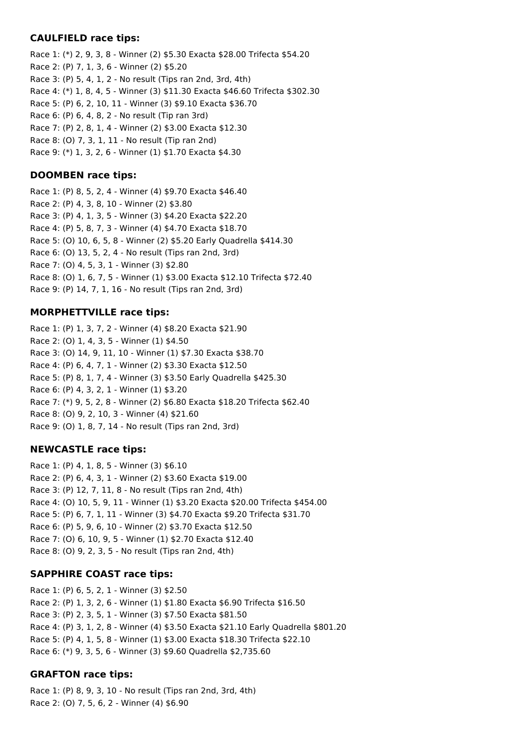#### **CAULFIELD race tips:**

Race 1: (\*) 2, 9, 3, 8 - Winner (2) \$5.30 Exacta \$28.00 Trifecta \$54.20 Race 2: (P) 7, 1, 3, 6 - Winner (2) \$5.20 Race 3: (P) 5, 4, 1, 2 - No result (Tips ran 2nd, 3rd, 4th) Race 4: (\*) 1, 8, 4, 5 - Winner (3) \$11.30 Exacta \$46.60 Trifecta \$302.30 Race 5: (P) 6, 2, 10, 11 - Winner (3) \$9.10 Exacta \$36.70 Race 6: (P) 6, 4, 8, 2 - No result (Tip ran 3rd) Race 7: (P) 2, 8, 1, 4 - Winner (2) \$3.00 Exacta \$12.30 Race 8: (O) 7, 3, 1, 11 - No result (Tip ran 2nd) Race 9: (\*) 1, 3, 2, 6 - Winner (1) \$1.70 Exacta \$4.30

## **DOOMBEN race tips:**

Race 1: (P) 8, 5, 2, 4 - Winner (4) \$9.70 Exacta \$46.40 Race 2: (P) 4, 3, 8, 10 - Winner (2) \$3.80 Race 3: (P) 4, 1, 3, 5 - Winner (3) \$4.20 Exacta \$22.20 Race 4: (P) 5, 8, 7, 3 - Winner (4) \$4.70 Exacta \$18.70 Race 5: (O) 10, 6, 5, 8 - Winner (2) \$5.20 Early Quadrella \$414.30 Race 6: (O) 13, 5, 2, 4 - No result (Tips ran 2nd, 3rd) Race 7: (O) 4, 5, 3, 1 - Winner (3) \$2.80 Race 8: (O) 1, 6, 7, 5 - Winner (1) \$3.00 Exacta \$12.10 Trifecta \$72.40 Race 9: (P) 14, 7, 1, 16 - No result (Tips ran 2nd, 3rd)

### **MORPHETTVILLE race tips:**

Race 1: (P) 1, 3, 7, 2 - Winner (4) \$8.20 Exacta \$21.90 Race 2: (O) 1, 4, 3, 5 - Winner (1) \$4.50 Race 3: (O) 14, 9, 11, 10 - Winner (1) \$7.30 Exacta \$38.70 Race 4: (P) 6, 4, 7, 1 - Winner (2) \$3.30 Exacta \$12.50 Race 5: (P) 8, 1, 7, 4 - Winner (3) \$3.50 Early Quadrella \$425.30 Race 6: (P) 4, 3, 2, 1 - Winner (1) \$3.20 Race 7: (\*) 9, 5, 2, 8 - Winner (2) \$6.80 Exacta \$18.20 Trifecta \$62.40 Race 8: (O) 9, 2, 10, 3 - Winner (4) \$21.60 Race 9: (O) 1, 8, 7, 14 - No result (Tips ran 2nd, 3rd)

#### **NEWCASTLE race tips:**

Race 1: (P) 4, 1, 8, 5 - Winner (3) \$6.10 Race 2: (P) 6, 4, 3, 1 - Winner (2) \$3.60 Exacta \$19.00 Race 3: (P) 12, 7, 11, 8 - No result (Tips ran 2nd, 4th) Race 4: (O) 10, 5, 9, 11 - Winner (1) \$3.20 Exacta \$20.00 Trifecta \$454.00 Race 5: (P) 6, 7, 1, 11 - Winner (3) \$4.70 Exacta \$9.20 Trifecta \$31.70 Race 6: (P) 5, 9, 6, 10 - Winner (2) \$3.70 Exacta \$12.50 Race 7: (O) 6, 10, 9, 5 - Winner (1) \$2.70 Exacta \$12.40 Race 8: (O) 9, 2, 3, 5 - No result (Tips ran 2nd, 4th)

#### **SAPPHIRE COAST race tips:**

Race 1: (P) 6, 5, 2, 1 - Winner (3) \$2.50 Race 2: (P) 1, 3, 2, 6 - Winner (1) \$1.80 Exacta \$6.90 Trifecta \$16.50 Race 3: (P) 2, 3, 5, 1 - Winner (3) \$7.50 Exacta \$81.50 Race 4: (P) 3, 1, 2, 8 - Winner (4) \$3.50 Exacta \$21.10 Early Quadrella \$801.20 Race 5: (P) 4, 1, 5, 8 - Winner (1) \$3.00 Exacta \$18.30 Trifecta \$22.10 Race 6: (\*) 9, 3, 5, 6 - Winner (3) \$9.60 Quadrella \$2,735.60

## **GRAFTON race tips:**

Race 1: (P) 8, 9, 3, 10 - No result (Tips ran 2nd, 3rd, 4th) Race 2: (O) 7, 5, 6, 2 - Winner (4) \$6.90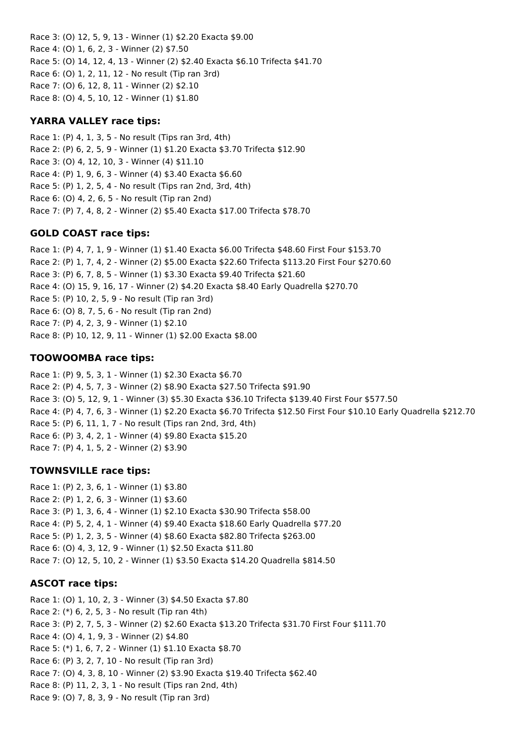Race 3: (O) 12, 5, 9, 13 - Winner (1) \$2.20 Exacta \$9.00 Race 4: (O) 1, 6, 2, 3 - Winner (2) \$7.50 Race 5: (O) 14, 12, 4, 13 - Winner (2) \$2.40 Exacta \$6.10 Trifecta \$41.70 Race 6: (O) 1, 2, 11, 12 - No result (Tip ran 3rd) Race 7: (O) 6, 12, 8, 11 - Winner (2) \$2.10 Race 8: (O) 4, 5, 10, 12 - Winner (1) \$1.80

## **YARRA VALLEY race tips:**

Race 1: (P) 4, 1, 3, 5 - No result (Tips ran 3rd, 4th) Race 2: (P) 6, 2, 5, 9 - Winner (1) \$1.20 Exacta \$3.70 Trifecta \$12.90 Race 3: (O) 4, 12, 10, 3 - Winner (4) \$11.10 Race 4: (P) 1, 9, 6, 3 - Winner (4) \$3.40 Exacta \$6.60 Race 5: (P) 1, 2, 5, 4 - No result (Tips ran 2nd, 3rd, 4th) Race 6: (O) 4, 2, 6, 5 - No result (Tip ran 2nd) Race 7: (P) 7, 4, 8, 2 - Winner (2) \$5.40 Exacta \$17.00 Trifecta \$78.70

## **GOLD COAST race tips:**

Race 1: (P) 4, 7, 1, 9 - Winner (1) \$1.40 Exacta \$6.00 Trifecta \$48.60 First Four \$153.70 Race 2: (P) 1, 7, 4, 2 - Winner (2) \$5.00 Exacta \$22.60 Trifecta \$113.20 First Four \$270.60 Race 3: (P) 6, 7, 8, 5 - Winner (1) \$3.30 Exacta \$9.40 Trifecta \$21.60 Race 4: (O) 15, 9, 16, 17 - Winner (2) \$4.20 Exacta \$8.40 Early Quadrella \$270.70 Race 5: (P) 10, 2, 5, 9 - No result (Tip ran 3rd) Race 6: (O) 8, 7, 5, 6 - No result (Tip ran 2nd) Race 7: (P) 4, 2, 3, 9 - Winner (1) \$2.10 Race 8: (P) 10, 12, 9, 11 - Winner (1) \$2.00 Exacta \$8.00

## **TOOWOOMBA race tips:**

Race 1: (P) 9, 5, 3, 1 - Winner (1) \$2.30 Exacta \$6.70 Race 2: (P) 4, 5, 7, 3 - Winner (2) \$8.90 Exacta \$27.50 Trifecta \$91.90 Race 3: (O) 5, 12, 9, 1 - Winner (3) \$5.30 Exacta \$36.10 Trifecta \$139.40 First Four \$577.50 Race 4: (P) 4, 7, 6, 3 - Winner (1) \$2.20 Exacta \$6.70 Trifecta \$12.50 First Four \$10.10 Early Quadrella \$212.70 Race 5: (P) 6, 11, 1, 7 - No result (Tips ran 2nd, 3rd, 4th) Race 6: (P) 3, 4, 2, 1 - Winner (4) \$9.80 Exacta \$15.20 Race 7: (P) 4, 1, 5, 2 - Winner (2) \$3.90

## **TOWNSVILLE race tips:**

Race 1: (P) 2, 3, 6, 1 - Winner (1) \$3.80 Race 2: (P) 1, 2, 6, 3 - Winner (1) \$3.60 Race 3: (P) 1, 3, 6, 4 - Winner (1) \$2.10 Exacta \$30.90 Trifecta \$58.00 Race 4: (P) 5, 2, 4, 1 - Winner (4) \$9.40 Exacta \$18.60 Early Quadrella \$77.20 Race 5: (P) 1, 2, 3, 5 - Winner (4) \$8.60 Exacta \$82.80 Trifecta \$263.00 Race 6: (O) 4, 3, 12, 9 - Winner (1) \$2.50 Exacta \$11.80 Race 7: (O) 12, 5, 10, 2 - Winner (1) \$3.50 Exacta \$14.20 Quadrella \$814.50

## **ASCOT race tips:**

Race 1: (O) 1, 10, 2, 3 - Winner (3) \$4.50 Exacta \$7.80 Race 2: (\*) 6, 2, 5, 3 - No result (Tip ran 4th) Race 3: (P) 2, 7, 5, 3 - Winner (2) \$2.60 Exacta \$13.20 Trifecta \$31.70 First Four \$111.70 Race 4: (O) 4, 1, 9, 3 - Winner (2) \$4.80 Race 5: (\*) 1, 6, 7, 2 - Winner (1) \$1.10 Exacta \$8.70 Race 6: (P) 3, 2, 7, 10 - No result (Tip ran 3rd) Race 7: (O) 4, 3, 8, 10 - Winner (2) \$3.90 Exacta \$19.40 Trifecta \$62.40 Race 8: (P) 11, 2, 3, 1 - No result (Tips ran 2nd, 4th) Race 9: (O) 7, 8, 3, 9 - No result (Tip ran 3rd)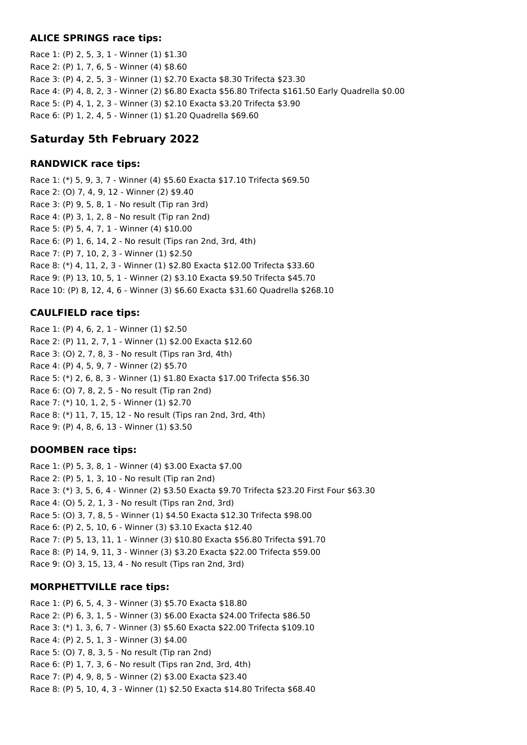#### **ALICE SPRINGS race tips:**

Race 1: (P) 2, 5, 3, 1 - Winner (1) \$1.30 Race 2: (P) 1, 7, 6, 5 - Winner (4) \$8.60 Race 3: (P) 4, 2, 5, 3 - Winner (1) \$2.70 Exacta \$8.30 Trifecta \$23.30 Race 4: (P) 4, 8, 2, 3 - Winner (2) \$6.80 Exacta \$56.80 Trifecta \$161.50 Early Quadrella \$0.00 Race 5: (P) 4, 1, 2, 3 - Winner (3) \$2.10 Exacta \$3.20 Trifecta \$3.90 Race 6: (P) 1, 2, 4, 5 - Winner (1) \$1.20 Quadrella \$69.60

# **Saturday 5th February 2022**

## **RANDWICK race tips:**

Race 1: (\*) 5, 9, 3, 7 - Winner (4) \$5.60 Exacta \$17.10 Trifecta \$69.50 Race 2: (O) 7, 4, 9, 12 - Winner (2) \$9.40 Race 3: (P) 9, 5, 8, 1 - No result (Tip ran 3rd) Race 4: (P) 3, 1, 2, 8 - No result (Tip ran 2nd) Race 5: (P) 5, 4, 7, 1 - Winner (4) \$10.00 Race 6: (P) 1, 6, 14, 2 - No result (Tips ran 2nd, 3rd, 4th) Race 7: (P) 7, 10, 2, 3 - Winner (1) \$2.50 Race 8: (\*) 4, 11, 2, 3 - Winner (1) \$2.80 Exacta \$12.00 Trifecta \$33.60 Race 9: (P) 13, 10, 5, 1 - Winner (2) \$3.10 Exacta \$9.50 Trifecta \$45.70 Race 10: (P) 8, 12, 4, 6 - Winner (3) \$6.60 Exacta \$31.60 Quadrella \$268.10

## **CAULFIELD race tips:**

Race 1: (P) 4, 6, 2, 1 - Winner (1) \$2.50 Race 2: (P) 11, 2, 7, 1 - Winner (1) \$2.00 Exacta \$12.60 Race 3: (O) 2, 7, 8, 3 - No result (Tips ran 3rd, 4th) Race 4: (P) 4, 5, 9, 7 - Winner (2) \$5.70 Race 5: (\*) 2, 6, 8, 3 - Winner (1) \$1.80 Exacta \$17.00 Trifecta \$56.30 Race 6: (O) 7, 8, 2, 5 - No result (Tip ran 2nd) Race 7: (\*) 10, 1, 2, 5 - Winner (1) \$2.70 Race 8: (\*) 11, 7, 15, 12 - No result (Tips ran 2nd, 3rd, 4th) Race 9: (P) 4, 8, 6, 13 - Winner (1) \$3.50

## **DOOMBEN race tips:**

Race 1: (P) 5, 3, 8, 1 - Winner (4) \$3.00 Exacta \$7.00 Race 2: (P) 5, 1, 3, 10 - No result (Tip ran 2nd) Race 3: (\*) 3, 5, 6, 4 - Winner (2) \$3.50 Exacta \$9.70 Trifecta \$23.20 First Four \$63.30 Race 4: (O) 5, 2, 1, 3 - No result (Tips ran 2nd, 3rd) Race 5: (O) 3, 7, 8, 5 - Winner (1) \$4.50 Exacta \$12.30 Trifecta \$98.00 Race 6: (P) 2, 5, 10, 6 - Winner (3) \$3.10 Exacta \$12.40 Race 7: (P) 5, 13, 11, 1 - Winner (3) \$10.80 Exacta \$56.80 Trifecta \$91.70 Race 8: (P) 14, 9, 11, 3 - Winner (3) \$3.20 Exacta \$22.00 Trifecta \$59.00 Race 9: (O) 3, 15, 13, 4 - No result (Tips ran 2nd, 3rd)

## **MORPHETTVILLE race tips:**

Race 1: (P) 6, 5, 4, 3 - Winner (3) \$5.70 Exacta \$18.80 Race 2: (P) 6, 3, 1, 5 - Winner (3) \$6.00 Exacta \$24.00 Trifecta \$86.50 Race 3: (\*) 1, 3, 6, 7 - Winner (3) \$5.60 Exacta \$22.00 Trifecta \$109.10 Race 4: (P) 2, 5, 1, 3 - Winner (3) \$4.00 Race 5: (O) 7, 8, 3, 5 - No result (Tip ran 2nd) Race 6: (P) 1, 7, 3, 6 - No result (Tips ran 2nd, 3rd, 4th) Race 7: (P) 4, 9, 8, 5 - Winner (2) \$3.00 Exacta \$23.40 Race 8: (P) 5, 10, 4, 3 - Winner (1) \$2.50 Exacta \$14.80 Trifecta \$68.40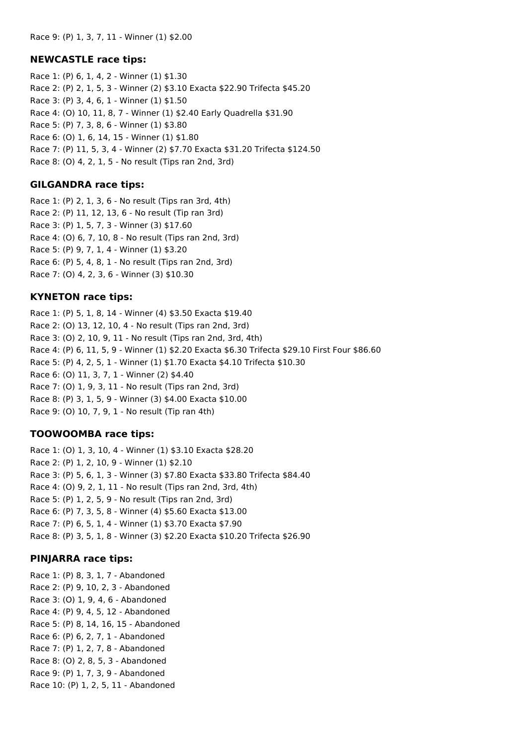#### **NEWCASTLE race tips:**

Race 1: (P) 6, 1, 4, 2 - Winner (1) \$1.30 Race 2: (P) 2, 1, 5, 3 - Winner (2) \$3.10 Exacta \$22.90 Trifecta \$45.20 Race 3: (P) 3, 4, 6, 1 - Winner (1) \$1.50 Race 4: (O) 10, 11, 8, 7 - Winner (1) \$2.40 Early Quadrella \$31.90 Race 5: (P) 7, 3, 8, 6 - Winner (1) \$3.80 Race 6: (O) 1, 6, 14, 15 - Winner (1) \$1.80 Race 7: (P) 11, 5, 3, 4 - Winner (2) \$7.70 Exacta \$31.20 Trifecta \$124.50 Race 8: (O) 4, 2, 1, 5 - No result (Tips ran 2nd, 3rd)

#### **GILGANDRA race tips:**

Race 1: (P) 2, 1, 3, 6 - No result (Tips ran 3rd, 4th) Race 2: (P) 11, 12, 13, 6 - No result (Tip ran 3rd) Race 3: (P) 1, 5, 7, 3 - Winner (3) \$17.60 Race 4: (O) 6, 7, 10, 8 - No result (Tips ran 2nd, 3rd) Race 5: (P) 9, 7, 1, 4 - Winner (1) \$3.20 Race 6: (P) 5, 4, 8, 1 - No result (Tips ran 2nd, 3rd) Race 7: (O) 4, 2, 3, 6 - Winner (3) \$10.30

#### **KYNETON race tips:**

Race 1: (P) 5, 1, 8, 14 - Winner (4) \$3.50 Exacta \$19.40 Race 2: (O) 13, 12, 10, 4 - No result (Tips ran 2nd, 3rd) Race 3: (O) 2, 10, 9, 11 - No result (Tips ran 2nd, 3rd, 4th) Race 4: (P) 6, 11, 5, 9 - Winner (1) \$2.20 Exacta \$6.30 Trifecta \$29.10 First Four \$86.60 Race 5: (P) 4, 2, 5, 1 - Winner (1) \$1.70 Exacta \$4.10 Trifecta \$10.30 Race 6: (O) 11, 3, 7, 1 - Winner (2) \$4.40 Race 7: (O) 1, 9, 3, 11 - No result (Tips ran 2nd, 3rd) Race 8: (P) 3, 1, 5, 9 - Winner (3) \$4.00 Exacta \$10.00 Race 9: (O) 10, 7, 9, 1 - No result (Tip ran 4th)

#### **TOOWOOMBA race tips:**

Race 1: (O) 1, 3, 10, 4 - Winner (1) \$3.10 Exacta \$28.20 Race 2: (P) 1, 2, 10, 9 - Winner (1) \$2.10 Race 3: (P) 5, 6, 1, 3 - Winner (3) \$7.80 Exacta \$33.80 Trifecta \$84.40 Race 4: (O) 9, 2, 1, 11 - No result (Tips ran 2nd, 3rd, 4th) Race 5: (P) 1, 2, 5, 9 - No result (Tips ran 2nd, 3rd) Race 6: (P) 7, 3, 5, 8 - Winner (4) \$5.60 Exacta \$13.00 Race 7: (P) 6, 5, 1, 4 - Winner (1) \$3.70 Exacta \$7.90 Race 8: (P) 3, 5, 1, 8 - Winner (3) \$2.20 Exacta \$10.20 Trifecta \$26.90

#### **PINJARRA race tips:**

Race 1: (P) 8, 3, 1, 7 - Abandoned Race 2: (P) 9, 10, 2, 3 - Abandoned Race 3: (O) 1, 9, 4, 6 - Abandoned Race 4: (P) 9, 4, 5, 12 - Abandoned Race 5: (P) 8, 14, 16, 15 - Abandoned Race 6: (P) 6, 2, 7, 1 - Abandoned Race 7: (P) 1, 2, 7, 8 - Abandoned Race 8: (O) 2, 8, 5, 3 - Abandoned Race 9: (P) 1, 7, 3, 9 - Abandoned Race 10: (P) 1, 2, 5, 11 - Abandoned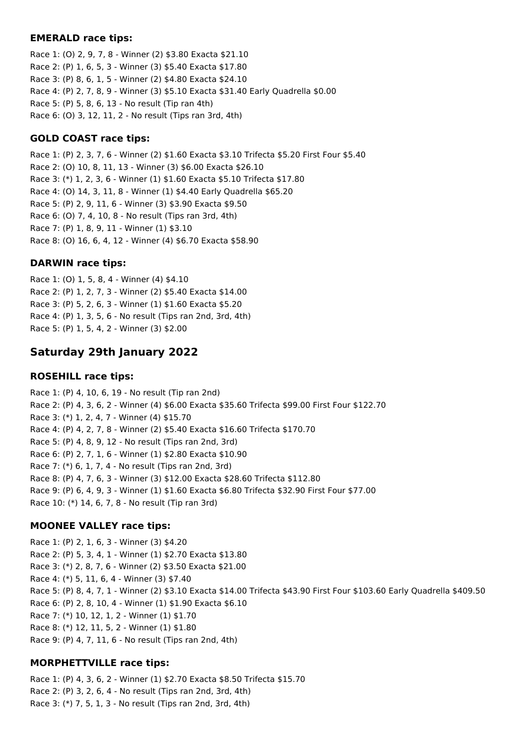#### **EMERALD race tips:**

Race 1: (O) 2, 9, 7, 8 - Winner (2) \$3.80 Exacta \$21.10 Race 2: (P) 1, 6, 5, 3 - Winner (3) \$5.40 Exacta \$17.80 Race 3: (P) 8, 6, 1, 5 - Winner (2) \$4.80 Exacta \$24.10 Race 4: (P) 2, 7, 8, 9 - Winner (3) \$5.10 Exacta \$31.40 Early Quadrella \$0.00 Race 5: (P) 5, 8, 6, 13 - No result (Tip ran 4th) Race 6: (O) 3, 12, 11, 2 - No result (Tips ran 3rd, 4th)

## **GOLD COAST race tips:**

Race 1: (P) 2, 3, 7, 6 - Winner (2) \$1.60 Exacta \$3.10 Trifecta \$5.20 First Four \$5.40 Race 2: (O) 10, 8, 11, 13 - Winner (3) \$6.00 Exacta \$26.10 Race 3: (\*) 1, 2, 3, 6 - Winner (1) \$1.60 Exacta \$5.10 Trifecta \$17.80 Race 4: (O) 14, 3, 11, 8 - Winner (1) \$4.40 Early Quadrella \$65.20 Race 5: (P) 2, 9, 11, 6 - Winner (3) \$3.90 Exacta \$9.50 Race 6: (O) 7, 4, 10, 8 - No result (Tips ran 3rd, 4th) Race 7: (P) 1, 8, 9, 11 - Winner (1) \$3.10 Race 8: (O) 16, 6, 4, 12 - Winner (4) \$6.70 Exacta \$58.90

## **DARWIN race tips:**

Race 1: (O) 1, 5, 8, 4 - Winner (4) \$4.10 Race 2: (P) 1, 2, 7, 3 - Winner (2) \$5.40 Exacta \$14.00 Race 3: (P) 5, 2, 6, 3 - Winner (1) \$1.60 Exacta \$5.20 Race 4: (P) 1, 3, 5, 6 - No result (Tips ran 2nd, 3rd, 4th) Race 5: (P) 1, 5, 4, 2 - Winner (3) \$2.00

# **Saturday 29th January 2022**

## **ROSEHILL race tips:**

Race 1: (P) 4, 10, 6, 19 - No result (Tip ran 2nd) Race 2: (P) 4, 3, 6, 2 - Winner (4) \$6.00 Exacta \$35.60 Trifecta \$99.00 First Four \$122.70 Race 3: (\*) 1, 2, 4, 7 - Winner (4) \$15.70 Race 4: (P) 4, 2, 7, 8 - Winner (2) \$5.40 Exacta \$16.60 Trifecta \$170.70 Race 5: (P) 4, 8, 9, 12 - No result (Tips ran 2nd, 3rd) Race 6: (P) 2, 7, 1, 6 - Winner (1) \$2.80 Exacta \$10.90 Race 7: (\*) 6, 1, 7, 4 - No result (Tips ran 2nd, 3rd) Race 8: (P) 4, 7, 6, 3 - Winner (3) \$12.00 Exacta \$28.60 Trifecta \$112.80 Race 9: (P) 6, 4, 9, 3 - Winner (1) \$1.60 Exacta \$6.80 Trifecta \$32.90 First Four \$77.00 Race 10: (\*) 14, 6, 7, 8 - No result (Tip ran 3rd)

## **MOONEE VALLEY race tips:**

Race 1: (P) 2, 1, 6, 3 - Winner (3) \$4.20 Race 2: (P) 5, 3, 4, 1 - Winner (1) \$2.70 Exacta \$13.80 Race 3: (\*) 2, 8, 7, 6 - Winner (2) \$3.50 Exacta \$21.00 Race 4: (\*) 5, 11, 6, 4 - Winner (3) \$7.40 Race 5: (P) 8, 4, 7, 1 - Winner (2) \$3.10 Exacta \$14.00 Trifecta \$43.90 First Four \$103.60 Early Quadrella \$409.50 Race 6: (P) 2, 8, 10, 4 - Winner (1) \$1.90 Exacta \$6.10 Race 7: (\*) 10, 12, 1, 2 - Winner (1) \$1.70 Race 8: (\*) 12, 11, 5, 2 - Winner (1) \$1.80 Race 9: (P) 4, 7, 11, 6 - No result (Tips ran 2nd, 4th)

## **MORPHETTVILLE race tips:**

Race 1: (P) 4, 3, 6, 2 - Winner (1) \$2.70 Exacta \$8.50 Trifecta \$15.70 Race 2: (P) 3, 2, 6, 4 - No result (Tips ran 2nd, 3rd, 4th) Race 3: (\*) 7, 5, 1, 3 - No result (Tips ran 2nd, 3rd, 4th)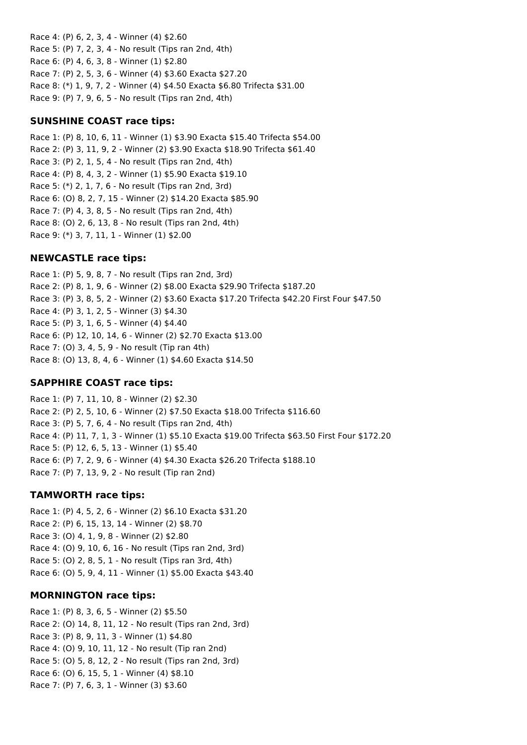Race 4: (P) 6, 2, 3, 4 - Winner (4) \$2.60 Race 5: (P) 7, 2, 3, 4 - No result (Tips ran 2nd, 4th) Race 6: (P) 4, 6, 3, 8 - Winner (1) \$2.80 Race 7: (P) 2, 5, 3, 6 - Winner (4) \$3.60 Exacta \$27.20 Race 8: (\*) 1, 9, 7, 2 - Winner (4) \$4.50 Exacta \$6.80 Trifecta \$31.00 Race 9: (P) 7, 9, 6, 5 - No result (Tips ran 2nd, 4th)

### **SUNSHINE COAST race tips:**

Race 1: (P) 8, 10, 6, 11 - Winner (1) \$3.90 Exacta \$15.40 Trifecta \$54.00 Race 2: (P) 3, 11, 9, 2 - Winner (2) \$3.90 Exacta \$18.90 Trifecta \$61.40 Race 3: (P) 2, 1, 5, 4 - No result (Tips ran 2nd, 4th) Race 4: (P) 8, 4, 3, 2 - Winner (1) \$5.90 Exacta \$19.10 Race 5: (\*) 2, 1, 7, 6 - No result (Tips ran 2nd, 3rd) Race 6: (O) 8, 2, 7, 15 - Winner (2) \$14.20 Exacta \$85.90 Race 7: (P) 4, 3, 8, 5 - No result (Tips ran 2nd, 4th) Race 8: (O) 2, 6, 13, 8 - No result (Tips ran 2nd, 4th) Race 9: (\*) 3, 7, 11, 1 - Winner (1) \$2.00

## **NEWCASTLE race tips:**

Race 1: (P) 5, 9, 8, 7 - No result (Tips ran 2nd, 3rd) Race 2: (P) 8, 1, 9, 6 - Winner (2) \$8.00 Exacta \$29.90 Trifecta \$187.20 Race 3: (P) 3, 8, 5, 2 - Winner (2) \$3.60 Exacta \$17.20 Trifecta \$42.20 First Four \$47.50 Race 4: (P) 3, 1, 2, 5 - Winner (3) \$4.30 Race 5: (P) 3, 1, 6, 5 - Winner (4) \$4.40 Race 6: (P) 12, 10, 14, 6 - Winner (2) \$2.70 Exacta \$13.00 Race 7: (O) 3, 4, 5, 9 - No result (Tip ran 4th) Race 8: (O) 13, 8, 4, 6 - Winner (1) \$4.60 Exacta \$14.50

## **SAPPHIRE COAST race tips:**

Race 1: (P) 7, 11, 10, 8 - Winner (2) \$2.30 Race 2: (P) 2, 5, 10, 6 - Winner (2) \$7.50 Exacta \$18.00 Trifecta \$116.60 Race 3: (P) 5, 7, 6, 4 - No result (Tips ran 2nd, 4th) Race 4: (P) 11, 7, 1, 3 - Winner (1) \$5.10 Exacta \$19.00 Trifecta \$63.50 First Four \$172.20 Race 5: (P) 12, 6, 5, 13 - Winner (1) \$5.40 Race 6: (P) 7, 2, 9, 6 - Winner (4) \$4.30 Exacta \$26.20 Trifecta \$188.10 Race 7: (P) 7, 13, 9, 2 - No result (Tip ran 2nd)

## **TAMWORTH race tips:**

Race 1: (P) 4, 5, 2, 6 - Winner (2) \$6.10 Exacta \$31.20 Race 2: (P) 6, 15, 13, 14 - Winner (2) \$8.70 Race 3: (O) 4, 1, 9, 8 - Winner (2) \$2.80 Race 4: (O) 9, 10, 6, 16 - No result (Tips ran 2nd, 3rd) Race 5: (O) 2, 8, 5, 1 - No result (Tips ran 3rd, 4th) Race 6: (O) 5, 9, 4, 11 - Winner (1) \$5.00 Exacta \$43.40

## **MORNINGTON race tips:**

Race 1: (P) 8, 3, 6, 5 - Winner (2) \$5.50 Race 2: (O) 14, 8, 11, 12 - No result (Tips ran 2nd, 3rd) Race 3: (P) 8, 9, 11, 3 - Winner (1) \$4.80 Race 4: (O) 9, 10, 11, 12 - No result (Tip ran 2nd) Race 5: (O) 5, 8, 12, 2 - No result (Tips ran 2nd, 3rd) Race 6: (O) 6, 15, 5, 1 - Winner (4) \$8.10 Race 7: (P) 7, 6, 3, 1 - Winner (3) \$3.60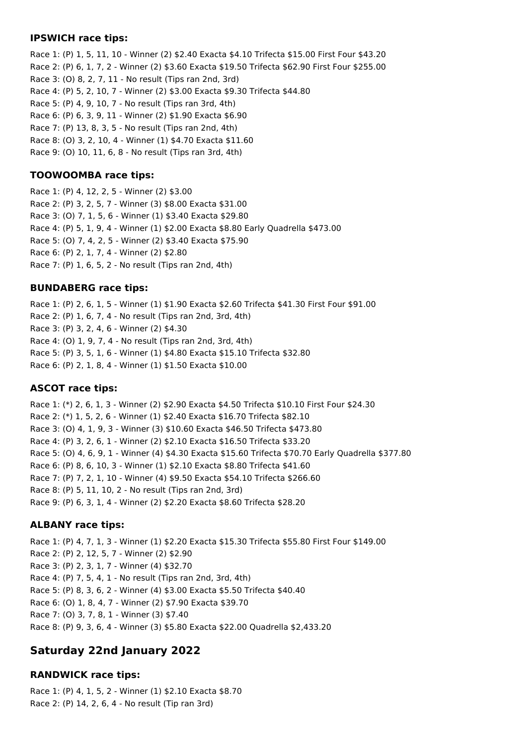#### **IPSWICH race tips:**

Race 1: (P) 1, 5, 11, 10 - Winner (2) \$2.40 Exacta \$4.10 Trifecta \$15.00 First Four \$43.20 Race 2: (P) 6, 1, 7, 2 - Winner (2) \$3.60 Exacta \$19.50 Trifecta \$62.90 First Four \$255.00 Race 3: (O) 8, 2, 7, 11 - No result (Tips ran 2nd, 3rd) Race 4: (P) 5, 2, 10, 7 - Winner (2) \$3.00 Exacta \$9.30 Trifecta \$44.80 Race 5: (P) 4, 9, 10, 7 - No result (Tips ran 3rd, 4th) Race 6: (P) 6, 3, 9, 11 - Winner (2) \$1.90 Exacta \$6.90 Race 7: (P) 13, 8, 3, 5 - No result (Tips ran 2nd, 4th) Race 8: (O) 3, 2, 10, 4 - Winner (1) \$4.70 Exacta \$11.60 Race 9: (O) 10, 11, 6, 8 - No result (Tips ran 3rd, 4th)

## **TOOWOOMBA race tips:**

Race 1: (P) 4, 12, 2, 5 - Winner (2) \$3.00 Race 2: (P) 3, 2, 5, 7 - Winner (3) \$8.00 Exacta \$31.00 Race 3: (O) 7, 1, 5, 6 - Winner (1) \$3.40 Exacta \$29.80 Race 4: (P) 5, 1, 9, 4 - Winner (1) \$2.00 Exacta \$8.80 Early Quadrella \$473.00 Race 5: (O) 7, 4, 2, 5 - Winner (2) \$3.40 Exacta \$75.90 Race 6: (P) 2, 1, 7, 4 - Winner (2) \$2.80 Race 7: (P) 1, 6, 5, 2 - No result (Tips ran 2nd, 4th)

## **BUNDABERG race tips:**

Race 1: (P) 2, 6, 1, 5 - Winner (1) \$1.90 Exacta \$2.60 Trifecta \$41.30 First Four \$91.00 Race 2: (P) 1, 6, 7, 4 - No result (Tips ran 2nd, 3rd, 4th) Race 3: (P) 3, 2, 4, 6 - Winner (2) \$4.30 Race 4: (O) 1, 9, 7, 4 - No result (Tips ran 2nd, 3rd, 4th) Race 5: (P) 3, 5, 1, 6 - Winner (1) \$4.80 Exacta \$15.10 Trifecta \$32.80 Race 6: (P) 2, 1, 8, 4 - Winner (1) \$1.50 Exacta \$10.00

## **ASCOT race tips:**

Race 1: (\*) 2, 6, 1, 3 - Winner (2) \$2.90 Exacta \$4.50 Trifecta \$10.10 First Four \$24.30 Race 2: (\*) 1, 5, 2, 6 - Winner (1) \$2.40 Exacta \$16.70 Trifecta \$82.10 Race 3: (O) 4, 1, 9, 3 - Winner (3) \$10.60 Exacta \$46.50 Trifecta \$473.80 Race 4: (P) 3, 2, 6, 1 - Winner (2) \$2.10 Exacta \$16.50 Trifecta \$33.20 Race 5: (O) 4, 6, 9, 1 - Winner (4) \$4.30 Exacta \$15.60 Trifecta \$70.70 Early Quadrella \$377.80 Race 6: (P) 8, 6, 10, 3 - Winner (1) \$2.10 Exacta \$8.80 Trifecta \$41.60 Race 7: (P) 7, 2, 1, 10 - Winner (4) \$9.50 Exacta \$54.10 Trifecta \$266.60 Race 8: (P) 5, 11, 10, 2 - No result (Tips ran 2nd, 3rd) Race 9: (P) 6, 3, 1, 4 - Winner (2) \$2.20 Exacta \$8.60 Trifecta \$28.20

## **ALBANY race tips:**

Race 1: (P) 4, 7, 1, 3 - Winner (1) \$2.20 Exacta \$15.30 Trifecta \$55.80 First Four \$149.00 Race 2: (P) 2, 12, 5, 7 - Winner (2) \$2.90 Race 3: (P) 2, 3, 1, 7 - Winner (4) \$32.70 Race 4: (P) 7, 5, 4, 1 - No result (Tips ran 2nd, 3rd, 4th) Race 5: (P) 8, 3, 6, 2 - Winner (4) \$3.00 Exacta \$5.50 Trifecta \$40.40 Race 6: (O) 1, 8, 4, 7 - Winner (2) \$7.90 Exacta \$39.70 Race 7: (O) 3, 7, 8, 1 - Winner (3) \$7.40 Race 8: (P) 9, 3, 6, 4 - Winner (3) \$5.80 Exacta \$22.00 Quadrella \$2,433.20

# **Saturday 22nd January 2022**

## **RANDWICK race tips:**

Race 1: (P) 4, 1, 5, 2 - Winner (1) \$2.10 Exacta \$8.70 Race 2: (P) 14, 2, 6, 4 - No result (Tip ran 3rd)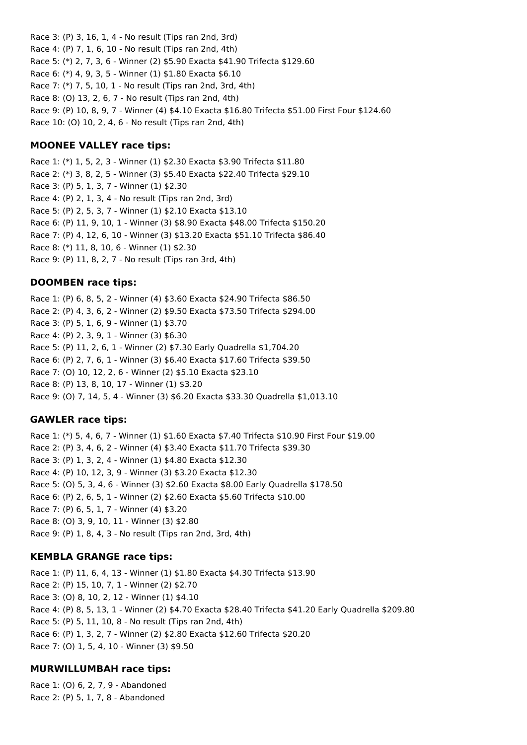Race 3: (P) 3, 16, 1, 4 - No result (Tips ran 2nd, 3rd) Race 4: (P) 7, 1, 6, 10 - No result (Tips ran 2nd, 4th) Race 5: (\*) 2, 7, 3, 6 - Winner (2) \$5.90 Exacta \$41.90 Trifecta \$129.60 Race 6: (\*) 4, 9, 3, 5 - Winner (1) \$1.80 Exacta \$6.10 Race 7: (\*) 7, 5, 10, 1 - No result (Tips ran 2nd, 3rd, 4th) Race 8: (O) 13, 2, 6, 7 - No result (Tips ran 2nd, 4th) Race 9: (P) 10, 8, 9, 7 - Winner (4) \$4.10 Exacta \$16.80 Trifecta \$51.00 First Four \$124.60 Race 10: (O) 10, 2, 4, 6 - No result (Tips ran 2nd, 4th)

#### **MOONEE VALLEY race tips:**

Race 1: (\*) 1, 5, 2, 3 - Winner (1) \$2.30 Exacta \$3.90 Trifecta \$11.80 Race 2: (\*) 3, 8, 2, 5 - Winner (3) \$5.40 Exacta \$22.40 Trifecta \$29.10 Race 3: (P) 5, 1, 3, 7 - Winner (1) \$2.30 Race 4: (P) 2, 1, 3, 4 - No result (Tips ran 2nd, 3rd) Race 5: (P) 2, 5, 3, 7 - Winner (1) \$2.10 Exacta \$13.10 Race 6: (P) 11, 9, 10, 1 - Winner (3) \$8.90 Exacta \$48.00 Trifecta \$150.20 Race 7: (P) 4, 12, 6, 10 - Winner (3) \$13.20 Exacta \$51.10 Trifecta \$86.40 Race 8: (\*) 11, 8, 10, 6 - Winner (1) \$2.30 Race 9: (P) 11, 8, 2, 7 - No result (Tips ran 3rd, 4th)

### **DOOMBEN race tips:**

Race 1: (P) 6, 8, 5, 2 - Winner (4) \$3.60 Exacta \$24.90 Trifecta \$86.50 Race 2: (P) 4, 3, 6, 2 - Winner (2) \$9.50 Exacta \$73.50 Trifecta \$294.00 Race 3: (P) 5, 1, 6, 9 - Winner (1) \$3.70 Race 4: (P) 2, 3, 9, 1 - Winner (3) \$6.30 Race 5: (P) 11, 2, 6, 1 - Winner (2) \$7.30 Early Quadrella \$1,704.20 Race 6: (P) 2, 7, 6, 1 - Winner (3) \$6.40 Exacta \$17.60 Trifecta \$39.50 Race 7: (O) 10, 12, 2, 6 - Winner (2) \$5.10 Exacta \$23.10 Race 8: (P) 13, 8, 10, 17 - Winner (1) \$3.20 Race 9: (O) 7, 14, 5, 4 - Winner (3) \$6.20 Exacta \$33.30 Quadrella \$1,013.10

#### **GAWLER race tips:**

Race 1: (\*) 5, 4, 6, 7 - Winner (1) \$1.60 Exacta \$7.40 Trifecta \$10.90 First Four \$19.00 Race 2: (P) 3, 4, 6, 2 - Winner (4) \$3.40 Exacta \$11.70 Trifecta \$39.30 Race 3: (P) 1, 3, 2, 4 - Winner (1) \$4.80 Exacta \$12.30 Race 4: (P) 10, 12, 3, 9 - Winner (3) \$3.20 Exacta \$12.30 Race 5: (O) 5, 3, 4, 6 - Winner (3) \$2.60 Exacta \$8.00 Early Quadrella \$178.50 Race 6: (P) 2, 6, 5, 1 - Winner (2) \$2.60 Exacta \$5.60 Trifecta \$10.00 Race 7: (P) 6, 5, 1, 7 - Winner (4) \$3.20 Race 8: (O) 3, 9, 10, 11 - Winner (3) \$2.80 Race 9: (P) 1, 8, 4, 3 - No result (Tips ran 2nd, 3rd, 4th)

#### **KEMBLA GRANGE race tips:**

Race 1: (P) 11, 6, 4, 13 - Winner (1) \$1.80 Exacta \$4.30 Trifecta \$13.90 Race 2: (P) 15, 10, 7, 1 - Winner (2) \$2.70 Race 3: (O) 8, 10, 2, 12 - Winner (1) \$4.10 Race 4: (P) 8, 5, 13, 1 - Winner (2) \$4.70 Exacta \$28.40 Trifecta \$41.20 Early Quadrella \$209.80 Race 5: (P) 5, 11, 10, 8 - No result (Tips ran 2nd, 4th) Race 6: (P) 1, 3, 2, 7 - Winner (2) \$2.80 Exacta \$12.60 Trifecta \$20.20 Race 7: (O) 1, 5, 4, 10 - Winner (3) \$9.50

#### **MURWILLUMBAH race tips:**

Race 1: (O) 6, 2, 7, 9 - Abandoned Race 2: (P) 5, 1, 7, 8 - Abandoned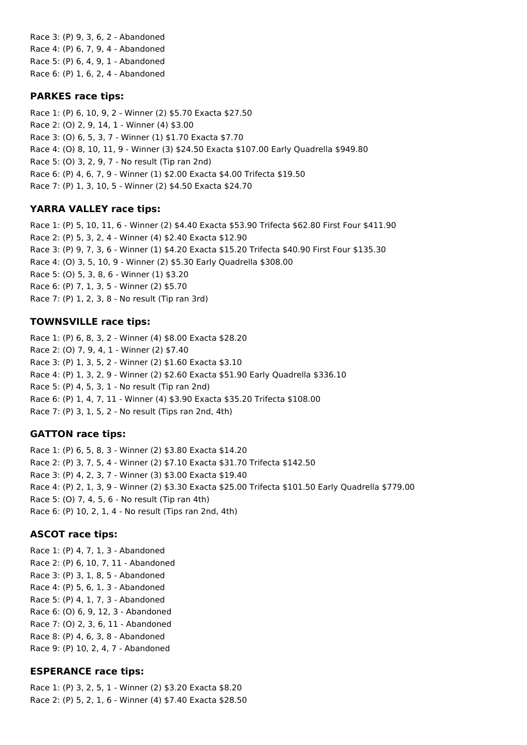Race 3: (P) 9, 3, 6, 2 - Abandoned Race 4: (P) 6, 7, 9, 4 - Abandoned Race 5: (P) 6, 4, 9, 1 - Abandoned Race 6: (P) 1, 6, 2, 4 - Abandoned

#### **PARKES race tips:**

Race 1: (P) 6, 10, 9, 2 - Winner (2) \$5.70 Exacta \$27.50 Race 2: (O) 2, 9, 14, 1 - Winner (4) \$3.00 Race 3: (O) 6, 5, 3, 7 - Winner (1) \$1.70 Exacta \$7.70 Race 4: (O) 8, 10, 11, 9 - Winner (3) \$24.50 Exacta \$107.00 Early Quadrella \$949.80 Race 5: (O) 3, 2, 9, 7 - No result (Tip ran 2nd) Race 6: (P) 4, 6, 7, 9 - Winner (1) \$2.00 Exacta \$4.00 Trifecta \$19.50 Race 7: (P) 1, 3, 10, 5 - Winner (2) \$4.50 Exacta \$24.70

## **YARRA VALLEY race tips:**

Race 1: (P) 5, 10, 11, 6 - Winner (2) \$4.40 Exacta \$53.90 Trifecta \$62.80 First Four \$411.90 Race 2: (P) 5, 3, 2, 4 - Winner (4) \$2.40 Exacta \$12.90 Race 3: (P) 9, 7, 3, 6 - Winner (1) \$4.20 Exacta \$15.20 Trifecta \$40.90 First Four \$135.30 Race 4: (O) 3, 5, 10, 9 - Winner (2) \$5.30 Early Quadrella \$308.00 Race 5: (O) 5, 3, 8, 6 - Winner (1) \$3.20 Race 6: (P) 7, 1, 3, 5 - Winner (2) \$5.70 Race 7: (P) 1, 2, 3, 8 - No result (Tip ran 3rd)

## **TOWNSVILLE race tips:**

Race 1: (P) 6, 8, 3, 2 - Winner (4) \$8.00 Exacta \$28.20 Race 2: (O) 7, 9, 4, 1 - Winner (2) \$7.40 Race 3: (P) 1, 3, 5, 2 - Winner (2) \$1.60 Exacta \$3.10 Race 4: (P) 1, 3, 2, 9 - Winner (2) \$2.60 Exacta \$51.90 Early Quadrella \$336.10 Race 5: (P) 4, 5, 3, 1 - No result (Tip ran 2nd) Race 6: (P) 1, 4, 7, 11 - Winner (4) \$3.90 Exacta \$35.20 Trifecta \$108.00 Race 7: (P) 3, 1, 5, 2 - No result (Tips ran 2nd, 4th)

## **GATTON race tips:**

Race 1: (P) 6, 5, 8, 3 - Winner (2) \$3.80 Exacta \$14.20 Race 2: (P) 3, 7, 5, 4 - Winner (2) \$7.10 Exacta \$31.70 Trifecta \$142.50 Race 3: (P) 4, 2, 3, 7 - Winner (3) \$3.00 Exacta \$19.40 Race 4: (P) 2, 1, 3, 9 - Winner (2) \$3.30 Exacta \$25.00 Trifecta \$101.50 Early Quadrella \$779.00 Race 5: (O) 7, 4, 5, 6 - No result (Tip ran 4th) Race 6: (P) 10, 2, 1, 4 - No result (Tips ran 2nd, 4th)

## **ASCOT race tips:**

Race 1: (P) 4, 7, 1, 3 - Abandoned Race 2: (P) 6, 10, 7, 11 - Abandoned Race 3: (P) 3, 1, 8, 5 - Abandoned Race 4: (P) 5, 6, 1, 3 - Abandoned Race 5: (P) 4, 1, 7, 3 - Abandoned Race 6: (O) 6, 9, 12, 3 - Abandoned Race 7: (O) 2, 3, 6, 11 - Abandoned Race 8: (P) 4, 6, 3, 8 - Abandoned Race 9: (P) 10, 2, 4, 7 - Abandoned

## **ESPERANCE race tips:**

Race 1: (P) 3, 2, 5, 1 - Winner (2) \$3.20 Exacta \$8.20 Race 2: (P) 5, 2, 1, 6 - Winner (4) \$7.40 Exacta \$28.50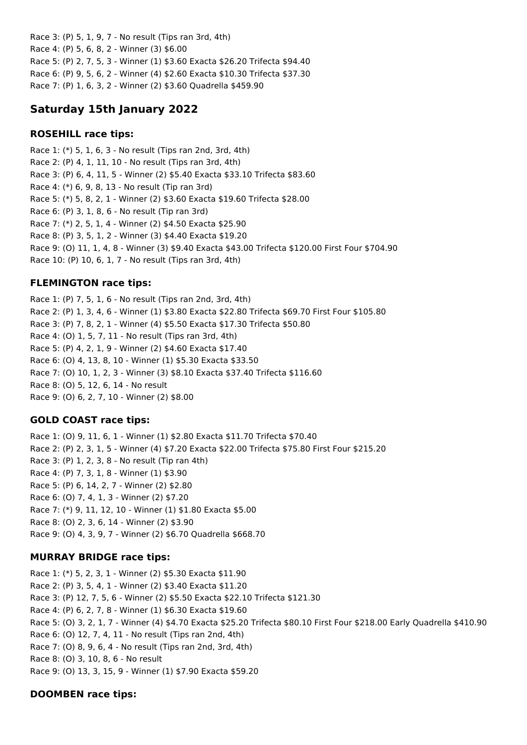Race 3: (P) 5, 1, 9, 7 - No result (Tips ran 3rd, 4th) Race 4: (P) 5, 6, 8, 2 - Winner (3) \$6.00 Race 5: (P) 2, 7, 5, 3 - Winner (1) \$3.60 Exacta \$26.20 Trifecta \$94.40 Race 6: (P) 9, 5, 6, 2 - Winner (4) \$2.60 Exacta \$10.30 Trifecta \$37.30 Race 7: (P) 1, 6, 3, 2 - Winner (2) \$3.60 Quadrella \$459.90

# **Saturday 15th January 2022**

## **ROSEHILL race tips:**

Race 1: (\*) 5, 1, 6, 3 - No result (Tips ran 2nd, 3rd, 4th) Race 2: (P) 4, 1, 11, 10 - No result (Tips ran 3rd, 4th) Race 3: (P) 6, 4, 11, 5 - Winner (2) \$5.40 Exacta \$33.10 Trifecta \$83.60 Race 4: (\*) 6, 9, 8, 13 - No result (Tip ran 3rd) Race 5: (\*) 5, 8, 2, 1 - Winner (2) \$3.60 Exacta \$19.60 Trifecta \$28.00 Race 6: (P) 3, 1, 8, 6 - No result (Tip ran 3rd) Race 7: (\*) 2, 5, 1, 4 - Winner (2) \$4.50 Exacta \$25.90 Race 8: (P) 3, 5, 1, 2 - Winner (3) \$4.40 Exacta \$19.20 Race 9: (O) 11, 1, 4, 8 - Winner (3) \$9.40 Exacta \$43.00 Trifecta \$120.00 First Four \$704.90 Race 10: (P) 10, 6, 1, 7 - No result (Tips ran 3rd, 4th)

## **FLEMINGTON race tips:**

Race 1: (P) 7, 5, 1, 6 - No result (Tips ran 2nd, 3rd, 4th) Race 2: (P) 1, 3, 4, 6 - Winner (1) \$3.80 Exacta \$22.80 Trifecta \$69.70 First Four \$105.80 Race 3: (P) 7, 8, 2, 1 - Winner (4) \$5.50 Exacta \$17.30 Trifecta \$50.80 Race 4: (O) 1, 5, 7, 11 - No result (Tips ran 3rd, 4th) Race 5: (P) 4, 2, 1, 9 - Winner (2) \$4.60 Exacta \$17.40 Race 6: (O) 4, 13, 8, 10 - Winner (1) \$5.30 Exacta \$33.50 Race 7: (O) 10, 1, 2, 3 - Winner (3) \$8.10 Exacta \$37.40 Trifecta \$116.60 Race 8: (O) 5, 12, 6, 14 - No result Race 9: (O) 6, 2, 7, 10 - Winner (2) \$8.00

## **GOLD COAST race tips:**

Race 1: (O) 9, 11, 6, 1 - Winner (1) \$2.80 Exacta \$11.70 Trifecta \$70.40 Race 2: (P) 2, 3, 1, 5 - Winner (4) \$7.20 Exacta \$22.00 Trifecta \$75.80 First Four \$215.20 Race 3: (P) 1, 2, 3, 8 - No result (Tip ran 4th) Race 4: (P) 7, 3, 1, 8 - Winner (1) \$3.90 Race 5: (P) 6, 14, 2, 7 - Winner (2) \$2.80 Race 6: (O) 7, 4, 1, 3 - Winner (2) \$7.20 Race 7: (\*) 9, 11, 12, 10 - Winner (1) \$1.80 Exacta \$5.00 Race 8: (O) 2, 3, 6, 14 - Winner (2) \$3.90 Race 9: (O) 4, 3, 9, 7 - Winner (2) \$6.70 Quadrella \$668.70

## **MURRAY BRIDGE race tips:**

Race 1: (\*) 5, 2, 3, 1 - Winner (2) \$5.30 Exacta \$11.90 Race 2: (P) 3, 5, 4, 1 - Winner (2) \$3.40 Exacta \$11.20 Race 3: (P) 12, 7, 5, 6 - Winner (2) \$5.50 Exacta \$22.10 Trifecta \$121.30 Race 4: (P) 6, 2, 7, 8 - Winner (1) \$6.30 Exacta \$19.60 Race 5: (O) 3, 2, 1, 7 - Winner (4) \$4.70 Exacta \$25.20 Trifecta \$80.10 First Four \$218.00 Early Quadrella \$410.90 Race 6: (O) 12, 7, 4, 11 - No result (Tips ran 2nd, 4th) Race 7: (O) 8, 9, 6, 4 - No result (Tips ran 2nd, 3rd, 4th) Race 8: (O) 3, 10, 8, 6 - No result Race 9: (O) 13, 3, 15, 9 - Winner (1) \$7.90 Exacta \$59.20

## **DOOMBEN race tips:**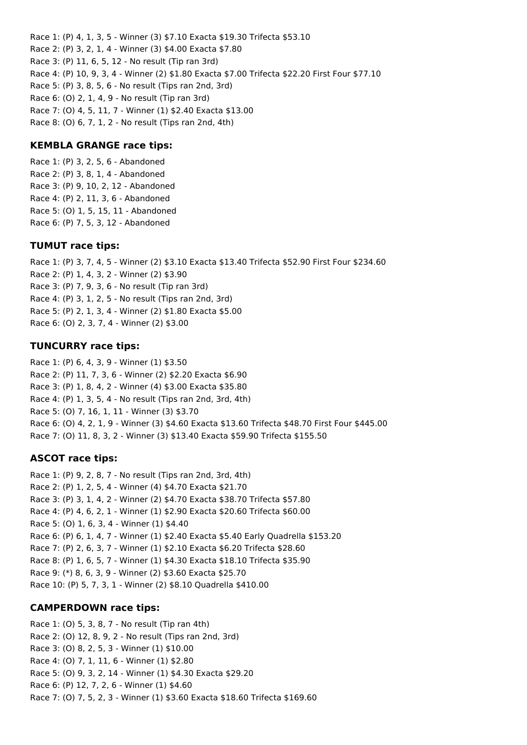Race 1: (P) 4, 1, 3, 5 - Winner (3) \$7.10 Exacta \$19.30 Trifecta \$53.10 Race 2: (P) 3, 2, 1, 4 - Winner (3) \$4.00 Exacta \$7.80 Race 3: (P) 11, 6, 5, 12 - No result (Tip ran 3rd) Race 4: (P) 10, 9, 3, 4 - Winner (2) \$1.80 Exacta \$7.00 Trifecta \$22.20 First Four \$77.10 Race 5: (P) 3, 8, 5, 6 - No result (Tips ran 2nd, 3rd) Race 6: (O) 2, 1, 4, 9 - No result (Tip ran 3rd) Race 7: (O) 4, 5, 11, 7 - Winner (1) \$2.40 Exacta \$13.00 Race 8: (O) 6, 7, 1, 2 - No result (Tips ran 2nd, 4th)

#### **KEMBLA GRANGE race tips:**

Race 1: (P) 3, 2, 5, 6 - Abandoned Race 2: (P) 3, 8, 1, 4 - Abandoned Race 3: (P) 9, 10, 2, 12 - Abandoned Race 4: (P) 2, 11, 3, 6 - Abandoned Race 5: (O) 1, 5, 15, 11 - Abandoned Race 6: (P) 7, 5, 3, 12 - Abandoned

#### **TUMUT race tips:**

Race 1: (P) 3, 7, 4, 5 - Winner (2) \$3.10 Exacta \$13.40 Trifecta \$52.90 First Four \$234.60 Race 2: (P) 1, 4, 3, 2 - Winner (2) \$3.90 Race 3: (P) 7, 9, 3, 6 - No result (Tip ran 3rd) Race 4: (P) 3, 1, 2, 5 - No result (Tips ran 2nd, 3rd) Race 5: (P) 2, 1, 3, 4 - Winner (2) \$1.80 Exacta \$5.00 Race 6: (O) 2, 3, 7, 4 - Winner (2) \$3.00

#### **TUNCURRY race tips:**

Race 1: (P) 6, 4, 3, 9 - Winner (1) \$3.50 Race 2: (P) 11, 7, 3, 6 - Winner (2) \$2.20 Exacta \$6.90 Race 3: (P) 1, 8, 4, 2 - Winner (4) \$3.00 Exacta \$35.80 Race 4: (P) 1, 3, 5, 4 - No result (Tips ran 2nd, 3rd, 4th) Race 5: (O) 7, 16, 1, 11 - Winner (3) \$3.70 Race 6: (O) 4, 2, 1, 9 - Winner (3) \$4.60 Exacta \$13.60 Trifecta \$48.70 First Four \$445.00 Race 7: (O) 11, 8, 3, 2 - Winner (3) \$13.40 Exacta \$59.90 Trifecta \$155.50

#### **ASCOT race tips:**

Race 1: (P) 9, 2, 8, 7 - No result (Tips ran 2nd, 3rd, 4th) Race 2: (P) 1, 2, 5, 4 - Winner (4) \$4.70 Exacta \$21.70 Race 3: (P) 3, 1, 4, 2 - Winner (2) \$4.70 Exacta \$38.70 Trifecta \$57.80 Race 4: (P) 4, 6, 2, 1 - Winner (1) \$2.90 Exacta \$20.60 Trifecta \$60.00 Race 5: (O) 1, 6, 3, 4 - Winner (1) \$4.40 Race 6: (P) 6, 1, 4, 7 - Winner (1) \$2.40 Exacta \$5.40 Early Quadrella \$153.20 Race 7: (P) 2, 6, 3, 7 - Winner (1) \$2.10 Exacta \$6.20 Trifecta \$28.60 Race 8: (P) 1, 6, 5, 7 - Winner (1) \$4.30 Exacta \$18.10 Trifecta \$35.90 Race 9: (\*) 8, 6, 3, 9 - Winner (2) \$3.60 Exacta \$25.70 Race 10: (P) 5, 7, 3, 1 - Winner (2) \$8.10 Quadrella \$410.00

#### **CAMPERDOWN race tips:**

Race 1: (O) 5, 3, 8, 7 - No result (Tip ran 4th) Race 2: (O) 12, 8, 9, 2 - No result (Tips ran 2nd, 3rd) Race 3: (O) 8, 2, 5, 3 - Winner (1) \$10.00 Race 4: (O) 7, 1, 11, 6 - Winner (1) \$2.80 Race 5: (O) 9, 3, 2, 14 - Winner (1) \$4.30 Exacta \$29.20 Race 6: (P) 12, 7, 2, 6 - Winner (1) \$4.60 Race 7: (O) 7, 5, 2, 3 - Winner (1) \$3.60 Exacta \$18.60 Trifecta \$169.60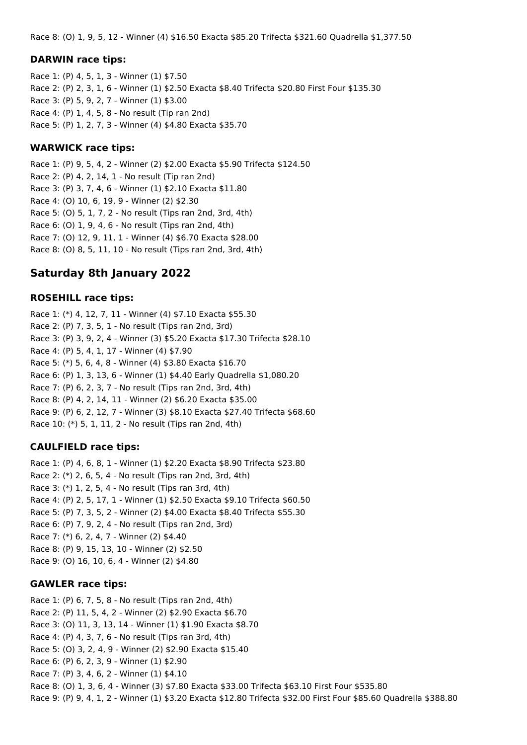Race 8: (O) 1, 9, 5, 12 - Winner (4) \$16.50 Exacta \$85.20 Trifecta \$321.60 Quadrella \$1,377.50

#### **DARWIN race tips:**

Race 1: (P) 4, 5, 1, 3 - Winner (1) \$7.50 Race 2: (P) 2, 3, 1, 6 - Winner (1) \$2.50 Exacta \$8.40 Trifecta \$20.80 First Four \$135.30 Race 3: (P) 5, 9, 2, 7 - Winner (1) \$3.00 Race 4: (P) 1, 4, 5, 8 - No result (Tip ran 2nd) Race 5: (P) 1, 2, 7, 3 - Winner (4) \$4.80 Exacta \$35.70

#### **WARWICK race tips:**

Race 1: (P) 9, 5, 4, 2 - Winner (2) \$2.00 Exacta \$5.90 Trifecta \$124.50 Race 2: (P) 4, 2, 14, 1 - No result (Tip ran 2nd) Race 3: (P) 3, 7, 4, 6 - Winner (1) \$2.10 Exacta \$11.80 Race 4: (O) 10, 6, 19, 9 - Winner (2) \$2.30 Race 5: (O) 5, 1, 7, 2 - No result (Tips ran 2nd, 3rd, 4th) Race 6: (O) 1, 9, 4, 6 - No result (Tips ran 2nd, 4th) Race 7: (O) 12, 9, 11, 1 - Winner (4) \$6.70 Exacta \$28.00 Race 8: (O) 8, 5, 11, 10 - No result (Tips ran 2nd, 3rd, 4th)

# **Saturday 8th January 2022**

### **ROSEHILL race tips:**

Race 1: (\*) 4, 12, 7, 11 - Winner (4) \$7.10 Exacta \$55.30 Race 2: (P) 7, 3, 5, 1 - No result (Tips ran 2nd, 3rd) Race 3: (P) 3, 9, 2, 4 - Winner (3) \$5.20 Exacta \$17.30 Trifecta \$28.10 Race 4: (P) 5, 4, 1, 17 - Winner (4) \$7.90 Race 5: (\*) 5, 6, 4, 8 - Winner (4) \$3.80 Exacta \$16.70 Race 6: (P) 1, 3, 13, 6 - Winner (1) \$4.40 Early Quadrella \$1,080.20 Race 7: (P) 6, 2, 3, 7 - No result (Tips ran 2nd, 3rd, 4th) Race 8: (P) 4, 2, 14, 11 - Winner (2) \$6.20 Exacta \$35.00 Race 9: (P) 6, 2, 12, 7 - Winner (3) \$8.10 Exacta \$27.40 Trifecta \$68.60 Race 10: (\*) 5, 1, 11, 2 - No result (Tips ran 2nd, 4th)

#### **CAULFIELD race tips:**

Race 1: (P) 4, 6, 8, 1 - Winner (1) \$2.20 Exacta \$8.90 Trifecta \$23.80 Race 2: (\*) 2, 6, 5, 4 - No result (Tips ran 2nd, 3rd, 4th) Race 3: (\*) 1, 2, 5, 4 - No result (Tips ran 3rd, 4th) Race 4: (P) 2, 5, 17, 1 - Winner (1) \$2.50 Exacta \$9.10 Trifecta \$60.50 Race 5: (P) 7, 3, 5, 2 - Winner (2) \$4.00 Exacta \$8.40 Trifecta \$55.30 Race 6: (P) 7, 9, 2, 4 - No result (Tips ran 2nd, 3rd) Race 7: (\*) 6, 2, 4, 7 - Winner (2) \$4.40 Race 8: (P) 9, 15, 13, 10 - Winner (2) \$2.50 Race 9: (O) 16, 10, 6, 4 - Winner (2) \$4.80

#### **GAWLER race tips:**

Race 1: (P) 6, 7, 5, 8 - No result (Tips ran 2nd, 4th) Race 2: (P) 11, 5, 4, 2 - Winner (2) \$2.90 Exacta \$6.70 Race 3: (O) 11, 3, 13, 14 - Winner (1) \$1.90 Exacta \$8.70 Race 4: (P) 4, 3, 7, 6 - No result (Tips ran 3rd, 4th) Race 5: (O) 3, 2, 4, 9 - Winner (2) \$2.90 Exacta \$15.40 Race 6: (P) 6, 2, 3, 9 - Winner (1) \$2.90 Race 7: (P) 3, 4, 6, 2 - Winner (1) \$4.10 Race 8: (O) 1, 3, 6, 4 - Winner (3) \$7.80 Exacta \$33.00 Trifecta \$63.10 First Four \$535.80 Race 9: (P) 9, 4, 1, 2 - Winner (1) \$3.20 Exacta \$12.80 Trifecta \$32.00 First Four \$85.60 Quadrella \$388.80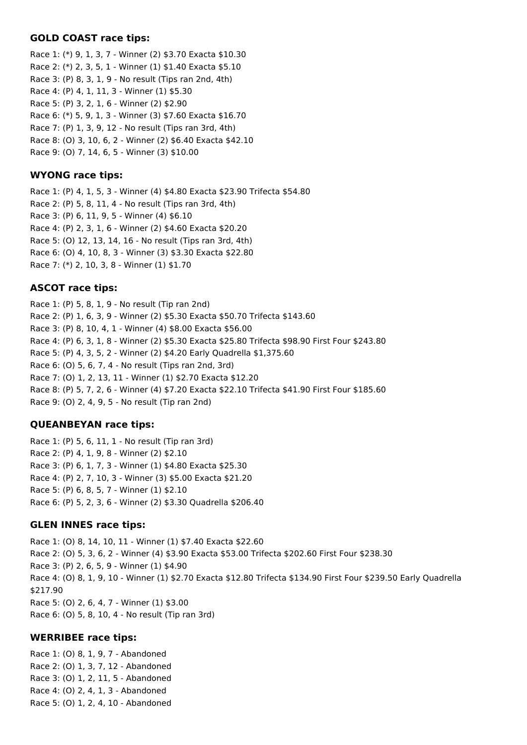#### **GOLD COAST race tips:**

Race 1: (\*) 9, 1, 3, 7 - Winner (2) \$3.70 Exacta \$10.30 Race 2: (\*) 2, 3, 5, 1 - Winner (1) \$1.40 Exacta \$5.10 Race 3: (P) 8, 3, 1, 9 - No result (Tips ran 2nd, 4th) Race 4: (P) 4, 1, 11, 3 - Winner (1) \$5.30 Race 5: (P) 3, 2, 1, 6 - Winner (2) \$2.90 Race 6: (\*) 5, 9, 1, 3 - Winner (3) \$7.60 Exacta \$16.70 Race 7: (P) 1, 3, 9, 12 - No result (Tips ran 3rd, 4th) Race 8: (O) 3, 10, 6, 2 - Winner (2) \$6.40 Exacta \$42.10 Race 9: (O) 7, 14, 6, 5 - Winner (3) \$10.00

## **WYONG race tips:**

Race 1: (P) 4, 1, 5, 3 - Winner (4) \$4.80 Exacta \$23.90 Trifecta \$54.80 Race 2: (P) 5, 8, 11, 4 - No result (Tips ran 3rd, 4th) Race 3: (P) 6, 11, 9, 5 - Winner (4) \$6.10 Race 4: (P) 2, 3, 1, 6 - Winner (2) \$4.60 Exacta \$20.20 Race 5: (O) 12, 13, 14, 16 - No result (Tips ran 3rd, 4th) Race 6: (O) 4, 10, 8, 3 - Winner (3) \$3.30 Exacta \$22.80 Race 7: (\*) 2, 10, 3, 8 - Winner (1) \$1.70

## **ASCOT race tips:**

Race 1: (P) 5, 8, 1, 9 - No result (Tip ran 2nd) Race 2: (P) 1, 6, 3, 9 - Winner (2) \$5.30 Exacta \$50.70 Trifecta \$143.60 Race 3: (P) 8, 10, 4, 1 - Winner (4) \$8.00 Exacta \$56.00 Race 4: (P) 6, 3, 1, 8 - Winner (2) \$5.30 Exacta \$25.80 Trifecta \$98.90 First Four \$243.80 Race 5: (P) 4, 3, 5, 2 - Winner (2) \$4.20 Early Quadrella \$1,375.60 Race 6: (O) 5, 6, 7, 4 - No result (Tips ran 2nd, 3rd) Race 7: (O) 1, 2, 13, 11 - Winner (1) \$2.70 Exacta \$12.20 Race 8: (P) 5, 7, 2, 6 - Winner (4) \$7.20 Exacta \$22.10 Trifecta \$41.90 First Four \$185.60 Race 9: (O) 2, 4, 9, 5 - No result (Tip ran 2nd)

## **QUEANBEYAN race tips:**

Race 1: (P) 5, 6, 11, 1 - No result (Tip ran 3rd) Race 2: (P) 4, 1, 9, 8 - Winner (2) \$2.10 Race 3: (P) 6, 1, 7, 3 - Winner (1) \$4.80 Exacta \$25.30 Race 4: (P) 2, 7, 10, 3 - Winner (3) \$5.00 Exacta \$21.20 Race 5: (P) 6, 8, 5, 7 - Winner (1) \$2.10 Race 6: (P) 5, 2, 3, 6 - Winner (2) \$3.30 Quadrella \$206.40

#### **GLEN INNES race tips:**

Race 1: (O) 8, 14, 10, 11 - Winner (1) \$7.40 Exacta \$22.60 Race 2: (O) 5, 3, 6, 2 - Winner (4) \$3.90 Exacta \$53.00 Trifecta \$202.60 First Four \$238.30 Race 3: (P) 2, 6, 5, 9 - Winner (1) \$4.90 Race 4: (O) 8, 1, 9, 10 - Winner (1) \$2.70 Exacta \$12.80 Trifecta \$134.90 First Four \$239.50 Early Quadrella \$217.90 Race 5: (O) 2, 6, 4, 7 - Winner (1) \$3.00 Race 6: (O) 5, 8, 10, 4 - No result (Tip ran 3rd)

#### **WERRIBEE race tips:**

Race 1: (O) 8, 1, 9, 7 - Abandoned Race 2: (O) 1, 3, 7, 12 - Abandoned Race 3: (O) 1, 2, 11, 5 - Abandoned Race 4: (O) 2, 4, 1, 3 - Abandoned Race 5: (O) 1, 2, 4, 10 - Abandoned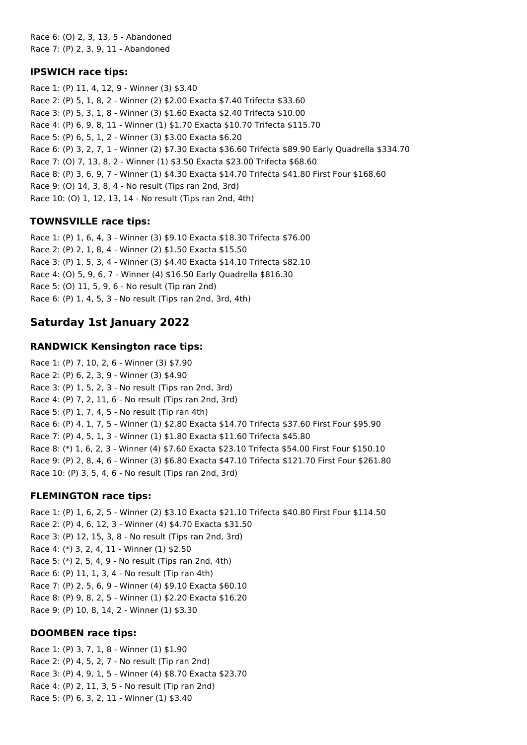Race 6: (O) 2, 3, 13, 5 - Abandoned Race 7: (P) 2, 3, 9, 11 - Abandoned

### **IPSWICH race tips:**

Race 1: (P) 11, 4, 12, 9 - Winner (3) \$3.40 Race 2: (P) 5, 1, 8, 2 - Winner (2) \$2.00 Exacta \$7.40 Trifecta \$33.60 Race 3: (P) 5, 3, 1, 8 - Winner (3) \$1.60 Exacta \$2.40 Trifecta \$10.00 Race 4: (P) 6, 9, 8, 11 - Winner (1) \$1.70 Exacta \$10.70 Trifecta \$115.70 Race 5: (P) 6, 5, 1, 2 - Winner (3) \$3.00 Exacta \$6.20 Race 6: (P) 3, 2, 7, 1 - Winner (2) \$7.30 Exacta \$36.60 Trifecta \$89.90 Early Quadrella \$334.70 Race 7: (O) 7, 13, 8, 2 - Winner (1) \$3.50 Exacta \$23.00 Trifecta \$68.60 Race 8: (P) 3, 6, 9, 7 - Winner (1) \$4.30 Exacta \$14.70 Trifecta \$41.80 First Four \$168.60 Race 9: (O) 14, 3, 8, 4 - No result (Tips ran 2nd, 3rd) Race 10: (O) 1, 12, 13, 14 - No result (Tips ran 2nd, 4th)

## **TOWNSVILLE race tips:**

Race 1: (P) 1, 6, 4, 3 - Winner (3) \$9.10 Exacta \$18.30 Trifecta \$76.00 Race 2: (P) 2, 1, 8, 4 - Winner (2) \$1.50 Exacta \$15.50 Race 3: (P) 1, 5, 3, 4 - Winner (3) \$4.40 Exacta \$14.10 Trifecta \$82.10 Race 4: (O) 5, 9, 6, 7 - Winner (4) \$16.50 Early Quadrella \$816.30 Race 5: (O) 11, 5, 9, 6 - No result (Tip ran 2nd) Race 6: (P) 1, 4, 5, 3 - No result (Tips ran 2nd, 3rd, 4th)

# **Saturday 1st January 2022**

## **RANDWICK Kensington race tips:**

Race 1: (P) 7, 10, 2, 6 - Winner (3) \$7.90 Race 2: (P) 6, 2, 3, 9 - Winner (3) \$4.90 Race 3: (P) 1, 5, 2, 3 - No result (Tips ran 2nd, 3rd) Race 4: (P) 7, 2, 11, 6 - No result (Tips ran 2nd, 3rd) Race 5: (P) 1, 7, 4, 5 - No result (Tip ran 4th) Race 6: (P) 4, 1, 7, 5 - Winner (1) \$2.80 Exacta \$14.70 Trifecta \$37.60 First Four \$95.90 Race 7: (P) 4, 5, 1, 3 - Winner (1) \$1.80 Exacta \$11.60 Trifecta \$45.80 Race 8: (\*) 1, 6, 2, 3 - Winner (4) \$7.60 Exacta \$23.10 Trifecta \$54.00 First Four \$150.10 Race 9: (P) 2, 8, 4, 6 - Winner (3) \$6.80 Exacta \$47.10 Trifecta \$121.70 First Four \$261.80 Race 10: (P) 3, 5, 4, 6 - No result (Tips ran 2nd, 3rd)

## **FLEMINGTON race tips:**

Race 1: (P) 1, 6, 2, 5 - Winner (2) \$3.10 Exacta \$21.10 Trifecta \$40.80 First Four \$114.50 Race 2: (P) 4, 6, 12, 3 - Winner (4) \$4.70 Exacta \$31.50 Race 3: (P) 12, 15, 3, 8 - No result (Tips ran 2nd, 3rd) Race 4: (\*) 3, 2, 4, 11 - Winner (1) \$2.50 Race 5: (\*) 2, 5, 4, 9 - No result (Tips ran 2nd, 4th) Race 6: (P) 11, 1, 3, 4 - No result (Tip ran 4th) Race 7: (P) 2, 5, 6, 9 - Winner (4) \$9.10 Exacta \$60.10 Race 8: (P) 9, 8, 2, 5 - Winner (1) \$2.20 Exacta \$16.20 Race 9: (P) 10, 8, 14, 2 - Winner (1) \$3.30

## **DOOMBEN race tips:**

Race 1: (P) 3, 7, 1, 8 - Winner (1) \$1.90 Race 2: (P) 4, 5, 2, 7 - No result (Tip ran 2nd) Race 3: (P) 4, 9, 1, 5 - Winner (4) \$8.70 Exacta \$23.70 Race 4: (P) 2, 11, 3, 5 - No result (Tip ran 2nd) Race 5: (P) 6, 3, 2, 11 - Winner (1) \$3.40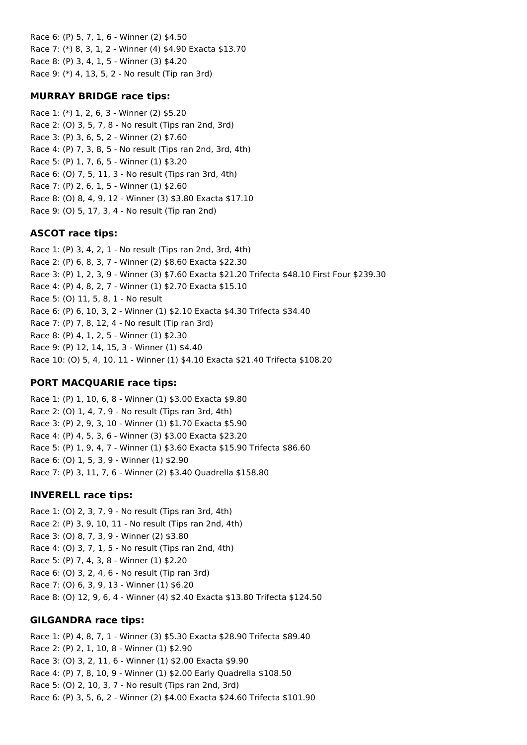Race 6: (P) 5, 7, 1, 6 - Winner (2) \$4.50 Race 7: (\*) 8, 3, 1, 2 - Winner (4) \$4.90 Exacta \$13.70 Race 8: (P) 3, 4, 1, 5 - Winner (3) \$4.20 Race 9: (\*) 4, 13, 5, 2 - No result (Tip ran 3rd)

### **MURRAY BRIDGE race tips:**

Race 1: (\*) 1, 2, 6, 3 - Winner (2) \$5.20 Race 2: (O) 3, 5, 7, 8 - No result (Tips ran 2nd, 3rd) Race 3: (P) 3, 6, 5, 2 - Winner (2) \$7.60 Race 4: (P) 7, 3, 8, 5 - No result (Tips ran 2nd, 3rd, 4th) Race 5: (P) 1, 7, 6, 5 - Winner (1) \$3.20 Race 6: (O) 7, 5, 11, 3 - No result (Tips ran 3rd, 4th) Race 7: (P) 2, 6, 1, 5 - Winner (1) \$2.60 Race 8: (O) 8, 4, 9, 12 - Winner (3) \$3.80 Exacta \$17.10 Race 9: (O) 5, 17, 3, 4 - No result (Tip ran 2nd)

### **ASCOT race tips:**

Race 1: (P) 3, 4, 2, 1 - No result (Tips ran 2nd, 3rd, 4th) Race 2: (P) 6, 8, 3, 7 - Winner (2) \$8.60 Exacta \$22.30 Race 3: (P) 1, 2, 3, 9 - Winner (3) \$7.60 Exacta \$21.20 Trifecta \$48.10 First Four \$239.30 Race 4: (P) 4, 8, 2, 7 - Winner (1) \$2.70 Exacta \$15.10 Race 5: (O) 11, 5, 8, 1 - No result Race 6: (P) 6, 10, 3, 2 - Winner (1) \$2.10 Exacta \$4.30 Trifecta \$34.40 Race 7: (P) 7, 8, 12, 4 - No result (Tip ran 3rd) Race 8: (P) 4, 1, 2, 5 - Winner (1) \$2.30 Race 9: (P) 12, 14, 15, 3 - Winner (1) \$4.40 Race 10: (O) 5, 4, 10, 11 - Winner (1) \$4.10 Exacta \$21.40 Trifecta \$108.20

## **PORT MACQUARIE race tips:**

Race 1: (P) 1, 10, 6, 8 - Winner (1) \$3.00 Exacta \$9.80 Race 2: (O) 1, 4, 7, 9 - No result (Tips ran 3rd, 4th) Race 3: (P) 2, 9, 3, 10 - Winner (1) \$1.70 Exacta \$5.90 Race 4: (P) 4, 5, 3, 6 - Winner (3) \$3.00 Exacta \$23.20 Race 5: (P) 1, 9, 4, 7 - Winner (1) \$3.60 Exacta \$15.90 Trifecta \$86.60 Race 6: (O) 1, 5, 3, 9 - Winner (1) \$2.90 Race 7: (P) 3, 11, 7, 6 - Winner (2) \$3.40 Quadrella \$158.80

## **INVERELL race tips:**

Race 1: (O) 2, 3, 7, 9 - No result (Tips ran 3rd, 4th) Race 2: (P) 3, 9, 10, 11 - No result (Tips ran 2nd, 4th) Race 3: (O) 8, 7, 3, 9 - Winner (2) \$3.80 Race 4: (O) 3, 7, 1, 5 - No result (Tips ran 2nd, 4th) Race 5: (P) 7, 4, 3, 8 - Winner (1) \$2.20 Race 6: (O) 3, 2, 4, 6 - No result (Tip ran 3rd) Race 7: (O) 6, 3, 9, 13 - Winner (1) \$6.20 Race 8: (O) 12, 9, 6, 4 - Winner (4) \$2.40 Exacta \$13.80 Trifecta \$124.50

## **GILGANDRA race tips:**

Race 1: (P) 4, 8, 7, 1 - Winner (3) \$5.30 Exacta \$28.90 Trifecta \$89.40 Race 2: (P) 2, 1, 10, 8 - Winner (1) \$2.90 Race 3: (O) 3, 2, 11, 6 - Winner (1) \$2.00 Exacta \$9.90 Race 4: (P) 7, 8, 10, 9 - Winner (1) \$2.00 Early Quadrella \$108.50 Race 5: (O) 2, 10, 3, 7 - No result (Tips ran 2nd, 3rd) Race 6: (P) 3, 5, 6, 2 - Winner (2) \$4.00 Exacta \$24.60 Trifecta \$101.90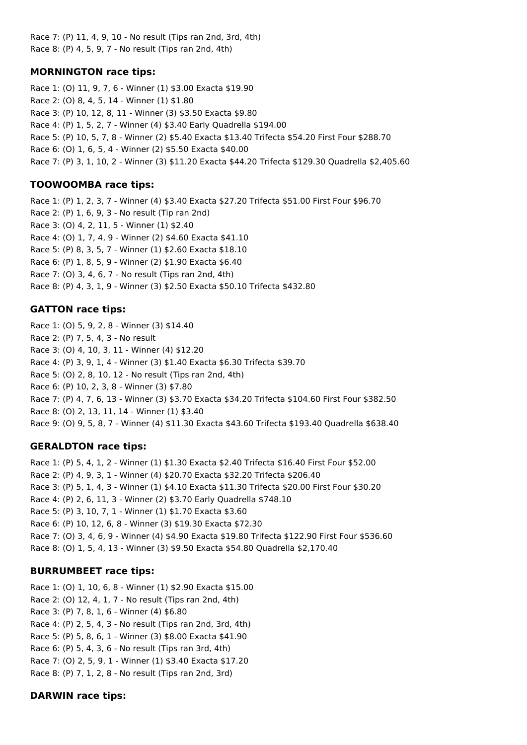Race 7: (P) 11, 4, 9, 10 - No result (Tips ran 2nd, 3rd, 4th) Race 8: (P) 4, 5, 9, 7 - No result (Tips ran 2nd, 4th)

## **MORNINGTON race tips:**

Race 1: (O) 11, 9, 7, 6 - Winner (1) \$3.00 Exacta \$19.90 Race 2: (O) 8, 4, 5, 14 - Winner (1) \$1.80 Race 3: (P) 10, 12, 8, 11 - Winner (3) \$3.50 Exacta \$9.80 Race 4: (P) 1, 5, 2, 7 - Winner (4) \$3.40 Early Quadrella \$194.00 Race 5: (P) 10, 5, 7, 8 - Winner (2) \$5.40 Exacta \$13.40 Trifecta \$54.20 First Four \$288.70 Race 6: (O) 1, 6, 5, 4 - Winner (2) \$5.50 Exacta \$40.00 Race 7: (P) 3, 1, 10, 2 - Winner (3) \$11.20 Exacta \$44.20 Trifecta \$129.30 Quadrella \$2,405.60

## **TOOWOOMBA race tips:**

Race 1: (P) 1, 2, 3, 7 - Winner (4) \$3.40 Exacta \$27.20 Trifecta \$51.00 First Four \$96.70 Race 2: (P) 1, 6, 9, 3 - No result (Tip ran 2nd) Race 3: (O) 4, 2, 11, 5 - Winner (1) \$2.40 Race 4: (O) 1, 7, 4, 9 - Winner (2) \$4.60 Exacta \$41.10 Race 5: (P) 8, 3, 5, 7 - Winner (1) \$2.60 Exacta \$18.10 Race 6: (P) 1, 8, 5, 9 - Winner (2) \$1.90 Exacta \$6.40 Race 7: (O) 3, 4, 6, 7 - No result (Tips ran 2nd, 4th) Race 8: (P) 4, 3, 1, 9 - Winner (3) \$2.50 Exacta \$50.10 Trifecta \$432.80

## **GATTON race tips:**

Race 1: (O) 5, 9, 2, 8 - Winner (3) \$14.40 Race 2: (P) 7, 5, 4, 3 - No result Race 3: (O) 4, 10, 3, 11 - Winner (4) \$12.20 Race 4: (P) 3, 9, 1, 4 - Winner (3) \$1.40 Exacta \$6.30 Trifecta \$39.70 Race 5: (O) 2, 8, 10, 12 - No result (Tips ran 2nd, 4th) Race 6: (P) 10, 2, 3, 8 - Winner (3) \$7.80 Race 7: (P) 4, 7, 6, 13 - Winner (3) \$3.70 Exacta \$34.20 Trifecta \$104.60 First Four \$382.50 Race 8: (O) 2, 13, 11, 14 - Winner (1) \$3.40 Race 9: (O) 9, 5, 8, 7 - Winner (4) \$11.30 Exacta \$43.60 Trifecta \$193.40 Quadrella \$638.40

## **GERALDTON race tips:**

Race 1: (P) 5, 4, 1, 2 - Winner (1) \$1.30 Exacta \$2.40 Trifecta \$16.40 First Four \$52.00 Race 2: (P) 4, 9, 3, 1 - Winner (4) \$20.70 Exacta \$32.20 Trifecta \$206.40 Race 3: (P) 5, 1, 4, 3 - Winner (1) \$4.10 Exacta \$11.30 Trifecta \$20.00 First Four \$30.20 Race 4: (P) 2, 6, 11, 3 - Winner (2) \$3.70 Early Quadrella \$748.10 Race 5: (P) 3, 10, 7, 1 - Winner (1) \$1.70 Exacta \$3.60 Race 6: (P) 10, 12, 6, 8 - Winner (3) \$19.30 Exacta \$72.30 Race 7: (O) 3, 4, 6, 9 - Winner (4) \$4.90 Exacta \$19.80 Trifecta \$122.90 First Four \$536.60 Race 8: (O) 1, 5, 4, 13 - Winner (3) \$9.50 Exacta \$54.80 Quadrella \$2,170.40

## **BURRUMBEET race tips:**

Race 1: (O) 1, 10, 6, 8 - Winner (1) \$2.90 Exacta \$15.00 Race 2: (O) 12, 4, 1, 7 - No result (Tips ran 2nd, 4th) Race 3: (P) 7, 8, 1, 6 - Winner (4) \$6.80 Race 4: (P) 2, 5, 4, 3 - No result (Tips ran 2nd, 3rd, 4th) Race 5: (P) 5, 8, 6, 1 - Winner (3) \$8.00 Exacta \$41.90 Race 6: (P) 5, 4, 3, 6 - No result (Tips ran 3rd, 4th) Race 7: (O) 2, 5, 9, 1 - Winner (1) \$3.40 Exacta \$17.20 Race 8: (P) 7, 1, 2, 8 - No result (Tips ran 2nd, 3rd)

## **DARWIN race tips:**